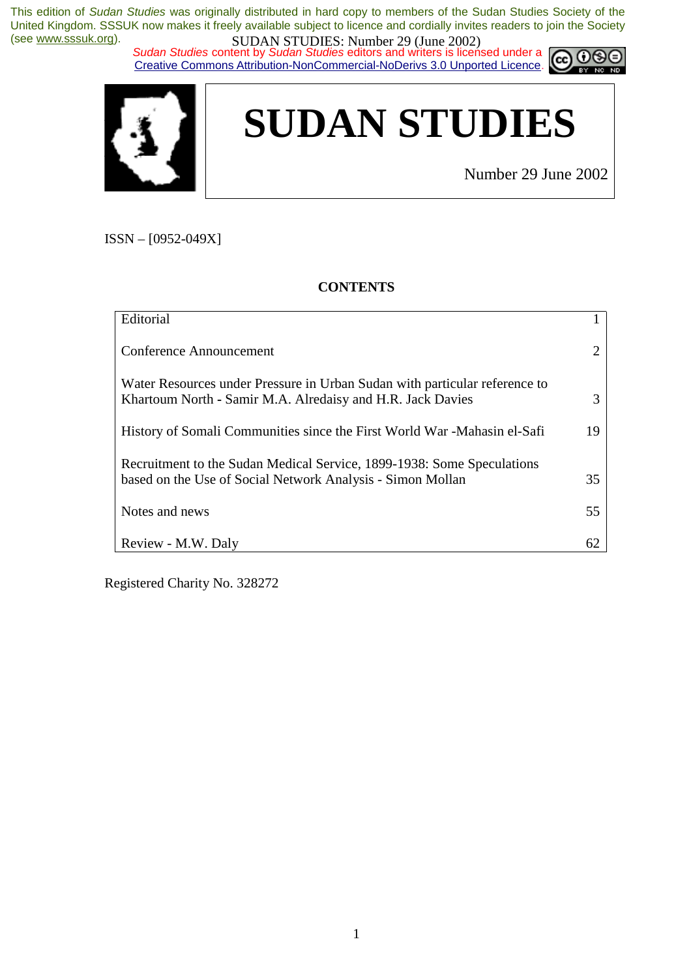*Sudan Studies content by Sudan Studies editors and writers is licensed under a* Creative Commons Attribution-NonCommercial-NoDerivs 3.0 Unported Licence.





Number 29 June 2002

റഭ

ISSN – [0952-049X]

#### **CONTENTS**

| Editorial                                                                                                                                |    |
|------------------------------------------------------------------------------------------------------------------------------------------|----|
| Conference Announcement                                                                                                                  | 2  |
| Water Resources under Pressure in Urban Sudan with particular reference to<br>Khartoum North - Samir M.A. Alredaisy and H.R. Jack Davies | 3  |
| History of Somali Communities since the First World War - Mahasin el-Safi                                                                | 19 |
| Recruitment to the Sudan Medical Service, 1899-1938: Some Speculations<br>based on the Use of Social Network Analysis - Simon Mollan     | 35 |
| Notes and news                                                                                                                           | 55 |
| Review - M.W. Daly                                                                                                                       | 62 |

Registered Charity No. 328272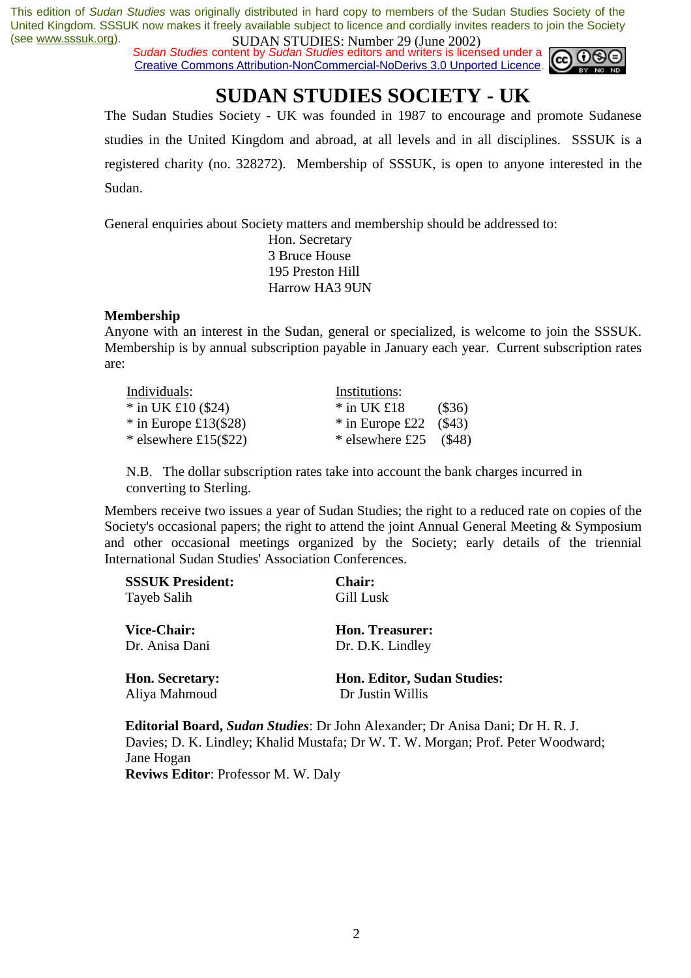*Sudan Studies content by Sudan Studies editors and writers is licensed under a* Creative Commons Attribution-NonCommercial-NoDerivs 3.0 Unported Licence.



## **SUDAN STUDIES SOCIETY - UK**

The Sudan Studies Society - UK was founded in 1987 to encourage and promote Sudanese studies in the United Kingdom and abroad, at all levels and in all disciplines. SSSUK is a registered charity (no. 328272). Membership of SSSUK, is open to anyone interested in the Sudan.

General enquiries about Society matters and membership should be addressed to:

 Hon. Secretary 3 Bruce House 195 Preston Hill Harrow HA3 9UN

#### **Membership**

Anyone with an interest in the Sudan, general or specialized, is welcome to join the SSSUK. Membership is by annual subscription payable in January each year. Current subscription rates are:

| Individuals:              | Institutions:             |         |
|---------------------------|---------------------------|---------|
| $*$ in UK £10 (\$24)      | $*$ in UK £18             | (\$36)  |
| $*$ in Europe £13(\$28)   | $*$ in Europe £22         | ( \$43) |
| * elsewhere £15 $($ \$22) | * elsewhere £25 $($ \$48) |         |

N.B. The dollar subscription rates take into account the bank charges incurred in converting to Sterling.

Members receive two issues a year of Sudan Studies; the right to a reduced rate on copies of the Society's occasional papers; the right to attend the joint Annual General Meeting & Symposium and other occasional meetings organized by the Society; early details of the triennial International Sudan Studies' Association Conferences.

| <b>SSSUK President:</b> | <b>Chair:</b>                      |
|-------------------------|------------------------------------|
| Tayeb Salih             | Gill Lusk                          |
| <b>Vice-Chair:</b>      | Hon. Treasurer:                    |
| Dr. Anisa Dani          | Dr. D.K. Lindley                   |
| <b>Hon. Secretary:</b>  | <b>Hon. Editor, Sudan Studies:</b> |
| Aliya Mahmoud           | Dr Justin Willis                   |

**Editorial Board,** *Sudan Studies*: Dr John Alexander; Dr Anisa Dani; Dr H. R. J. Davies; D. K. Lindley; Khalid Mustafa; Dr W. T. W. Morgan; Prof. Peter Woodward; Jane Hogan **Reviws Editor**: Professor M. W. Daly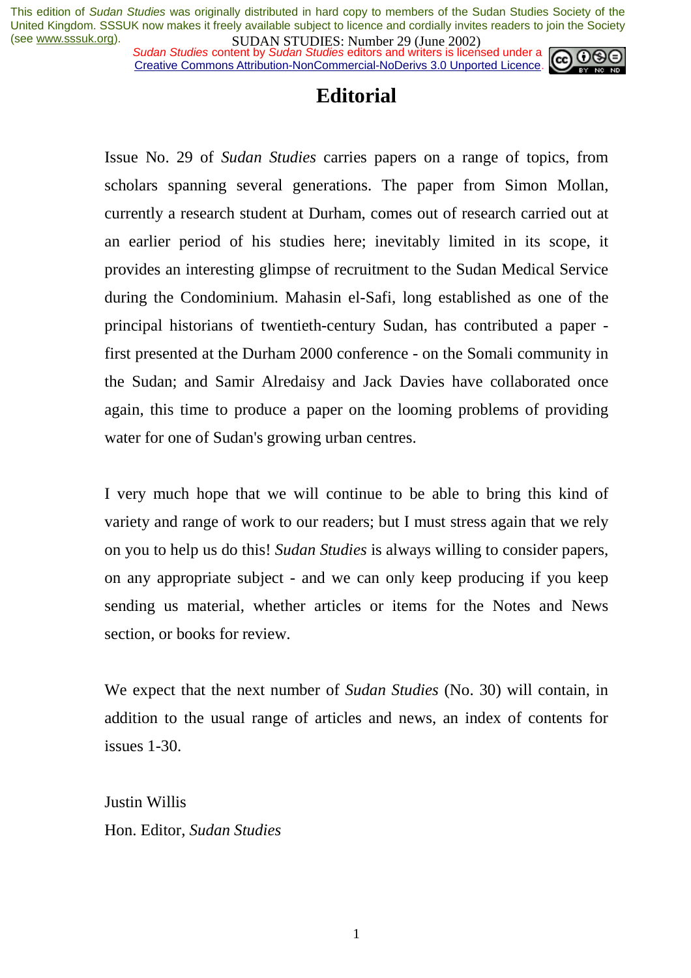*Sudan Studies content by Sudan Studies editors and writers is licensed under a* Creative Commons Attribution-NonCommercial-NoDerivs 3.0 Unported Licence.



## **Editorial**

Issue No. 29 of *Sudan Studies* carries papers on a range of topics, from scholars spanning several generations. The paper from Simon Mollan, currently a research student at Durham, comes out of research carried out at an earlier period of his studies here; inevitably limited in its scope, it provides an interesting glimpse of recruitment to the Sudan Medical Service during the Condominium. Mahasin el-Safi, long established as one of the principal historians of twentieth-century Sudan, has contributed a paper first presented at the Durham 2000 conference - on the Somali community in the Sudan; and Samir Alredaisy and Jack Davies have collaborated once again, this time to produce a paper on the looming problems of providing water for one of Sudan's growing urban centres.

I very much hope that we will continue to be able to bring this kind of variety and range of work to our readers; but I must stress again that we rely on you to help us do this! *Sudan Studies* is always willing to consider papers, on any appropriate subject - and we can only keep producing if you keep sending us material, whether articles or items for the Notes and News section, or books for review.

We expect that the next number of *Sudan Studies* (No. 30) will contain, in addition to the usual range of articles and news, an index of contents for issues 1-30.

Justin Willis Hon. Editor, *Sudan Studies*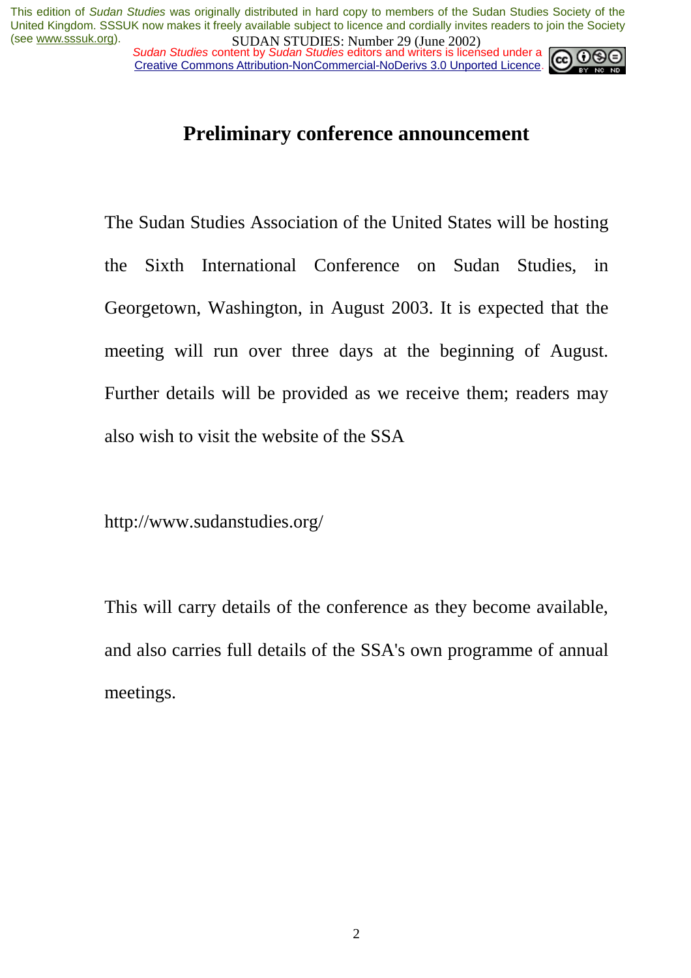*Sudan Studies content by Sudan Studies editors and writers is licensed under a* Creative Commons Attribution-NonCommercial-NoDerivs 3.0 Unported Licence.



## **Preliminary conference announcement**

The Sudan Studies Association of the United States will be hosting the Sixth International Conference on Sudan Studies, in Georgetown, Washington, in August 2003. It is expected that the meeting will run over three days at the beginning of August. Further details will be provided as we receive them; readers may also wish to visit the website of the SSA

http://www.sudanstudies.org/

This will carry details of the conference as they become available, and also carries full details of the SSA's own programme of annual meetings.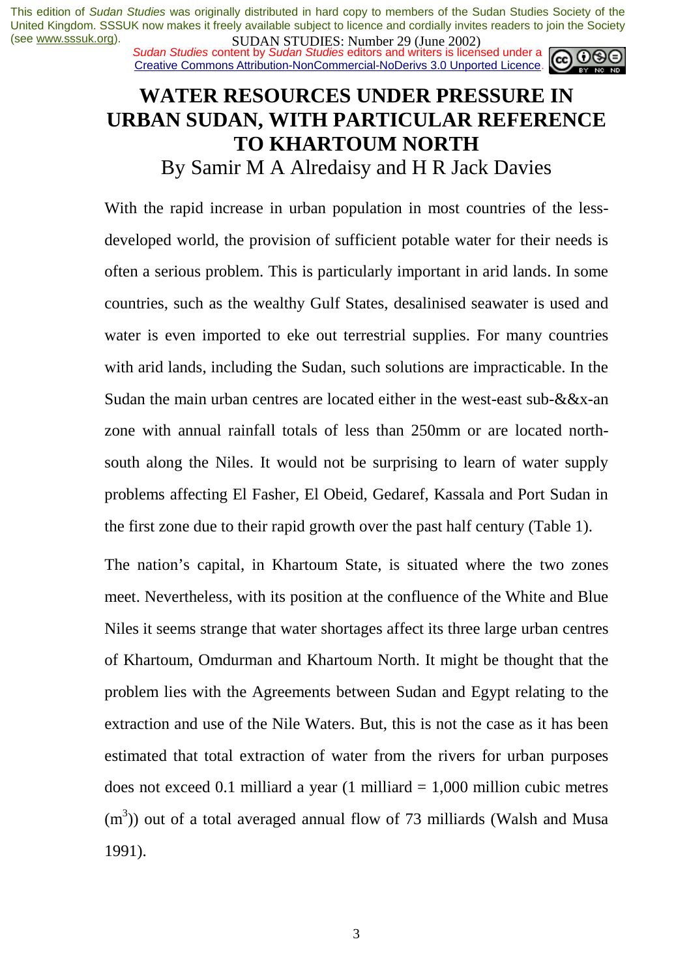*Sudan Studies content by Sudan Studies editors and writers is licensed under a* Creative Commons Attribution-NonCommercial-NoDerivs 3.0 Unported Licence.

## **WATER RESOURCES UNDER PRESSURE IN URBAN SUDAN, WITH PARTICULAR REFERENCE TO KHARTOUM NORTH**

## By Samir M A Alredaisy and H R Jack Davies

With the rapid increase in urban population in most countries of the lessdeveloped world, the provision of sufficient potable water for their needs is often a serious problem. This is particularly important in arid lands. In some countries, such as the wealthy Gulf States, desalinised seawater is used and water is even imported to eke out terrestrial supplies. For many countries with arid lands, including the Sudan, such solutions are impracticable. In the Sudan the main urban centres are located either in the west-east sub-&&x-an zone with annual rainfall totals of less than 250mm or are located northsouth along the Niles. It would not be surprising to learn of water supply problems affecting El Fasher, El Obeid, Gedaref, Kassala and Port Sudan in the first zone due to their rapid growth over the past half century (Table 1).

The nation's capital, in Khartoum State, is situated where the two zones meet. Nevertheless, with its position at the confluence of the White and Blue Niles it seems strange that water shortages affect its three large urban centres of Khartoum, Omdurman and Khartoum North. It might be thought that the problem lies with the Agreements between Sudan and Egypt relating to the extraction and use of the Nile Waters. But, this is not the case as it has been estimated that total extraction of water from the rivers for urban purposes does not exceed 0.1 milliard a year (1 milliard  $= 1,000$  million cubic metres  $(m<sup>3</sup>)$ ) out of a total averaged annual flow of 73 milliards (Walsh and Musa 1991).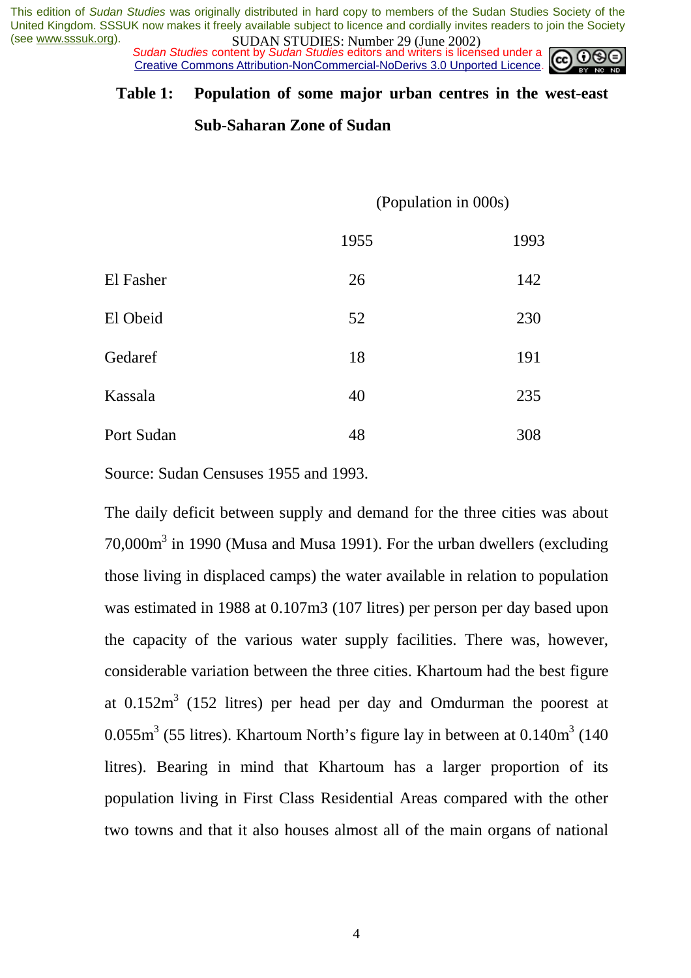*Sudan Studies content by Sudan Studies editors and writers is licensed under a* Creative Commons Attribution-NonCommercial-NoDerivs 3.0 Unported Licence.

#### **Table 1: Population of some major urban centres in the west-east**

#### **Sub-Saharan Zone of Sudan**

(Population in 000s)

|            | 1955 | 1993 |
|------------|------|------|
| El Fasher  | 26   | 142  |
| El Obeid   | 52   | 230  |
| Gedaref    | 18   | 191  |
| Kassala    | 40   | 235  |
| Port Sudan | 48   | 308  |

Source: Sudan Censuses 1955 and 1993.

The daily deficit between supply and demand for the three cities was about 70,000 $\text{m}^3$  in 1990 (Musa and Musa 1991). For the urban dwellers (excluding those living in displaced camps) the water available in relation to population was estimated in 1988 at 0.107m3 (107 litres) per person per day based upon the capacity of the various water supply facilities. There was, however, considerable variation between the three cities. Khartoum had the best figure at  $0.152\,\mathrm{m}^3$  (152 litres) per head per day and Omdurman the poorest at  $0.055\,\text{m}^3$  (55 litres). Khartoum North's figure lay in between at  $0.140\text{m}^3$  (140 litres). Bearing in mind that Khartoum has a larger proportion of its population living in First Class Residential Areas compared with the other two towns and that it also houses almost all of the main organs of national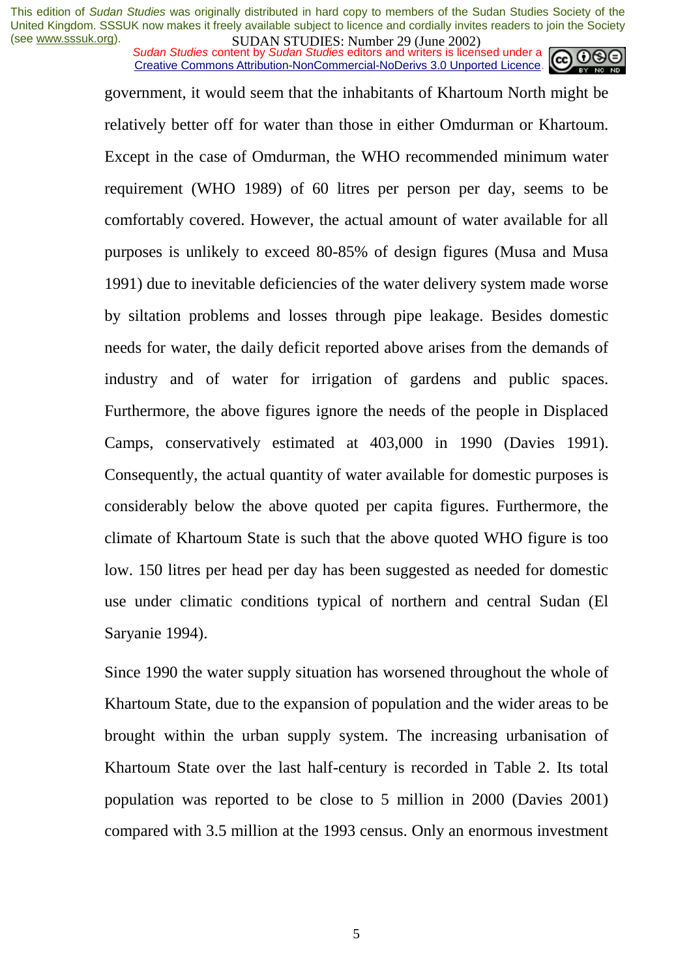*Sudan Studies content by Sudan Studies editors and writers is licensed under a* Creative Commons Attribution-NonCommercial-NoDerivs 3.0 Unported Licence.



government, it would seem that the inhabitants of Khartoum North might be relatively better off for water than those in either Omdurman or Khartoum. Except in the case of Omdurman, the WHO recommended minimum water requirement (WHO 1989) of 60 litres per person per day, seems to be comfortably covered. However, the actual amount of water available for all purposes is unlikely to exceed 80-85% of design figures (Musa and Musa 1991) due to inevitable deficiencies of the water delivery system made worse by siltation problems and losses through pipe leakage. Besides domestic needs for water, the daily deficit reported above arises from the demands of industry and of water for irrigation of gardens and public spaces. Furthermore, the above figures ignore the needs of the people in Displaced Camps, conservatively estimated at 403,000 in 1990 (Davies 1991). Consequently, the actual quantity of water available for domestic purposes is considerably below the above quoted per capita figures. Furthermore, the climate of Khartoum State is such that the above quoted WHO figure is too low. 150 litres per head per day has been suggested as needed for domestic use under climatic conditions typical of northern and central Sudan (El Saryanie 1994).

Since 1990 the water supply situation has worsened throughout the whole of Khartoum State, due to the expansion of population and the wider areas to be brought within the urban supply system. The increasing urbanisation of Khartoum State over the last half-century is recorded in Table 2. Its total population was reported to be close to 5 million in 2000 (Davies 2001) compared with 3.5 million at the 1993 census. Only an enormous investment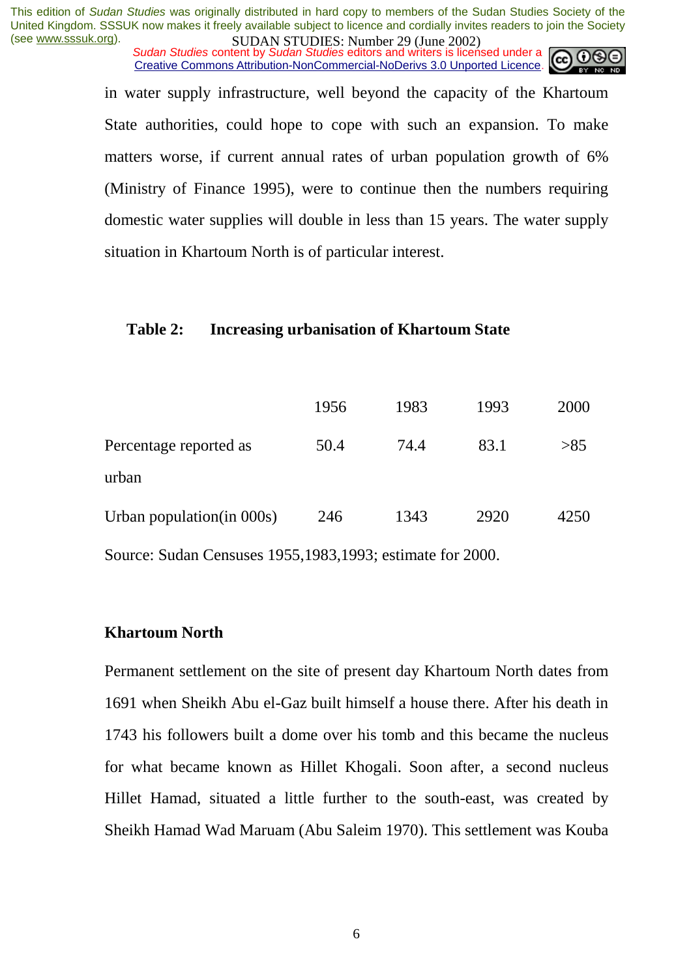*Sudan Studies content by Sudan Studies editors and writers is licensed under a* Creative Commons Attribution-NonCommercial-NoDerivs 3.0 Unported Licence.



in water supply infrastructure, well beyond the capacity of the Khartoum State authorities, could hope to cope with such an expansion. To make matters worse, if current annual rates of urban population growth of 6% (Ministry of Finance 1995), were to continue then the numbers requiring domestic water supplies will double in less than 15 years. The water supply situation in Khartoum North is of particular interest.

#### **Table 2: Increasing urbanisation of Khartoum State**

|                            | 1956 | 1983 | 1993 | 2000 |
|----------------------------|------|------|------|------|
| Percentage reported as     | 50.4 | 74.4 | 83.1 | >85  |
| urban                      |      |      |      |      |
| Urban population (in 000s) | 246  | 1343 | 2920 | 4250 |
|                            |      |      |      |      |

Source: Sudan Censuses 1955,1983,1993; estimate for 2000.

#### **Khartoum North**

Permanent settlement on the site of present day Khartoum North dates from 1691 when Sheikh Abu el-Gaz built himself a house there. After his death in 1743 his followers built a dome over his tomb and this became the nucleus for what became known as Hillet Khogali. Soon after, a second nucleus Hillet Hamad, situated a little further to the south-east, was created by Sheikh Hamad Wad Maruam (Abu Saleim 1970). This settlement was Kouba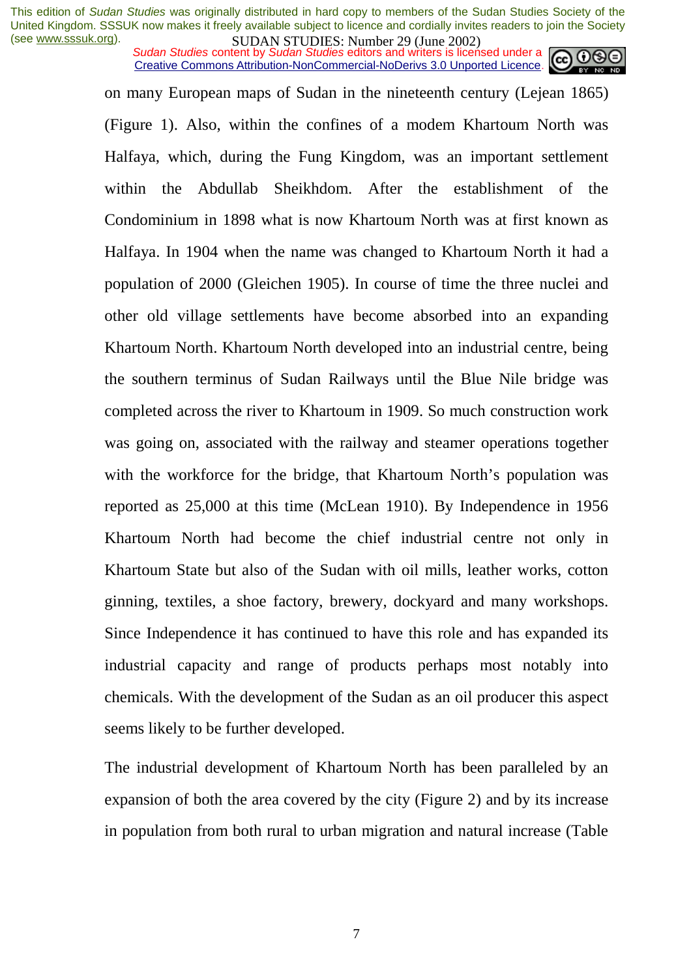*Sudan Studies content by Sudan Studies editors and writers is licensed under a* Creative Commons Attribution-NonCommercial-NoDerivs 3.0 Unported Licence.



on many European maps of Sudan in the nineteenth century (Lejean 1865) (Figure 1). Also, within the confines of a modem Khartoum North was Halfaya, which, during the Fung Kingdom, was an important settlement within the Abdullab Sheikhdom. After the establishment of the Condominium in 1898 what is now Khartoum North was at first known as Halfaya. In 1904 when the name was changed to Khartoum North it had a population of 2000 (Gleichen 1905). In course of time the three nuclei and other old village settlements have become absorbed into an expanding Khartoum North. Khartoum North developed into an industrial centre, being the southern terminus of Sudan Railways until the Blue Nile bridge was completed across the river to Khartoum in 1909. So much construction work was going on, associated with the railway and steamer operations together with the workforce for the bridge, that Khartoum North's population was reported as 25,000 at this time (McLean 1910). By Independence in 1956 Khartoum North had become the chief industrial centre not only in Khartoum State but also of the Sudan with oil mills, leather works, cotton ginning, textiles, a shoe factory, brewery, dockyard and many workshops. Since Independence it has continued to have this role and has expanded its industrial capacity and range of products perhaps most notably into chemicals. With the development of the Sudan as an oil producer this aspect seems likely to be further developed.

The industrial development of Khartoum North has been paralleled by an expansion of both the area covered by the city (Figure 2) and by its increase in population from both rural to urban migration and natural increase (Table

7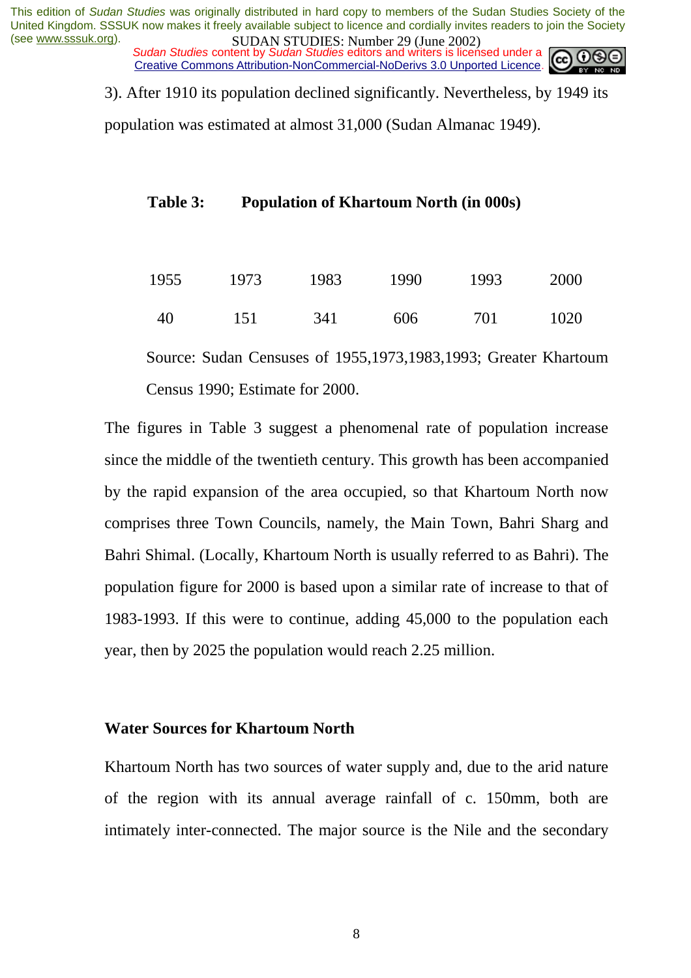*Sudan Studies content by Sudan Studies editors and writers is licensed under a* Creative Commons Attribution-NonCommercial-NoDerivs 3.0 Unported Licence.

3). After 1910 its population declined significantly. Nevertheless, by 1949 its

population was estimated at almost 31,000 (Sudan Almanac 1949).

#### **Table 3: Population of Khartoum North (in 000s)**

| 1955 | 1973 | 1983 | 1990 | 1993 | 2000 |
|------|------|------|------|------|------|
| -40  | 151  | 341  | 606  | 701  | 1020 |

Source: Sudan Censuses of 1955,1973,1983,1993; Greater Khartoum Census 1990; Estimate for 2000.

The figures in Table 3 suggest a phenomenal rate of population increase since the middle of the twentieth century. This growth has been accompanied by the rapid expansion of the area occupied, so that Khartoum North now comprises three Town Councils, namely, the Main Town, Bahri Sharg and Bahri Shimal. (Locally, Khartoum North is usually referred to as Bahri). The population figure for 2000 is based upon a similar rate of increase to that of 1983-1993. If this were to continue, adding 45,000 to the population each year, then by 2025 the population would reach 2.25 million.

#### **Water Sources for Khartoum North**

Khartoum North has two sources of water supply and, due to the arid nature of the region with its annual average rainfall of c. 150mm, both are intimately inter-connected. The major source is the Nile and the secondary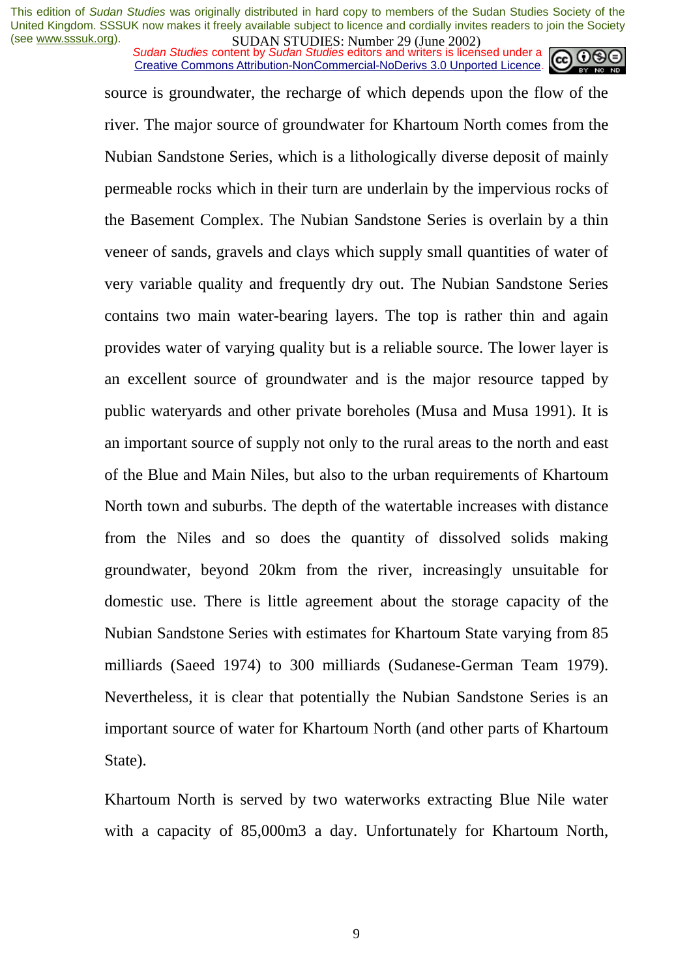*Sudan Studies content by Sudan Studies editors and writers is licensed under a* Creative Commons Attribution-NonCommercial-NoDerivs 3.0 Unported Licence.



source is groundwater, the recharge of which depends upon the flow of the river. The major source of groundwater for Khartoum North comes from the Nubian Sandstone Series, which is a lithologically diverse deposit of mainly permeable rocks which in their turn are underlain by the impervious rocks of the Basement Complex. The Nubian Sandstone Series is overlain by a thin veneer of sands, gravels and clays which supply small quantities of water of very variable quality and frequently dry out. The Nubian Sandstone Series contains two main water-bearing layers. The top is rather thin and again provides water of varying quality but is a reliable source. The lower layer is an excellent source of groundwater and is the major resource tapped by public wateryards and other private boreholes (Musa and Musa 1991). It is an important source of supply not only to the rural areas to the north and east of the Blue and Main Niles, but also to the urban requirements of Khartoum North town and suburbs. The depth of the watertable increases with distance from the Niles and so does the quantity of dissolved solids making groundwater, beyond 20km from the river, increasingly unsuitable for domestic use. There is little agreement about the storage capacity of the Nubian Sandstone Series with estimates for Khartoum State varying from 85 milliards (Saeed 1974) to 300 milliards (Sudanese-German Team 1979). Nevertheless, it is clear that potentially the Nubian Sandstone Series is an important source of water for Khartoum North (and other parts of Khartoum State).

Khartoum North is served by two waterworks extracting Blue Nile water with a capacity of 85,000m3 a day. Unfortunately for Khartoum North,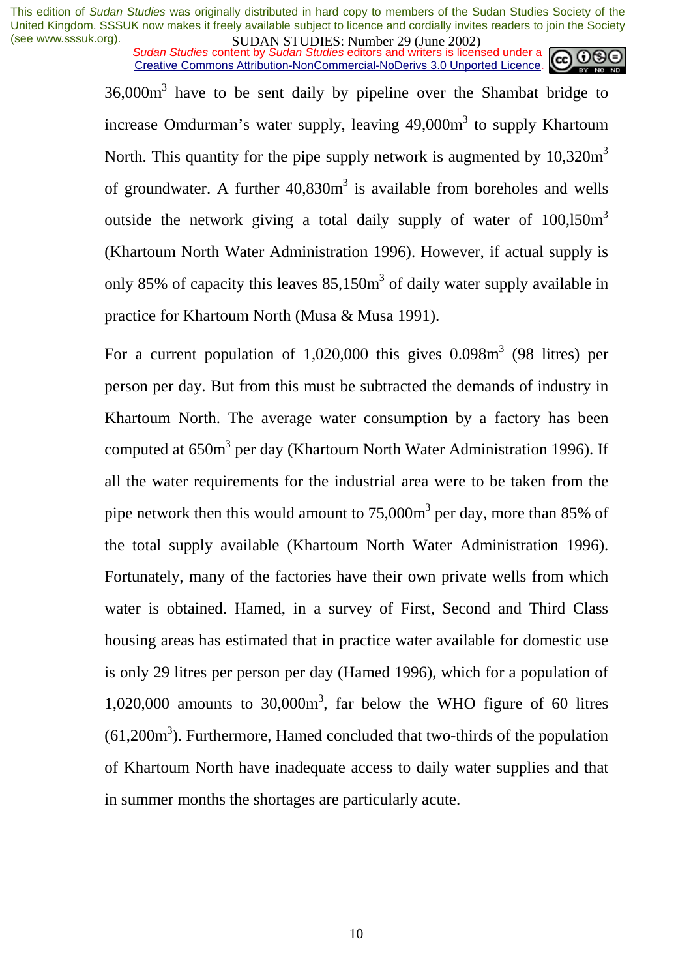*Sudan Studies content by Sudan Studies editors and writers is licensed under a* Creative Commons Attribution-NonCommercial-NoDerivs 3.0 Unported Licence.



 $36,000\,\text{m}^3$  have to be sent daily by pipeline over the Shambat bridge to increase Omdurman's water supply, leaving 49,000m<sup>3</sup> to supply Khartoum North. This quantity for the pipe supply network is augmented by  $10,320m<sup>3</sup>$ of groundwater. A further  $40,830m<sup>3</sup>$  is available from boreholes and wells outside the network giving a total daily supply of water of  $100,150m<sup>3</sup>$ (Khartoum North Water Administration 1996). However, if actual supply is only 85% of capacity this leaves  $85,150m<sup>3</sup>$  of daily water supply available in practice for Khartoum North (Musa & Musa 1991).

For a current population of  $1,020,000$  this gives  $0.098m<sup>3</sup>$  (98 litres) per person per day. But from this must be subtracted the demands of industry in Khartoum North. The average water consumption by a factory has been computed at 650m<sup>3</sup> per day (Khartoum North Water Administration 1996). If all the water requirements for the industrial area were to be taken from the pipe network then this would amount to  $75,000m^3$  per day, more than 85% of the total supply available (Khartoum North Water Administration 1996). Fortunately, many of the factories have their own private wells from which water is obtained. Hamed, in a survey of First, Second and Third Class housing areas has estimated that in practice water available for domestic use is only 29 litres per person per day (Hamed 1996), which for a population of  $1,020,000$  amounts to  $30,000$ m<sup>3</sup>, far below the WHO figure of 60 litres  $(61,200m<sup>3</sup>)$ . Furthermore, Hamed concluded that two-thirds of the population of Khartoum North have inadequate access to daily water supplies and that in summer months the shortages are particularly acute.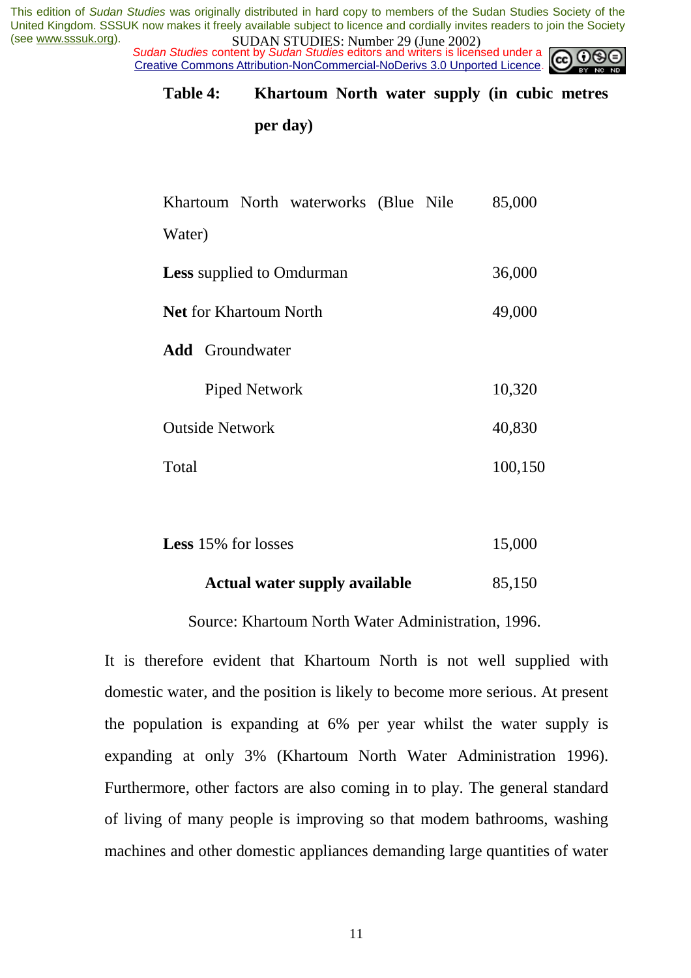*Sudan Studies content by Sudan Studies editors and writers is licensed under a* Creative Commons Attribution-NonCommercial-NoDerivs 3.0 Unported Licence.



#### **Table 4: Khartoum North water supply (in cubic metres**

**per day)** 

| Khartoum North waterworks (Blue Nile | 85,000  |
|--------------------------------------|---------|
| Water)                               |         |
| <b>Less</b> supplied to Omdurman     | 36,000  |
| <b>Net</b> for Khartoum North        | 49,000  |
| <b>Add</b> Groundwater               |         |
| Piped Network                        | 10,320  |
| <b>Outside Network</b>               | 40,830  |
| Total                                | 100,150 |

| <b>Less</b> 15% for losses | 15,000 |
|----------------------------|--------|
|----------------------------|--------|

#### **Actual water supply available** 85,150

#### Source: Khartoum North Water Administration, 1996.

It is therefore evident that Khartoum North is not well supplied with domestic water, and the position is likely to become more serious. At present the population is expanding at 6% per year whilst the water supply is expanding at only 3% (Khartoum North Water Administration 1996). Furthermore, other factors are also coming in to play. The general standard of living of many people is improving so that modem bathrooms, washing machines and other domestic appliances demanding large quantities of water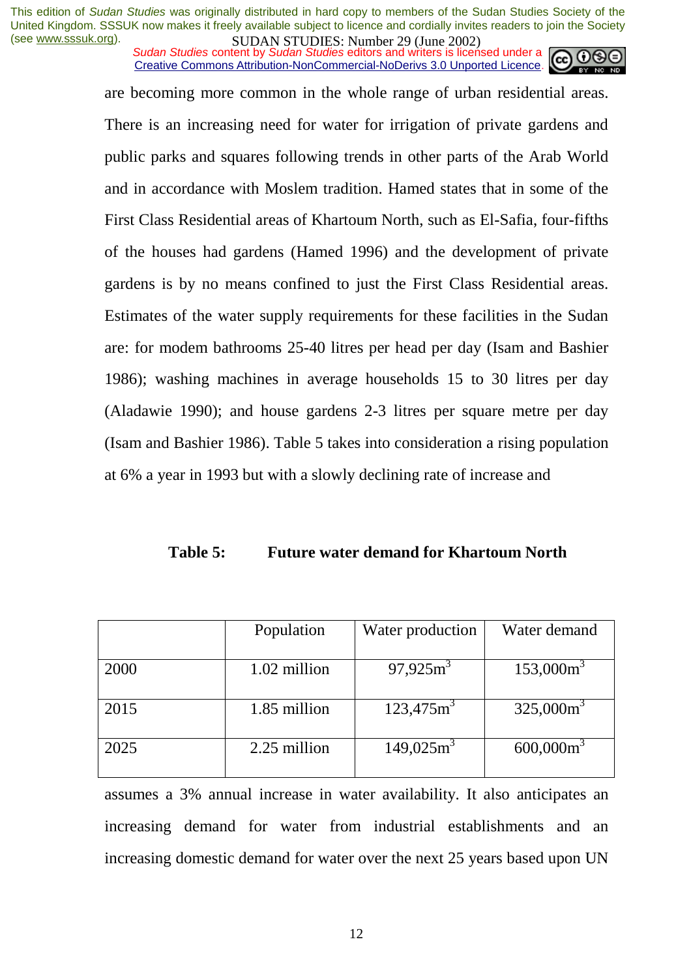*Sudan Studies content by Sudan Studies editors and writers is licensed under a* Creative Commons Attribution-NonCommercial-NoDerivs 3.0 Unported Licence.

are becoming more common in the whole range of urban residential areas. There is an increasing need for water for irrigation of private gardens and public parks and squares following trends in other parts of the Arab World and in accordance with Moslem tradition. Hamed states that in some of the First Class Residential areas of Khartoum North, such as El-Safia, four-fifths of the houses had gardens (Hamed 1996) and the development of private gardens is by no means confined to just the First Class Residential areas. Estimates of the water supply requirements for these facilities in the Sudan are: for modem bathrooms 25-40 litres per head per day (Isam and Bashier 1986); washing machines in average households 15 to 30 litres per day (Aladawie 1990); and house gardens 2-3 litres per square metre per day (Isam and Bashier 1986). Table 5 takes into consideration a rising population at 6% a year in 1993 but with a slowly declining rate of increase and

#### **Table 5: Future water demand for Khartoum North**

|      | Population   | Water production         | Water demand |
|------|--------------|--------------------------|--------------|
| 2000 | 1.02 million | $97,925m^3$              | $153,000m^3$ |
| 2015 | 1.85 million | $123,475$ m <sup>3</sup> | $325,000m^3$ |
| 2025 | 2.25 million | $149,025m^3$             | $600,000m^3$ |

assumes a 3% annual increase in water availability. It also anticipates an increasing demand for water from industrial establishments and an increasing domestic demand for water over the next 25 years based upon UN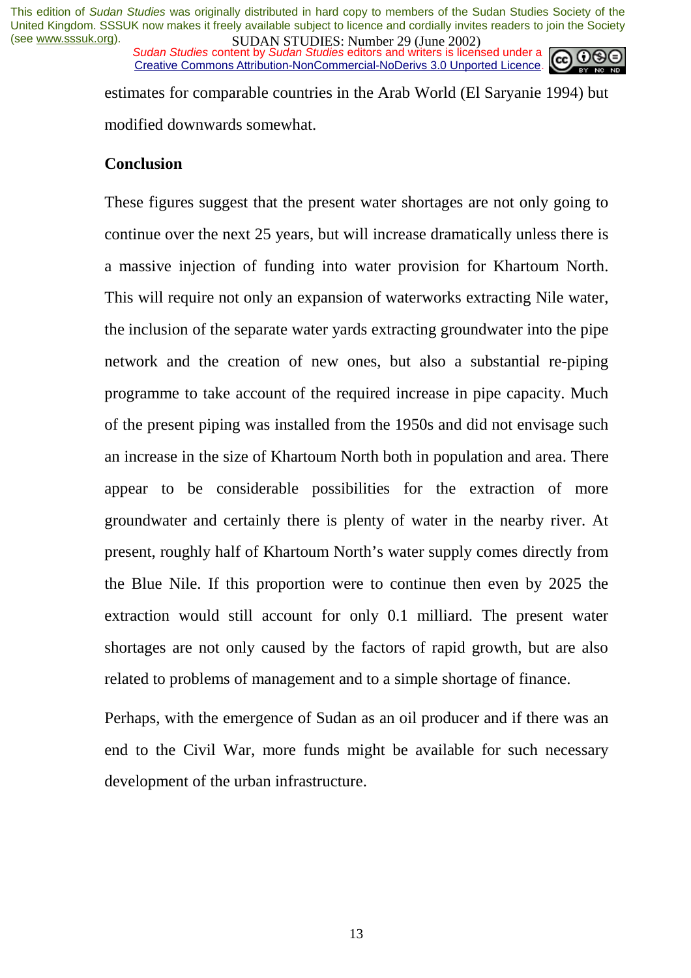*Sudan Studies content by Sudan Studies editors and writers is licensed under a* Creative Commons Attribution-NonCommercial-NoDerivs 3.0 Unported Licence.



estimates for comparable countries in the Arab World (El Saryanie 1994) but modified downwards somewhat.

#### **Conclusion**

These figures suggest that the present water shortages are not only going to continue over the next 25 years, but will increase dramatically unless there is a massive injection of funding into water provision for Khartoum North. This will require not only an expansion of waterworks extracting Nile water, the inclusion of the separate water yards extracting groundwater into the pipe network and the creation of new ones, but also a substantial re-piping programme to take account of the required increase in pipe capacity. Much of the present piping was installed from the 1950s and did not envisage such an increase in the size of Khartoum North both in population and area. There appear to be considerable possibilities for the extraction of more groundwater and certainly there is plenty of water in the nearby river. At present, roughly half of Khartoum North's water supply comes directly from the Blue Nile. If this proportion were to continue then even by 2025 the extraction would still account for only 0.1 milliard. The present water shortages are not only caused by the factors of rapid growth, but are also related to problems of management and to a simple shortage of finance.

Perhaps, with the emergence of Sudan as an oil producer and if there was an end to the Civil War, more funds might be available for such necessary development of the urban infrastructure.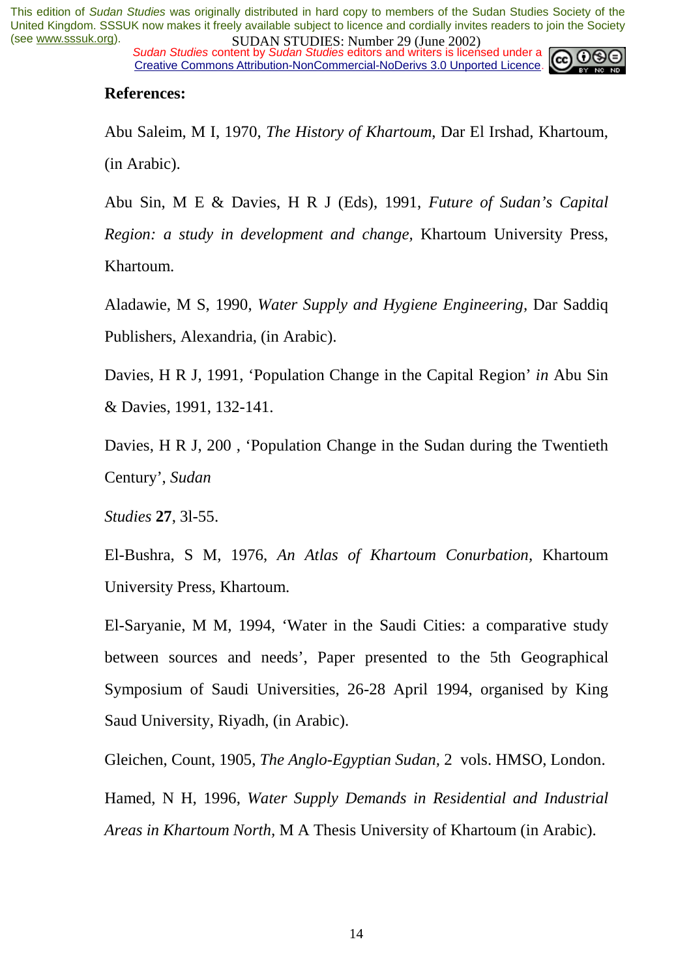*Sudan Studies content by Sudan Studies editors and writers is licensed under a* Creative Commons Attribution-NonCommercial-NoDerivs 3.0 Unported Licence.



#### **References:**

Abu Saleim, M I, 1970, *The History of Khartoum*, Dar El Irshad, Khartoum, (in Arabic).

Abu Sin, M E & Davies, H R J (Eds), 1991, *Future of Sudan's Capital Region: a study in development and change,* Khartoum University Press, Khartoum.

Aladawie, M S, 1990, *Water Supply and Hygiene Engineering,* Dar Saddiq Publishers, Alexandria, (in Arabic).

Davies, H R J, 1991, 'Population Change in the Capital Region' *in* Abu Sin & Davies, 1991, 132-141.

Davies, H R J, 200 , 'Population Change in the Sudan during the Twentieth Century', *Sudan* 

*Studies* **27**, 3l-55.

El-Bushra, S M, 1976, *An Atlas of Khartoum Conurbation,* Khartoum University Press, Khartoum.

El-Saryanie, M M, 1994, 'Water in the Saudi Cities: a comparative study between sources and needs', Paper presented to the 5th Geographical Symposium of Saudi Universities, 26-28 April 1994, organised by King Saud University, Riyadh, (in Arabic).

Gleichen, Count, 1905, *The Anglo-Egyptian Sudan,* 2 vols. HMSO, London.

Hamed, N H, 1996, *Water Supply Demands in Residential and Industrial Areas in Khartoum North,* M A Thesis University of Khartoum (in Arabic).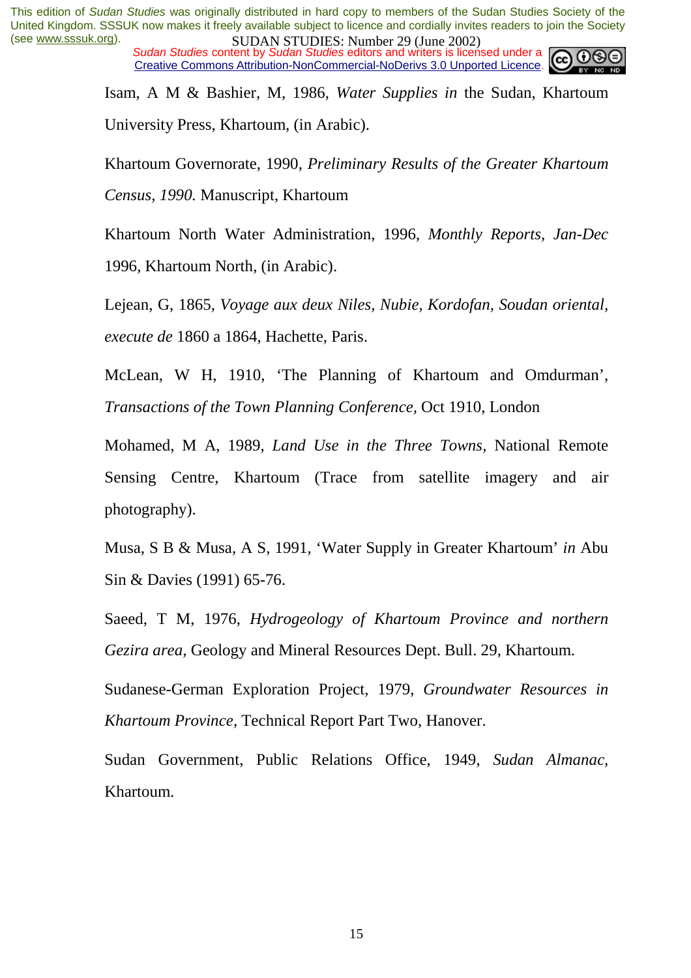*Sudan Studies content by Sudan Studies editors and writers is licensed under a* Creative Commons Attribution-NonCommercial-NoDerivs 3.0 Unported Licence.



Isam, A M & Bashier, M, 1986, *Water Supplies in* the Sudan, Khartoum University Press, Khartoum, (in Arabic).

Khartoum Governorate, 1990, *Preliminary Results of the Greater Khartoum Census, 1990.* Manuscript, Khartoum

Khartoum North Water Administration, 1996, *Monthly Reports, Jan-Dec*  1996, Khartoum North, (in Arabic).

Lejean, G, 1865, *Voyage aux deux Niles, Nubie, Kordofan, Soudan oriental, execute de* 1860 a 1864, Hachette, Paris.

McLean, W H, 1910, 'The Planning of Khartoum and Omdurman', *Transactions of the Town Planning Conference,* Oct 1910, London

Mohamed, M A, 1989, *Land Use in the Three Towns,* National Remote Sensing Centre, Khartoum (Trace from satellite imagery and air photography).

Musa, S B & Musa, A S, 1991, 'Water Supply in Greater Khartoum' *in* Abu Sin & Davies (1991) 65-76.

Saeed, T M, 1976, *Hydrogeology of Khartoum Province and northern Gezira area,* Geology and Mineral Resources Dept. Bull. 29, Khartoum.

Sudanese-German Exploration Project, 1979, *Groundwater Resources in Khartoum Province,* Technical Report Part Two, Hanover.

Sudan Government, Public Relations Office, 1949, *Sudan Almanac,*  Khartoum.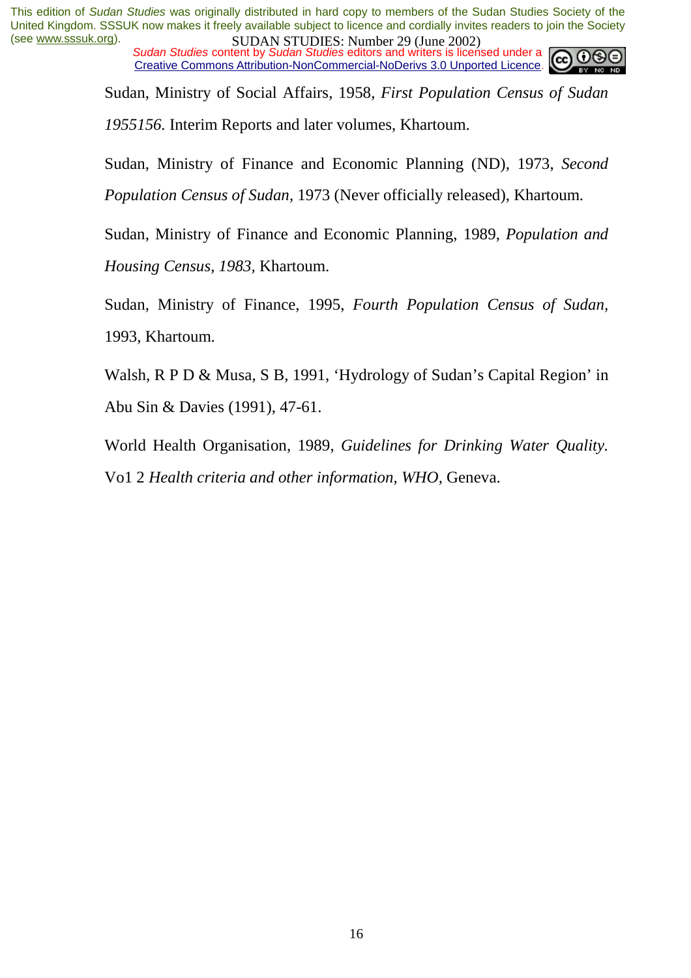*Sudan Studies content by Sudan Studies editors and writers is licensed under a* Creative Commons Attribution-NonCommercial-NoDerivs 3.0 Unported Licence.



Sudan, Ministry of Social Affairs, 1958, *First Population Census of Sudan 1955156.* Interim Reports and later volumes, Khartoum.

Sudan, Ministry of Finance and Economic Planning (ND), 1973, *Second Population Census of Sudan,* 1973 (Never officially released), Khartoum.

Sudan, Ministry of Finance and Economic Planning, 1989, *Population and Housing Census, 1983,* Khartoum.

Sudan, Ministry of Finance, 1995, *Fourth Population Census of Sudan,*  1993, Khartoum.

Walsh, R P D & Musa, S B, 1991, 'Hydrology of Sudan's Capital Region' in Abu Sin & Davies (1991), 47-61.

World Health Organisation, 1989, *Guidelines for Drinking Water Quality.*  Vo1 2 *Health criteria and other information, WHO,* Geneva.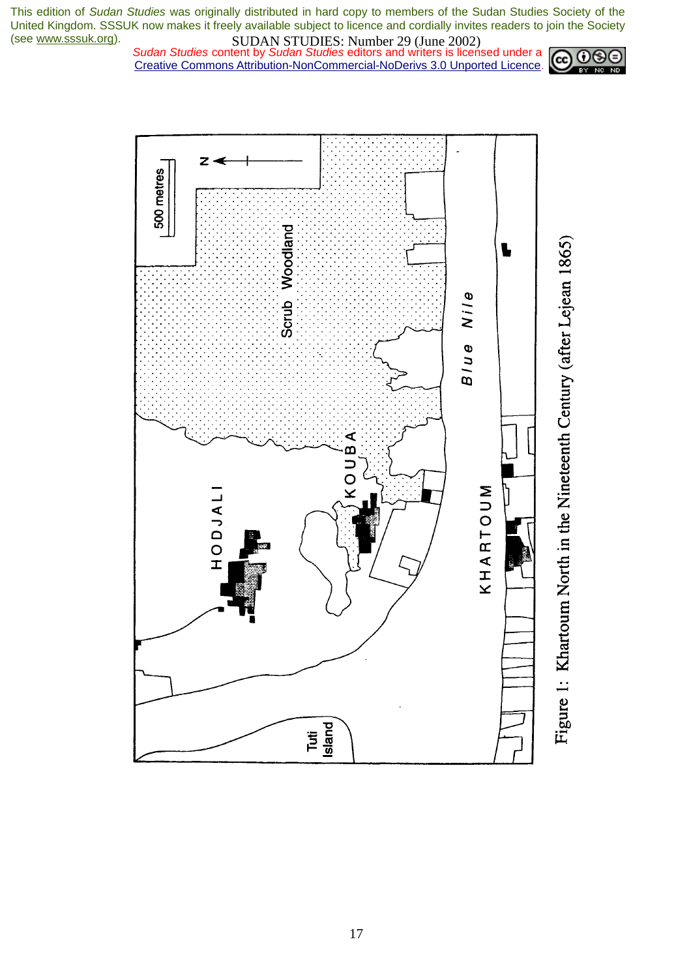*Sudan Studies content by Sudan Studies editors and writers is licensed under a* Creative Commons Attribution-NonCommercial-NoDerivs 3.0 Unported Licence.





Figure 1: Khartoum North in the Nineteenth Century (after Lejean 1865)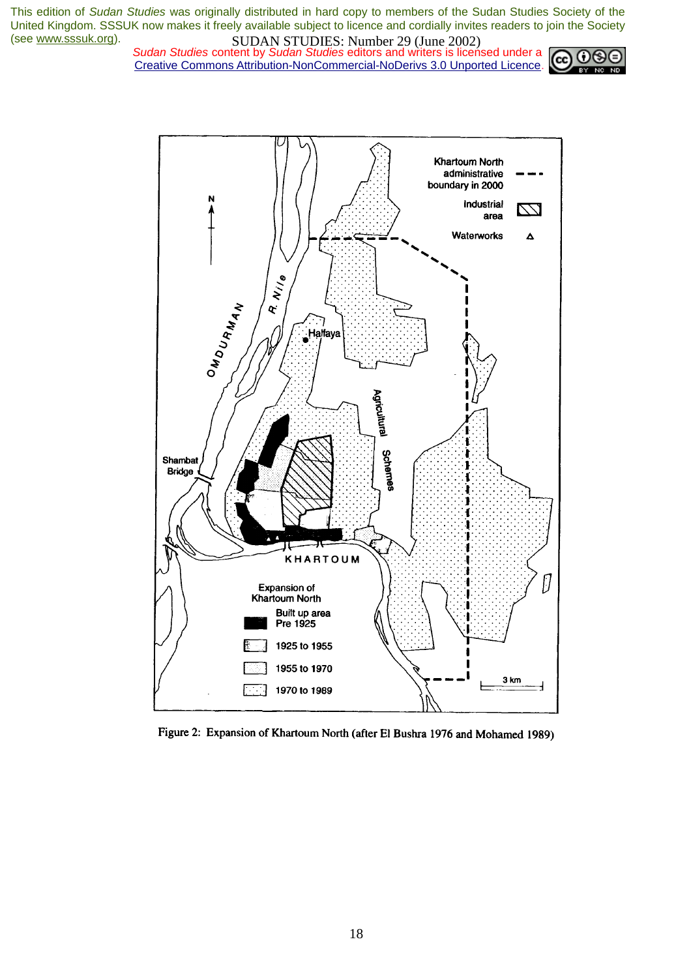*Sudan Studies content by Sudan Studies editors and writers is licensed under a* Creative Commons Attribution-NonCommercial-NoDerivs 3.0 Unported Licence.





Figure 2: Expansion of Khartoum North (after El Bushra 1976 and Mohamed 1989)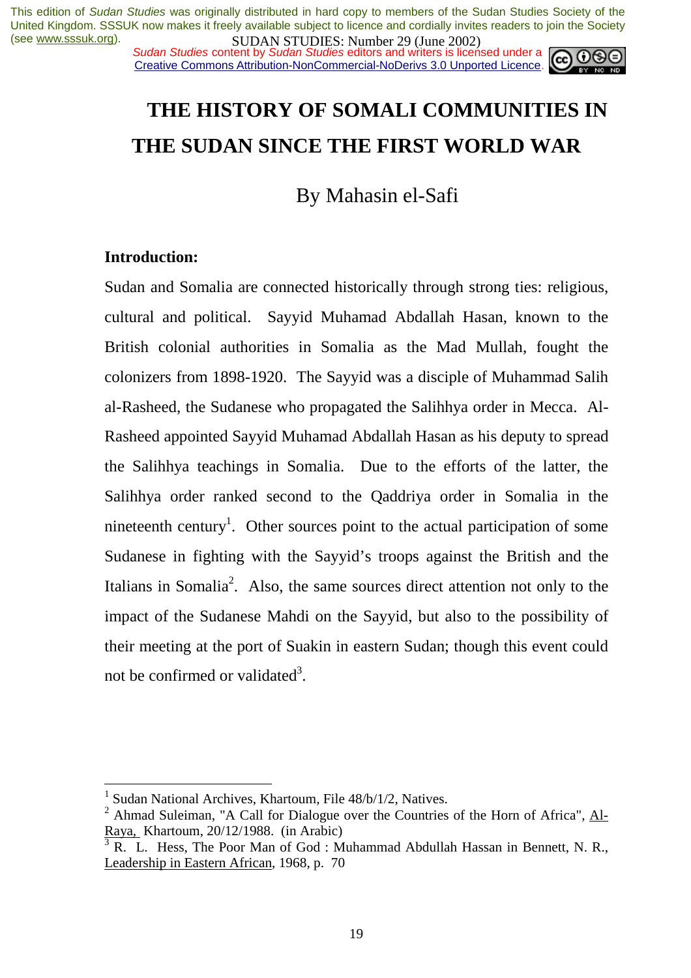*Sudan Studies content by Sudan Studies editors and writers is licensed under a* Creative Commons Attribution-NonCommercial-NoDerivs 3.0 Unported Licence.



# **THE HISTORY OF SOMALI COMMUNITIES IN THE SUDAN SINCE THE FIRST WORLD WAR**

By Mahasin el-Safi

#### **Introduction:**

 $\overline{a}$ 

Sudan and Somalia are connected historically through strong ties: religious, cultural and political. Sayyid Muhamad Abdallah Hasan, known to the British colonial authorities in Somalia as the Mad Mullah, fought the colonizers from 1898-1920. The Sayyid was a disciple of Muhammad Salih al-Rasheed, the Sudanese who propagated the Salihhya order in Mecca. Al-Rasheed appointed Sayyid Muhamad Abdallah Hasan as his deputy to spread the Salihhya teachings in Somalia. Due to the efforts of the latter, the Salihhya order ranked second to the Qaddriya order in Somalia in the nineteenth century<sup>1</sup>. Other sources point to the actual participation of some Sudanese in fighting with the Sayyid's troops against the British and the Italians in Somalia<sup>2</sup>. Also, the same sources direct attention not only to the impact of the Sudanese Mahdi on the Sayyid, but also to the possibility of their meeting at the port of Suakin in eastern Sudan; though this event could not be confirmed or validated<sup>3</sup>.

<sup>&</sup>lt;sup>1</sup> Sudan National Archives, Khartoum, File 48/b/1/2, Natives.

<sup>&</sup>lt;sup>2</sup> Ahmad Suleiman, "A Call for Dialogue over the Countries of the Horn of Africa",  $\overline{Al}$ -Raya*,* Khartoum, 20/12/1988. (in Arabic)

<sup>3</sup> R. L. Hess, The Poor Man of God : Muhammad Abdullah Hassan in Bennett, N. R., Leadership in Eastern African, 1968, p. 70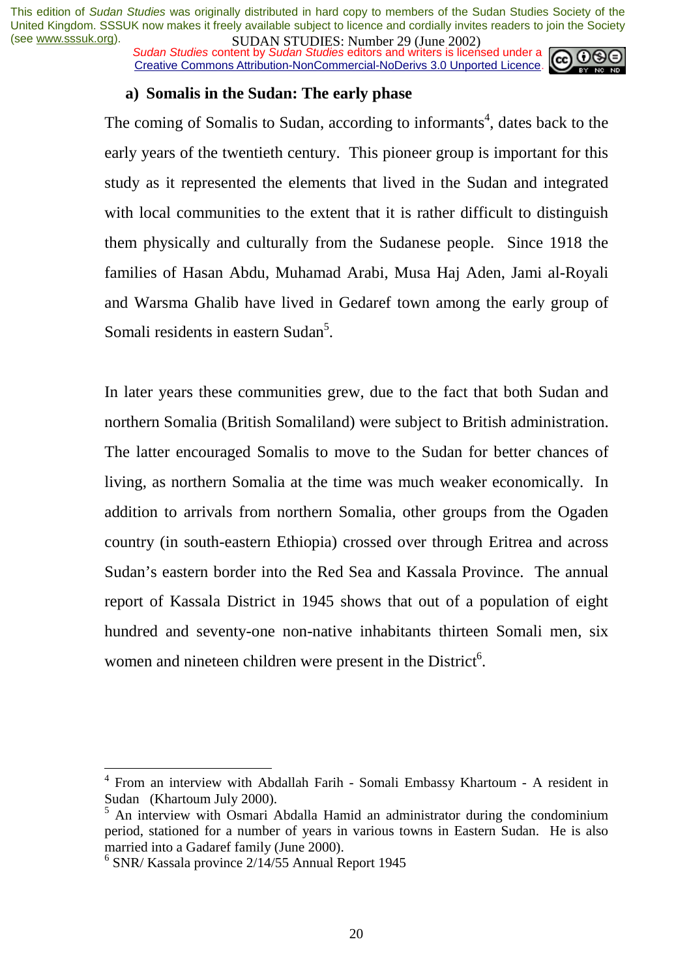*Sudan Studies content by Sudan Studies editors and writers is licensed under a* Creative Commons Attribution-NonCommercial-NoDerivs 3.0 Unported Licence.



#### **a) Somalis in the Sudan: The early phase**

The coming of Somalis to Sudan, according to informants<sup>4</sup>, dates back to the early years of the twentieth century. This pioneer group is important for this study as it represented the elements that lived in the Sudan and integrated with local communities to the extent that it is rather difficult to distinguish them physically and culturally from the Sudanese people. Since 1918 the families of Hasan Abdu, Muhamad Arabi, Musa Haj Aden, Jami al-Royali and Warsma Ghalib have lived in Gedaref town among the early group of Somali residents in eastern Sudan<sup>5</sup>.

In later years these communities grew, due to the fact that both Sudan and northern Somalia (British Somaliland) were subject to British administration. The latter encouraged Somalis to move to the Sudan for better chances of living, as northern Somalia at the time was much weaker economically. In addition to arrivals from northern Somalia, other groups from the Ogaden country (in south-eastern Ethiopia) crossed over through Eritrea and across Sudan's eastern border into the Red Sea and Kassala Province. The annual report of Kassala District in 1945 shows that out of a population of eight hundred and seventy-one non-native inhabitants thirteen Somali men, six women and nineteen children were present in the District<sup>6</sup>.

<sup>4</sup> From an interview with Abdallah Farih - Somali Embassy Khartoum - A resident in Sudan (Khartoum July 2000).

<sup>&</sup>lt;sup>5</sup> An interview with Osmari Abdalla Hamid an administrator during the condominium period, stationed for a number of years in various towns in Eastern Sudan. He is also married into a Gadaref family (June 2000).

<sup>6</sup> SNR/ Kassala province 2/14/55 Annual Report 1945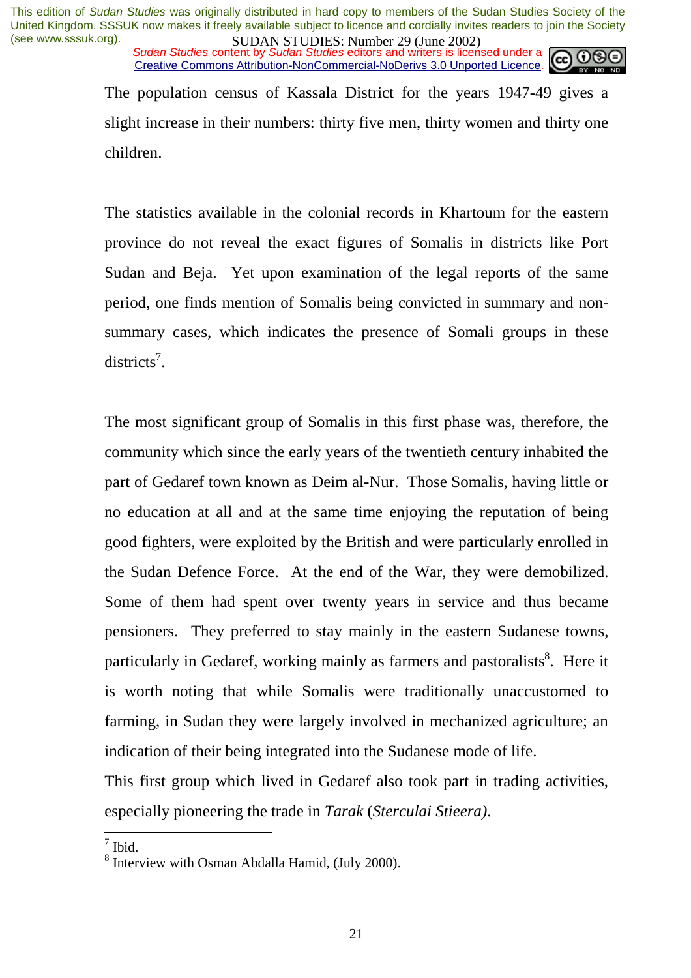*Sudan Studies content by Sudan Studies editors and writers is licensed under a* Creative Commons Attribution-NonCommercial-NoDerivs 3.0 Unported Licence.

The population census of Kassala District for the years 1947-49 gives a slight increase in their numbers: thirty five men, thirty women and thirty one children.

The statistics available in the colonial records in Khartoum for the eastern province do not reveal the exact figures of Somalis in districts like Port Sudan and Beja. Yet upon examination of the legal reports of the same period, one finds mention of Somalis being convicted in summary and nonsummary cases, which indicates the presence of Somali groups in these districts<sup>7</sup>.

The most significant group of Somalis in this first phase was, therefore, the community which since the early years of the twentieth century inhabited the part of Gedaref town known as Deim al-Nur. Those Somalis, having little or no education at all and at the same time enjoying the reputation of being good fighters, were exploited by the British and were particularly enrolled in the Sudan Defence Force. At the end of the War, they were demobilized. Some of them had spent over twenty years in service and thus became pensioners. They preferred to stay mainly in the eastern Sudanese towns, particularly in Gedaref, working mainly as farmers and pastoralists<sup>8</sup>. Here it is worth noting that while Somalis were traditionally unaccustomed to farming, in Sudan they were largely involved in mechanized agriculture; an indication of their being integrated into the Sudanese mode of life.

This first group which lived in Gedaref also took part in trading activities, especially pioneering the trade in *Tarak* (*Sterculai Stieera)*.

 $\frac{1}{\sqrt{7}}$  Ibid.

<sup>&</sup>lt;sup>8</sup> Interview with Osman Abdalla Hamid, (July 2000).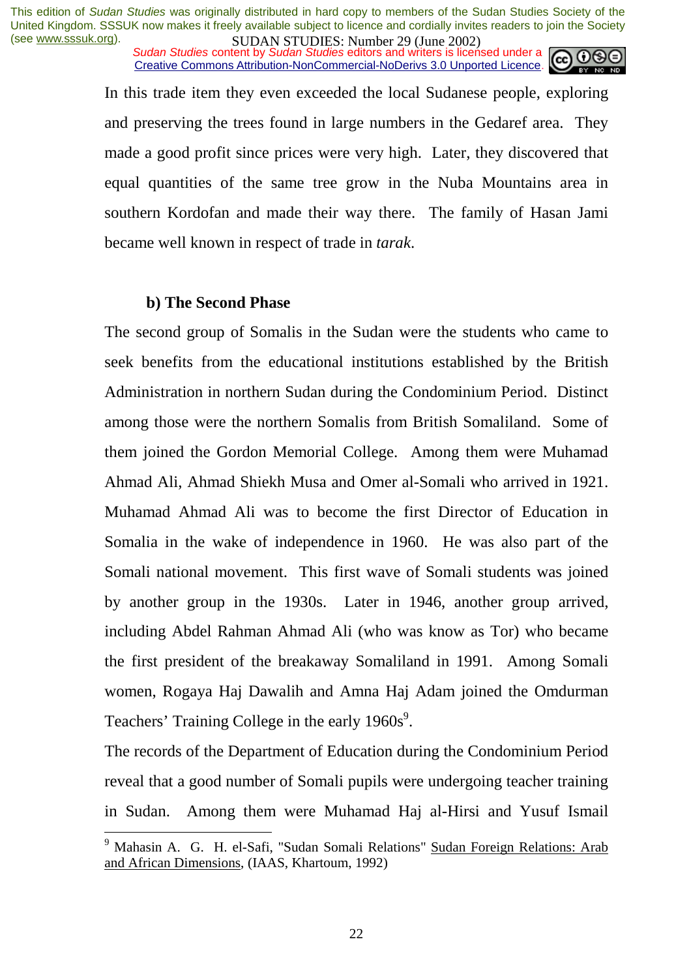*Sudan Studies content by Sudan Studies editors and writers is licensed under a* Creative Commons Attribution-NonCommercial-NoDerivs 3.0 Unported Licence.



In this trade item they even exceeded the local Sudanese people, exploring and preserving the trees found in large numbers in the Gedaref area. They made a good profit since prices were very high. Later, they discovered that equal quantities of the same tree grow in the Nuba Mountains area in southern Kordofan and made their way there. The family of Hasan Jami became well known in respect of trade in *tarak*.

#### **b) The Second Phase**

The second group of Somalis in the Sudan were the students who came to seek benefits from the educational institutions established by the British Administration in northern Sudan during the Condominium Period. Distinct among those were the northern Somalis from British Somaliland. Some of them joined the Gordon Memorial College. Among them were Muhamad Ahmad Ali, Ahmad Shiekh Musa and Omer al-Somali who arrived in 1921. Muhamad Ahmad Ali was to become the first Director of Education in Somalia in the wake of independence in 1960. He was also part of the Somali national movement. This first wave of Somali students was joined by another group in the 1930s. Later in 1946, another group arrived, including Abdel Rahman Ahmad Ali (who was know as Tor) who became the first president of the breakaway Somaliland in 1991. Among Somali women, Rogaya Haj Dawalih and Amna Haj Adam joined the Omdurman Teachers' Training College in the early  $1960s^9$ .

The records of the Department of Education during the Condominium Period reveal that a good number of Somali pupils were undergoing teacher training in Sudan. Among them were Muhamad Haj al-Hirsi and Yusuf Ismail

 9 Mahasin A. G. H. el-Safi, "Sudan Somali Relations" Sudan Foreign Relations: Arab and African Dimensions, (IAAS, Khartoum, 1992)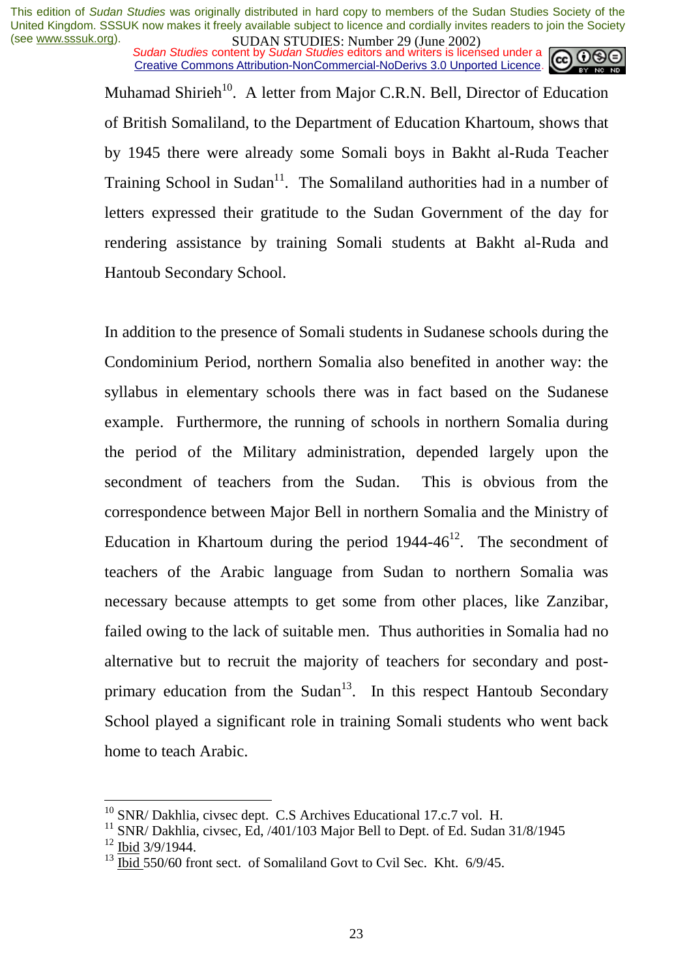*Sudan Studies content by Sudan Studies editors and writers is licensed under a* Creative Commons Attribution-NonCommercial-NoDerivs 3.0 Unported Licence.



Muhamad Shirieh<sup>10</sup>. A letter from Major C.R.N. Bell, Director of Education of British Somaliland, to the Department of Education Khartoum, shows that by 1945 there were already some Somali boys in Bakht al-Ruda Teacher Training School in Sudan<sup>11</sup>. The Somaliland authorities had in a number of letters expressed their gratitude to the Sudan Government of the day for rendering assistance by training Somali students at Bakht al-Ruda and Hantoub Secondary School.

In addition to the presence of Somali students in Sudanese schools during the Condominium Period, northern Somalia also benefited in another way: the syllabus in elementary schools there was in fact based on the Sudanese example. Furthermore, the running of schools in northern Somalia during the period of the Military administration, depended largely upon the secondment of teachers from the Sudan. This is obvious from the correspondence between Major Bell in northern Somalia and the Ministry of Education in Khartoum during the period  $1944-46^{12}$ . The secondment of teachers of the Arabic language from Sudan to northern Somalia was necessary because attempts to get some from other places, like Zanzibar, failed owing to the lack of suitable men. Thus authorities in Somalia had no alternative but to recruit the majority of teachers for secondary and postprimary education from the Sudan $13$ . In this respect Hantoub Secondary School played a significant role in training Somali students who went back home to teach Arabic.

 $10$  SNR/ Dakhlia, civsec dept. C.S Archives Educational 17.c.7 vol. H.

 $11$  SNR/ Dakhlia, civsec, Ed.  $/401/103$  Major Bell to Dept. of Ed. Sudan 31/8/1945  $12$  Ibid 3/9/1944.

 $^{13}$  Ibid 550/60 front sect. of Somaliland Govt to Cvil Sec. Kht.  $6/9/45$ .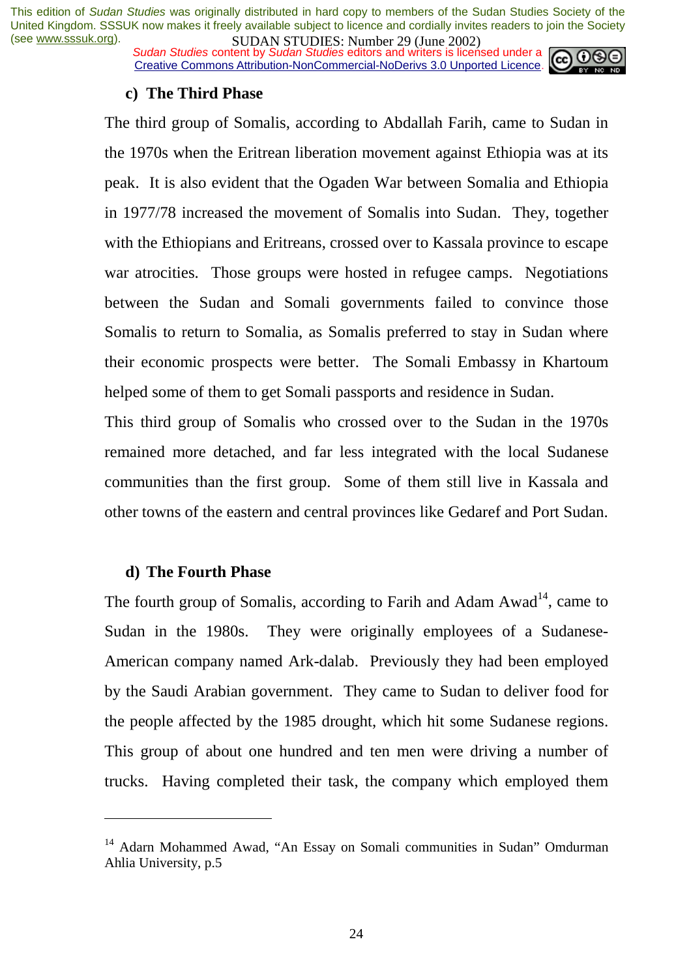*Sudan Studies content by Sudan Studies editors and writers is licensed under a* Creative Commons Attribution-NonCommercial-NoDerivs 3.0 Unported Licence.



#### **c) The Third Phase**

The third group of Somalis, according to Abdallah Farih, came to Sudan in the 1970s when the Eritrean liberation movement against Ethiopia was at its peak. It is also evident that the Ogaden War between Somalia and Ethiopia in 1977/78 increased the movement of Somalis into Sudan. They, together with the Ethiopians and Eritreans, crossed over to Kassala province to escape war atrocities. Those groups were hosted in refugee camps. Negotiations between the Sudan and Somali governments failed to convince those Somalis to return to Somalia, as Somalis preferred to stay in Sudan where their economic prospects were better. The Somali Embassy in Khartoum helped some of them to get Somali passports and residence in Sudan.

This third group of Somalis who crossed over to the Sudan in the 1970s remained more detached, and far less integrated with the local Sudanese communities than the first group. Some of them still live in Kassala and other towns of the eastern and central provinces like Gedaref and Port Sudan.

#### **d) The Fourth Phase**

 $\overline{a}$ 

The fourth group of Somalis, according to Farih and Adam Awad<sup>14</sup>, came to Sudan in the 1980s. They were originally employees of a Sudanese-American company named Ark-dalab. Previously they had been employed by the Saudi Arabian government. They came to Sudan to deliver food for the people affected by the 1985 drought, which hit some Sudanese regions. This group of about one hundred and ten men were driving a number of trucks. Having completed their task, the company which employed them

<sup>&</sup>lt;sup>14</sup> Adarn Mohammed Awad, "An Essay on Somali communities in Sudan" Omdurman Ahlia University, p.5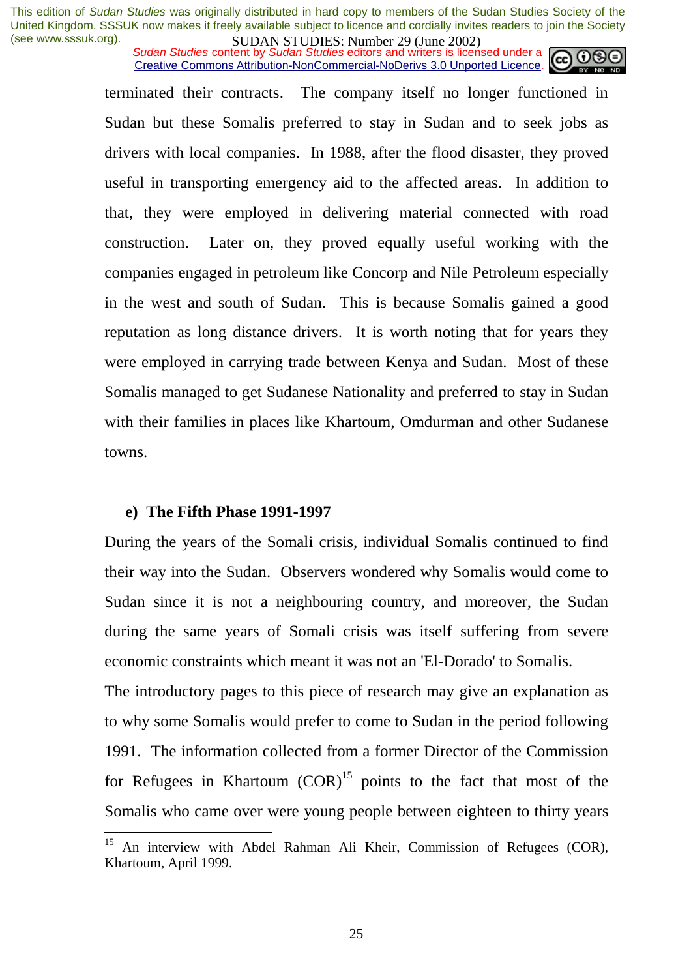*Sudan Studies content by Sudan Studies editors and writers is licensed under a* Creative Commons Attribution-NonCommercial-NoDerivs 3.0 Unported Licence.

terminated their contracts. The company itself no longer functioned in Sudan but these Somalis preferred to stay in Sudan and to seek jobs as drivers with local companies. In 1988, after the flood disaster, they proved useful in transporting emergency aid to the affected areas. In addition to that, they were employed in delivering material connected with road construction. Later on, they proved equally useful working with the companies engaged in petroleum like Concorp and Nile Petroleum especially in the west and south of Sudan. This is because Somalis gained a good reputation as long distance drivers. It is worth noting that for years they were employed in carrying trade between Kenya and Sudan. Most of these Somalis managed to get Sudanese Nationality and preferred to stay in Sudan with their families in places like Khartoum, Omdurman and other Sudanese towns.

#### **e) The Fifth Phase 1991-1997**

 $\overline{a}$ 

During the years of the Somali crisis, individual Somalis continued to find their way into the Sudan. Observers wondered why Somalis would come to Sudan since it is not a neighbouring country, and moreover, the Sudan during the same years of Somali crisis was itself suffering from severe economic constraints which meant it was not an 'El-Dorado' to Somalis.

The introductory pages to this piece of research may give an explanation as to why some Somalis would prefer to come to Sudan in the period following 1991. The information collected from a former Director of the Commission for Refugees in Khartoum  $(COR)^{15}$  points to the fact that most of the Somalis who came over were young people between eighteen to thirty years

<sup>&</sup>lt;sup>15</sup> An interview with Abdel Rahman Ali Kheir, Commission of Refugees (COR), Khartoum, April 1999.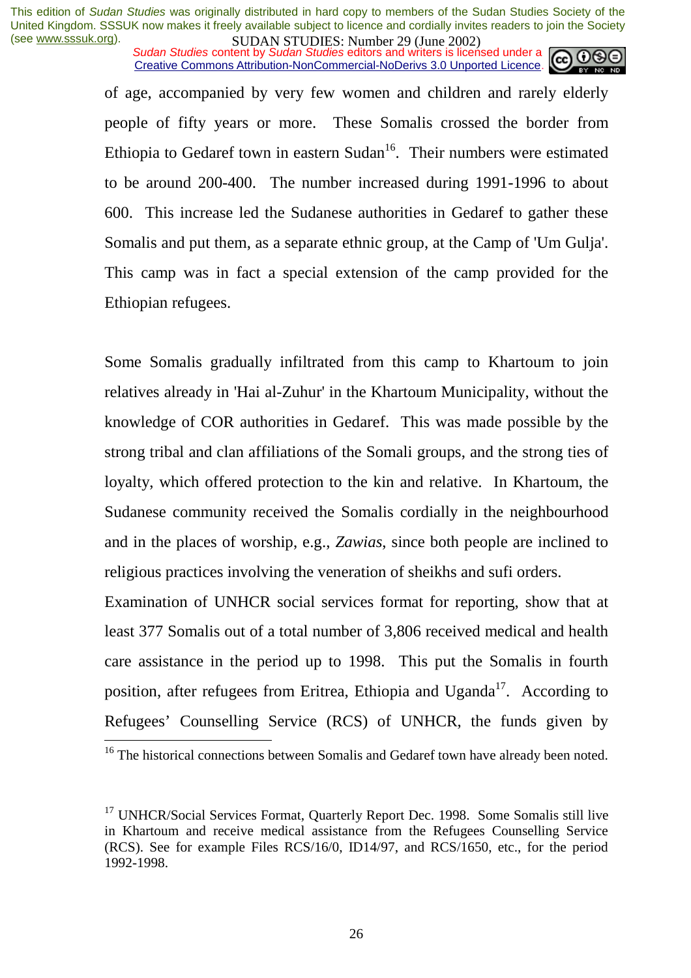*Sudan Studies content by Sudan Studies editors and writers is licensed under a* Creative Commons Attribution-NonCommercial-NoDerivs 3.0 Unported Licence.



of age, accompanied by very few women and children and rarely elderly people of fifty years or more. These Somalis crossed the border from Ethiopia to Gedaref town in eastern Sudan<sup>16</sup>. Their numbers were estimated to be around 200-400. The number increased during 1991-1996 to about 600. This increase led the Sudanese authorities in Gedaref to gather these Somalis and put them, as a separate ethnic group, at the Camp of 'Um Gulja'. This camp was in fact a special extension of the camp provided for the Ethiopian refugees.

Some Somalis gradually infiltrated from this camp to Khartoum to join relatives already in 'Hai al-Zuhur' in the Khartoum Municipality, without the knowledge of COR authorities in Gedaref. This was made possible by the strong tribal and clan affiliations of the Somali groups, and the strong ties of loyalty, which offered protection to the kin and relative. In Khartoum, the Sudanese community received the Somalis cordially in the neighbourhood and in the places of worship, e.g., *Zawias*, since both people are inclined to religious practices involving the veneration of sheikhs and sufi orders.

Examination of UNHCR social services format for reporting, show that at least 377 Somalis out of a total number of 3,806 received medical and health care assistance in the period up to 1998. This put the Somalis in fourth position, after refugees from Eritrea, Ethiopia and Uganda<sup>17</sup>. According to Refugees' Counselling Service (RCS) of UNHCR, the funds given by

 $16$  The historical connections between Somalis and Gedaref town have already been noted.

 $17$  UNHCR/Social Services Format, Quarterly Report Dec. 1998. Some Somalis still live in Khartoum and receive medical assistance from the Refugees Counselling Service (RCS). See for example Files RCS/16/0, ID14/97, and RCS/1650, etc., for the period 1992-1998.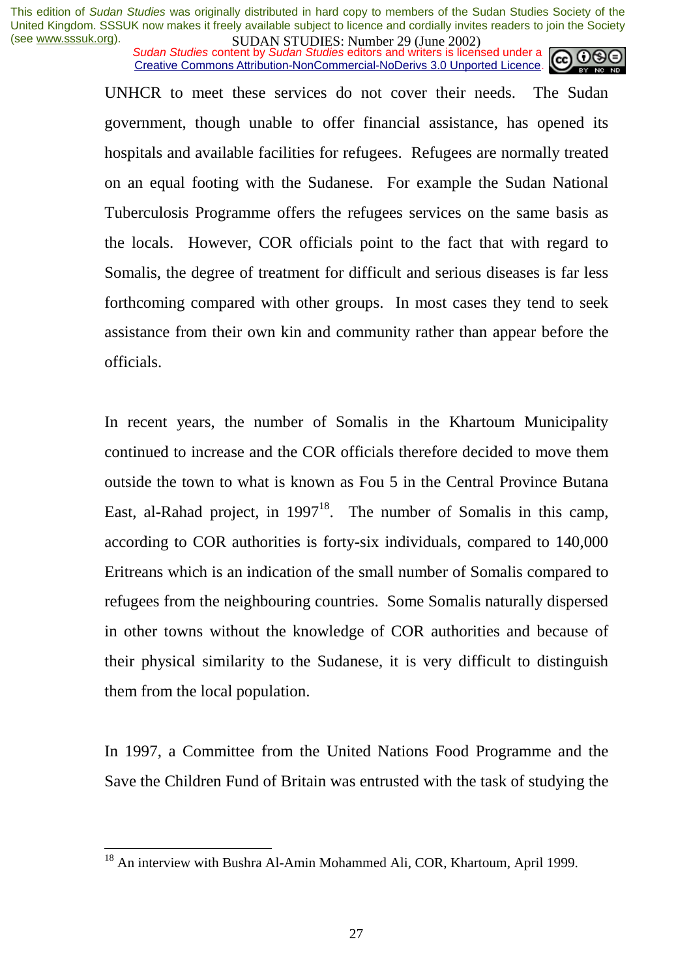*Sudan Studies content by Sudan Studies editors and writers is licensed under a* Creative Commons Attribution-NonCommercial-NoDerivs 3.0 Unported Licence.

UNHCR to meet these services do not cover their needs. The Sudan government, though unable to offer financial assistance, has opened its hospitals and available facilities for refugees. Refugees are normally treated on an equal footing with the Sudanese. For example the Sudan National Tuberculosis Programme offers the refugees services on the same basis as the locals. However, COR officials point to the fact that with regard to Somalis, the degree of treatment for difficult and serious diseases is far less forthcoming compared with other groups. In most cases they tend to seek assistance from their own kin and community rather than appear before the officials.

In recent years, the number of Somalis in the Khartoum Municipality continued to increase and the COR officials therefore decided to move them outside the town to what is known as Fou 5 in the Central Province Butana East, al-Rahad project, in  $1997^{18}$ . The number of Somalis in this camp, according to COR authorities is forty-six individuals, compared to 140,000 Eritreans which is an indication of the small number of Somalis compared to refugees from the neighbouring countries. Some Somalis naturally dispersed in other towns without the knowledge of COR authorities and because of their physical similarity to the Sudanese, it is very difficult to distinguish them from the local population.

In 1997, a Committee from the United Nations Food Programme and the Save the Children Fund of Britain was entrusted with the task of studying the

<sup>&</sup>lt;sup>18</sup> An interview with Bushra Al-Amin Mohammed Ali, COR, Khartoum, April 1999.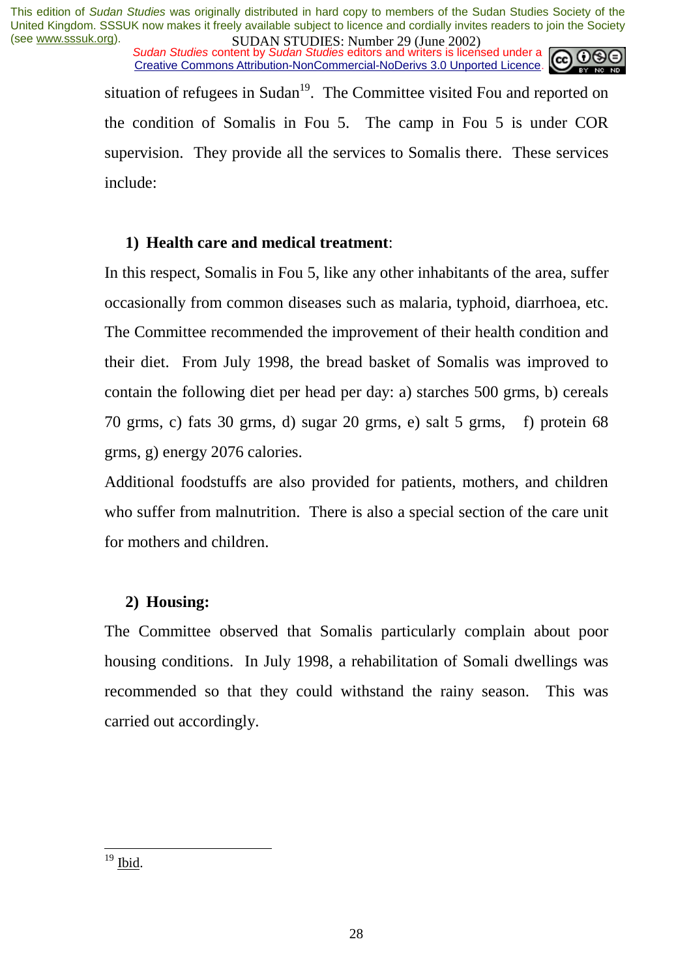*Sudan Studies content by Sudan Studies editors and writers is licensed under a* Creative Commons Attribution-NonCommercial-NoDerivs 3.0 Unported Licence.



situation of refugees in Sudan<sup>19</sup>. The Committee visited Fou and reported on the condition of Somalis in Fou 5. The camp in Fou 5 is under COR supervision. They provide all the services to Somalis there. These services include:

### **1) Health care and medical treatment**:

In this respect, Somalis in Fou 5, like any other inhabitants of the area, suffer occasionally from common diseases such as malaria, typhoid, diarrhoea, etc. The Committee recommended the improvement of their health condition and their diet. From July 1998, the bread basket of Somalis was improved to contain the following diet per head per day: a) starches 500 grms, b) cereals 70 grms, c) fats 30 grms, d) sugar 20 grms, e) salt 5 grms, f) protein 68 grms, g) energy 2076 calories.

Additional foodstuffs are also provided for patients, mothers, and children who suffer from malnutrition. There is also a special section of the care unit for mothers and children.

#### **2) Housing:**

The Committee observed that Somalis particularly complain about poor housing conditions. In July 1998, a rehabilitation of Somali dwellings was recommended so that they could withstand the rainy season. This was carried out accordingly.

 $19$  Ibid.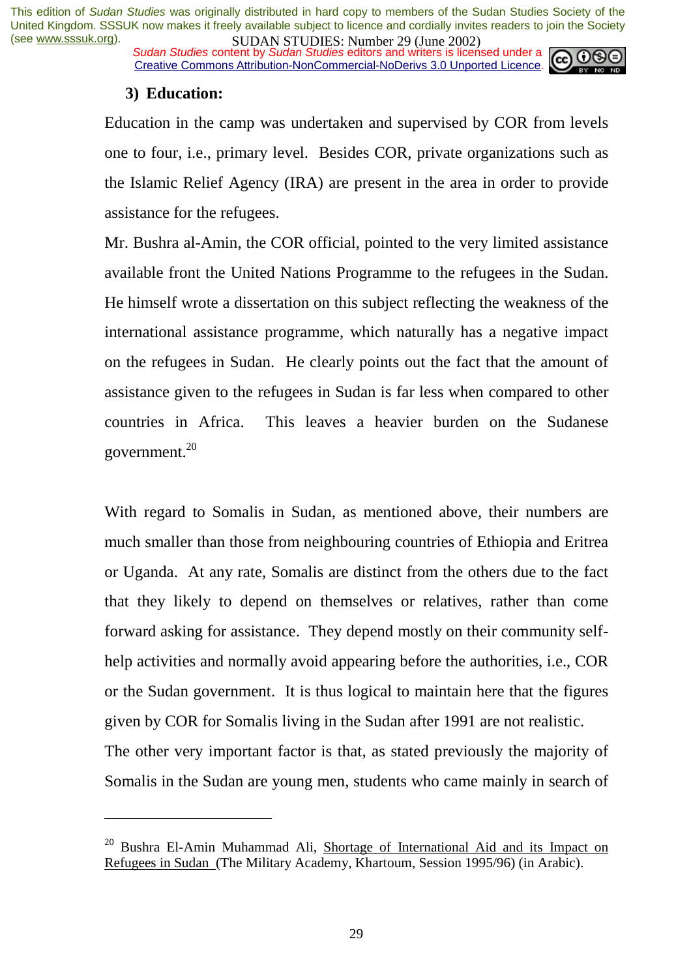*Sudan Studies content by Sudan Studies editors and writers is licensed under a* Creative Commons Attribution-NonCommercial-NoDerivs 3.0 Unported Licence.



#### **3) Education:**

 $\overline{a}$ 

Education in the camp was undertaken and supervised by COR from levels one to four, i.e., primary level. Besides COR, private organizations such as the Islamic Relief Agency (IRA) are present in the area in order to provide assistance for the refugees.

Mr. Bushra al-Amin, the COR official, pointed to the very limited assistance available front the United Nations Programme to the refugees in the Sudan. He himself wrote a dissertation on this subject reflecting the weakness of the international assistance programme, which naturally has a negative impact on the refugees in Sudan. He clearly points out the fact that the amount of assistance given to the refugees in Sudan is far less when compared to other countries in Africa. This leaves a heavier burden on the Sudanese government.20

With regard to Somalis in Sudan, as mentioned above, their numbers are much smaller than those from neighbouring countries of Ethiopia and Eritrea or Uganda. At any rate, Somalis are distinct from the others due to the fact that they likely to depend on themselves or relatives, rather than come forward asking for assistance. They depend mostly on their community selfhelp activities and normally avoid appearing before the authorities, i.e., COR or the Sudan government. It is thus logical to maintain here that the figures given by COR for Somalis living in the Sudan after 1991 are not realistic. The other very important factor is that, as stated previously the majority of

Somalis in the Sudan are young men, students who came mainly in search of

 $20$  Bushra El-Amin Muhammad Ali, Shortage of International Aid and its Impact on Refugees in Sudan (The Military Academy, Khartoum, Session 1995/96) (in Arabic).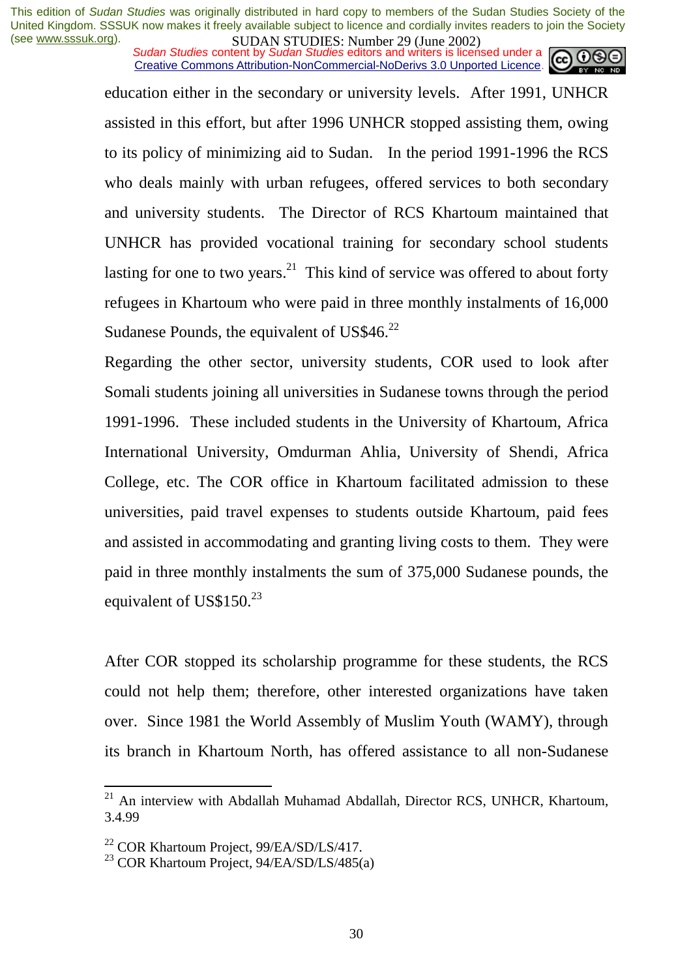*Sudan Studies content by Sudan Studies editors and writers is licensed under a* Creative Commons Attribution-NonCommercial-NoDerivs 3.0 Unported Licence.

> education either in the secondary or university levels. After 1991, UNHCR assisted in this effort, but after 1996 UNHCR stopped assisting them, owing to its policy of minimizing aid to Sudan. In the period 1991-1996 the RCS who deals mainly with urban refugees, offered services to both secondary and university students. The Director of RCS Khartoum maintained that UNHCR has provided vocational training for secondary school students lasting for one to two years.<sup>21</sup> This kind of service was offered to about forty refugees in Khartoum who were paid in three monthly instalments of 16,000 Sudanese Pounds, the equivalent of US\$46.<sup>22</sup>

> Regarding the other sector, university students, COR used to look after Somali students joining all universities in Sudanese towns through the period 1991-1996. These included students in the University of Khartoum, Africa International University, Omdurman Ahlia, University of Shendi, Africa College, etc. The COR office in Khartoum facilitated admission to these universities, paid travel expenses to students outside Khartoum, paid fees and assisted in accommodating and granting living costs to them. They were paid in three monthly instalments the sum of 375,000 Sudanese pounds, the equivalent of US\$150.<sup>23</sup>

> After COR stopped its scholarship programme for these students, the RCS could not help them; therefore, other interested organizations have taken over. Since 1981 the World Assembly of Muslim Youth (WAMY), through its branch in Khartoum North, has offered assistance to all non-Sudanese

 $21$  An interview with Abdallah Muhamad Abdallah, Director RCS, UNHCR, Khartoum, 3.4.99

<sup>&</sup>lt;sup>22</sup> COR Khartoum Project, 99/EA/SD/LS/417.

<sup>&</sup>lt;sup>23</sup> COR Khartoum Project,  $94/EA/SD/LS/485(a)$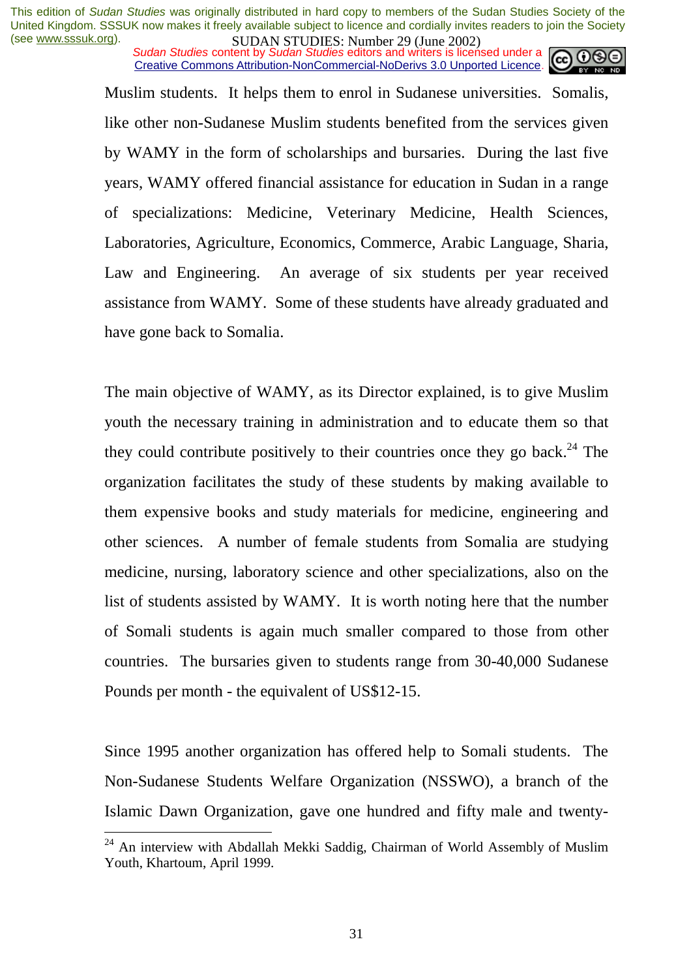*Sudan Studies content by Sudan Studies editors and writers is licensed under a* Creative Commons Attribution-NonCommercial-NoDerivs 3.0 Unported Licence.



Muslim students. It helps them to enrol in Sudanese universities. Somalis, like other non-Sudanese Muslim students benefited from the services given by WAMY in the form of scholarships and bursaries. During the last five years, WAMY offered financial assistance for education in Sudan in a range of specializations: Medicine, Veterinary Medicine, Health Sciences, Laboratories, Agriculture, Economics, Commerce, Arabic Language, Sharia, Law and Engineering. An average of six students per year received assistance from WAMY. Some of these students have already graduated and have gone back to Somalia.

The main objective of WAMY, as its Director explained, is to give Muslim youth the necessary training in administration and to educate them so that they could contribute positively to their countries once they go back.<sup>24</sup> The organization facilitates the study of these students by making available to them expensive books and study materials for medicine, engineering and other sciences. A number of female students from Somalia are studying medicine, nursing, laboratory science and other specializations, also on the list of students assisted by WAMY. It is worth noting here that the number of Somali students is again much smaller compared to those from other countries. The bursaries given to students range from 30-40,000 Sudanese Pounds per month - the equivalent of US\$12-15.

Since 1995 another organization has offered help to Somali students. The Non-Sudanese Students Welfare Organization (NSSWO), a branch of the Islamic Dawn Organization, gave one hundred and fifty male and twenty-

 $24$  An interview with Abdallah Mekki Saddig, Chairman of World Assembly of Muslim Youth, Khartoum, April 1999.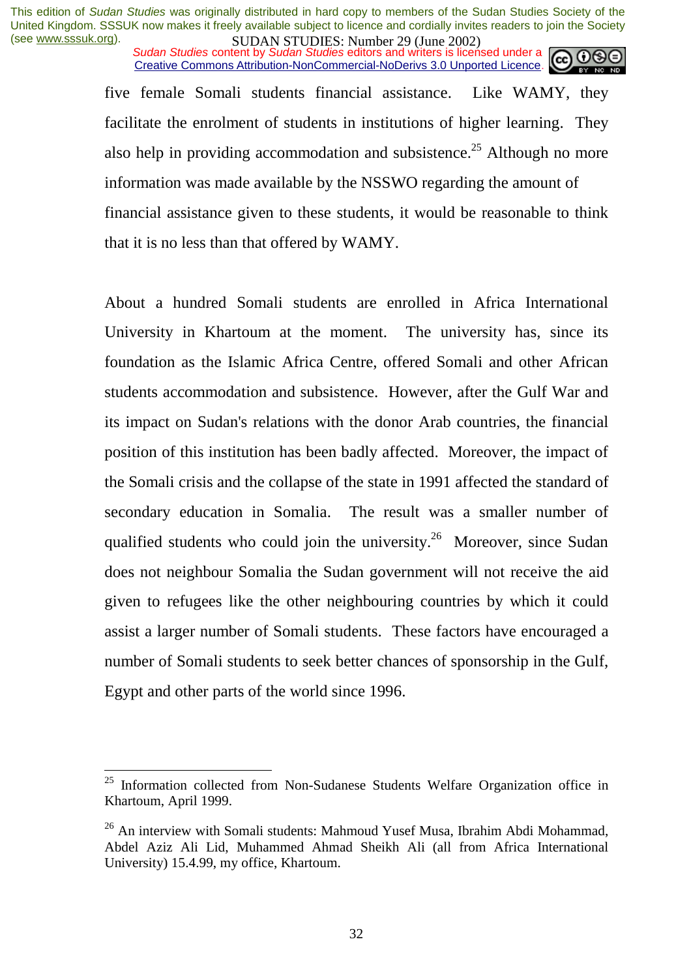*Sudan Studies content by Sudan Studies editors and writers is licensed under a* Creative Commons Attribution-NonCommercial-NoDerivs 3.0 Unported Licence.

five female Somali students financial assistance. Like WAMY, they facilitate the enrolment of students in institutions of higher learning. They also help in providing accommodation and subsistence.<sup>25</sup> Although no more information was made available by the NSSWO regarding the amount of financial assistance given to these students, it would be reasonable to think that it is no less than that offered by WAMY.

About a hundred Somali students are enrolled in Africa International University in Khartoum at the moment. The university has, since its foundation as the Islamic Africa Centre, offered Somali and other African students accommodation and subsistence. However, after the Gulf War and its impact on Sudan's relations with the donor Arab countries, the financial position of this institution has been badly affected. Moreover, the impact of the Somali crisis and the collapse of the state in 1991 affected the standard of secondary education in Somalia. The result was a smaller number of qualified students who could join the university.<sup>26</sup> Moreover, since Sudan does not neighbour Somalia the Sudan government will not receive the aid given to refugees like the other neighbouring countries by which it could assist a larger number of Somali students. These factors have encouraged a number of Somali students to seek better chances of sponsorship in the Gulf, Egypt and other parts of the world since 1996.

 $25$  Information collected from Non-Sudanese Students Welfare Organization office in Khartoum, April 1999.

 $26$  An interview with Somali students: Mahmoud Yusef Musa, Ibrahim Abdi Mohammad, Abdel Aziz Ali Lid, Muhammed Ahmad Sheikh Ali (all from Africa International University) 15.4.99, my office, Khartoum.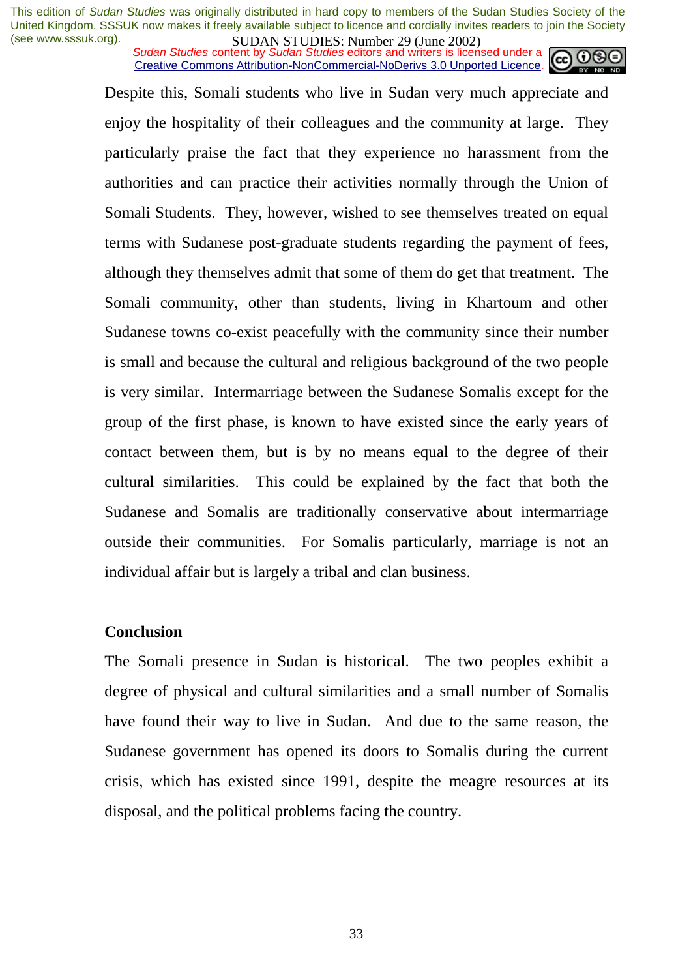*Sudan Studies content by Sudan Studies editors and writers is licensed under a* Creative Commons Attribution-NonCommercial-NoDerivs 3.0 Unported Licence.

Despite this, Somali students who live in Sudan very much appreciate and enjoy the hospitality of their colleagues and the community at large. They particularly praise the fact that they experience no harassment from the authorities and can practice their activities normally through the Union of Somali Students. They, however, wished to see themselves treated on equal terms with Sudanese post-graduate students regarding the payment of fees, although they themselves admit that some of them do get that treatment. The Somali community, other than students, living in Khartoum and other Sudanese towns co-exist peacefully with the community since their number is small and because the cultural and religious background of the two people is very similar. Intermarriage between the Sudanese Somalis except for the group of the first phase, is known to have existed since the early years of contact between them, but is by no means equal to the degree of their cultural similarities. This could be explained by the fact that both the Sudanese and Somalis are traditionally conservative about intermarriage outside their communities. For Somalis particularly, marriage is not an individual affair but is largely a tribal and clan business.

#### **Conclusion**

The Somali presence in Sudan is historical. The two peoples exhibit a degree of physical and cultural similarities and a small number of Somalis have found their way to live in Sudan. And due to the same reason, the Sudanese government has opened its doors to Somalis during the current crisis, which has existed since 1991, despite the meagre resources at its disposal, and the political problems facing the country.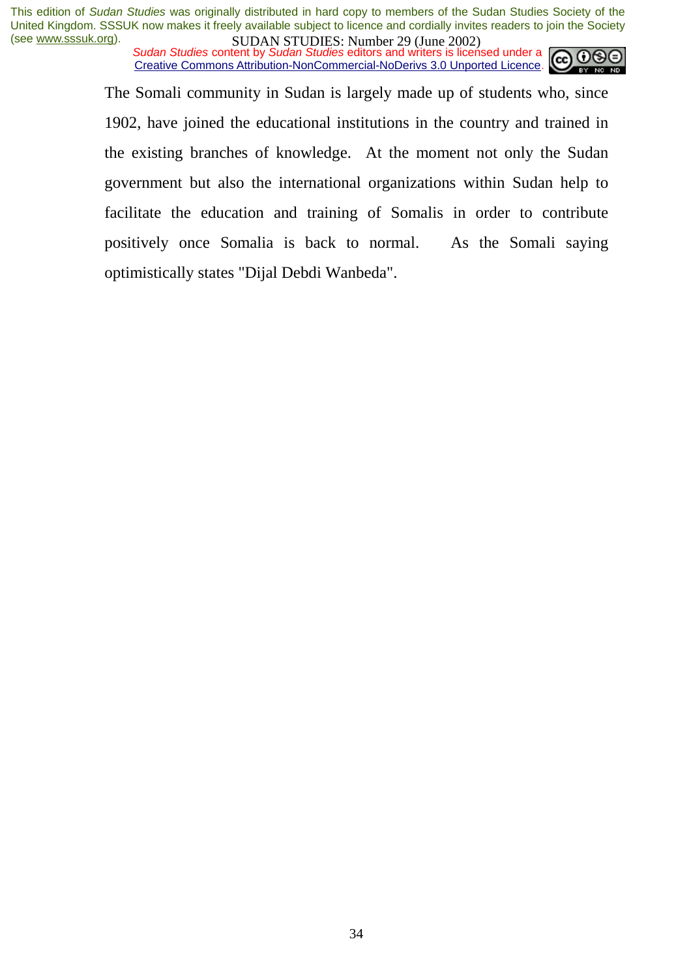*Sudan Studies content by Sudan Studies editors and writers is licensed under a* Creative Commons Attribution-NonCommercial-NoDerivs 3.0 Unported Licence.



The Somali community in Sudan is largely made up of students who, since 1902, have joined the educational institutions in the country and trained in the existing branches of knowledge. At the moment not only the Sudan government but also the international organizations within Sudan help to facilitate the education and training of Somalis in order to contribute positively once Somalia is back to normal. As the Somali saying optimistically states "Dijal Debdi Wanbeda".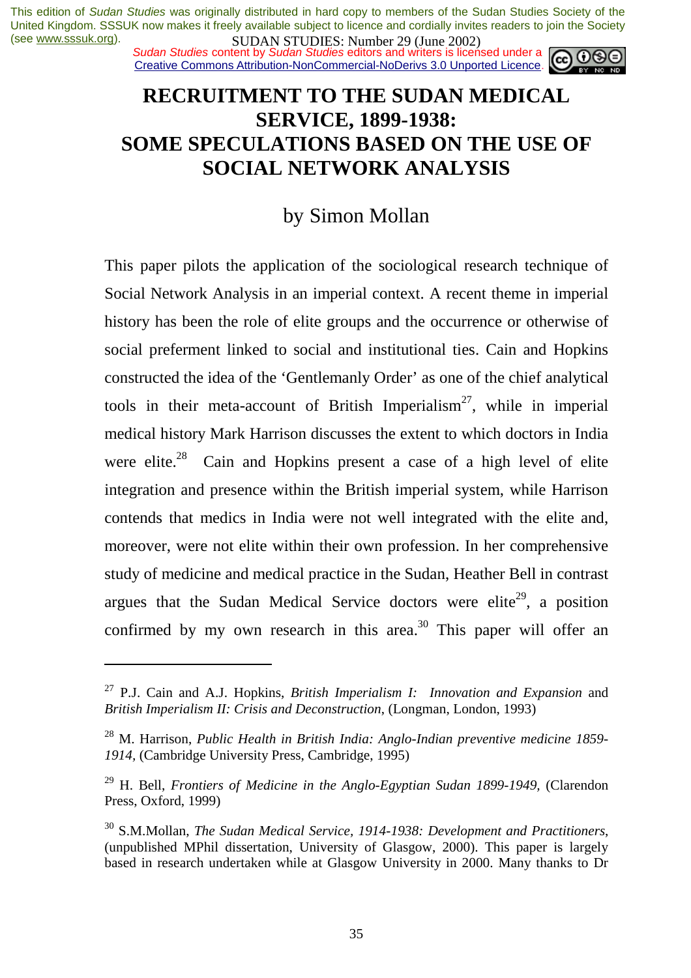*Sudan Studies content by Sudan Studies editors and writers is licensed under a* Creative Commons Attribution-NonCommercial-NoDerivs 3.0 Unported Licence.



## **RECRUITMENT TO THE SUDAN MEDICAL SERVICE, 1899-1938: SOME SPECULATIONS BASED ON THE USE OF SOCIAL NETWORK ANALYSIS**

## by Simon Mollan

This paper pilots the application of the sociological research technique of Social Network Analysis in an imperial context. A recent theme in imperial history has been the role of elite groups and the occurrence or otherwise of social preferment linked to social and institutional ties. Cain and Hopkins constructed the idea of the 'Gentlemanly Order' as one of the chief analytical tools in their meta-account of British Imperialism<sup>27</sup>, while in imperial medical history Mark Harrison discusses the extent to which doctors in India were elite.<sup>28</sup> Cain and Hopkins present a case of a high level of elite integration and presence within the British imperial system, while Harrison contends that medics in India were not well integrated with the elite and, moreover, were not elite within their own profession. In her comprehensive study of medicine and medical practice in the Sudan, Heather Bell in contrast argues that the Sudan Medical Service doctors were elite<sup>29</sup>, a position confirmed by my own research in this area.<sup>30</sup> This paper will offer an

<sup>27</sup> P.J. Cain and A.J. Hopkins, *British Imperialism I: Innovation and Expansion* and *British Imperialism II: Crisis and Deconstruction*, (Longman, London, 1993)

<sup>28</sup> M. Harrison, *Public Health in British India: Anglo-Indian preventive medicine 1859- 1914,* (Cambridge University Press, Cambridge, 1995)

<sup>&</sup>lt;sup>29</sup> H. Bell, *Frontiers of Medicine in the Anglo-Egyptian Sudan 1899-1949*, (Clarendon Press, Oxford, 1999)

<sup>30</sup> S.M.Mollan, *The Sudan Medical Service, 1914-1938: Development and Practitioners*, (unpublished MPhil dissertation, University of Glasgow, 2000). This paper is largely based in research undertaken while at Glasgow University in 2000. Many thanks to Dr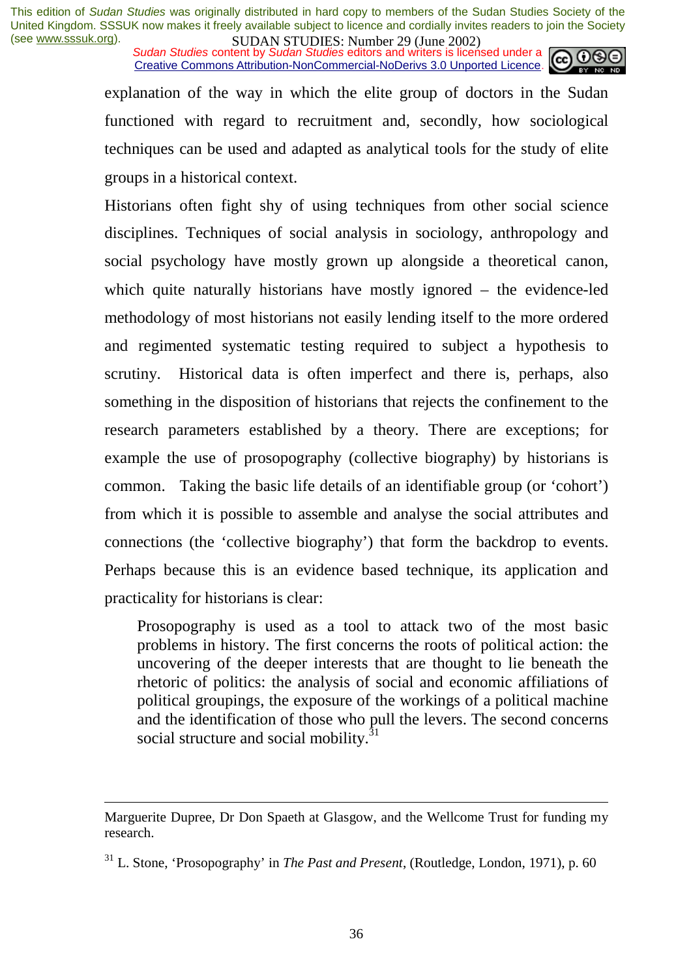*Sudan Studies content by Sudan Studies editors and writers is licensed under a* Creative Commons Attribution-NonCommercial-NoDerivs 3.0 Unported Licence.



explanation of the way in which the elite group of doctors in the Sudan functioned with regard to recruitment and, secondly, how sociological techniques can be used and adapted as analytical tools for the study of elite groups in a historical context.

Historians often fight shy of using techniques from other social science disciplines. Techniques of social analysis in sociology, anthropology and social psychology have mostly grown up alongside a theoretical canon, which quite naturally historians have mostly ignored – the evidence-led methodology of most historians not easily lending itself to the more ordered and regimented systematic testing required to subject a hypothesis to scrutiny. Historical data is often imperfect and there is, perhaps, also something in the disposition of historians that rejects the confinement to the research parameters established by a theory. There are exceptions; for example the use of prosopography (collective biography) by historians is common. Taking the basic life details of an identifiable group (or 'cohort') from which it is possible to assemble and analyse the social attributes and connections (the 'collective biography') that form the backdrop to events. Perhaps because this is an evidence based technique, its application and practicality for historians is clear:

Prosopography is used as a tool to attack two of the most basic problems in history. The first concerns the roots of political action: the uncovering of the deeper interests that are thought to lie beneath the rhetoric of politics: the analysis of social and economic affiliations of political groupings, the exposure of the workings of a political machine and the identification of those who pull the levers. The second concerns social structure and social mobility.<sup>31</sup>

Marguerite Dupree, Dr Don Spaeth at Glasgow, and the Wellcome Trust for funding my research.

<sup>31</sup> L. Stone, 'Prosopography' in *The Past and Present*, (Routledge, London, 1971), p. 60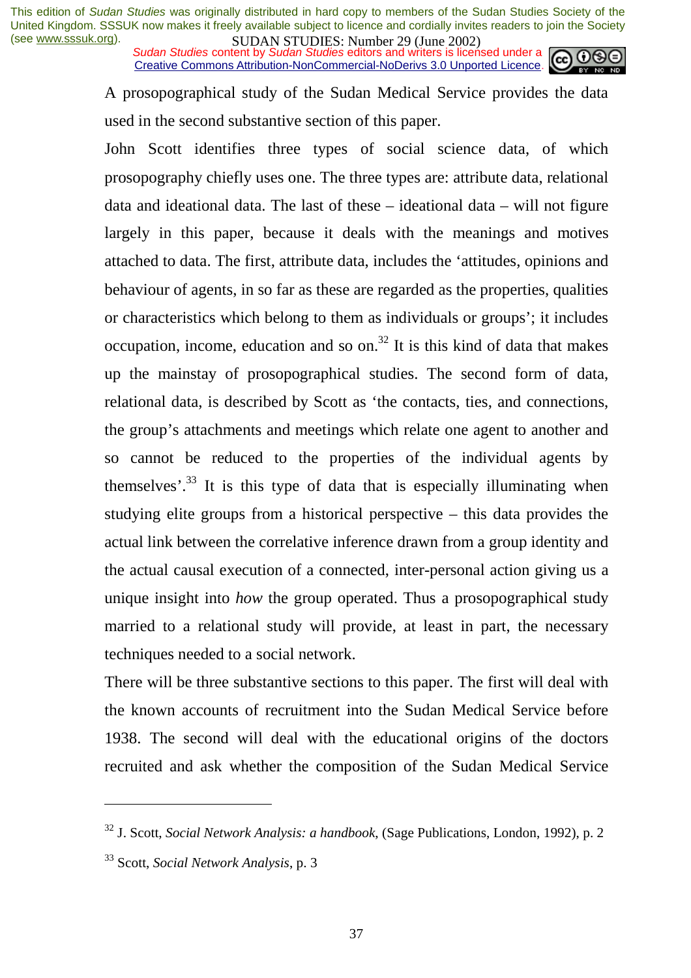*Sudan Studies content by Sudan Studies editors and writers is licensed under a* Creative Commons Attribution-NonCommercial-NoDerivs 3.0 Unported Licence.



A prosopographical study of the Sudan Medical Service provides the data used in the second substantive section of this paper.

John Scott identifies three types of social science data, of which prosopography chiefly uses one. The three types are: attribute data, relational data and ideational data. The last of these – ideational data – will not figure largely in this paper, because it deals with the meanings and motives attached to data. The first, attribute data, includes the 'attitudes, opinions and behaviour of agents, in so far as these are regarded as the properties, qualities or characteristics which belong to them as individuals or groups'; it includes occupation, income, education and so on. $32$  It is this kind of data that makes up the mainstay of prosopographical studies. The second form of data, relational data, is described by Scott as 'the contacts, ties, and connections, the group's attachments and meetings which relate one agent to another and so cannot be reduced to the properties of the individual agents by themselves'. $33$  It is this type of data that is especially illuminating when studying elite groups from a historical perspective – this data provides the actual link between the correlative inference drawn from a group identity and the actual causal execution of a connected, inter-personal action giving us a unique insight into *how* the group operated. Thus a prosopographical study married to a relational study will provide, at least in part, the necessary techniques needed to a social network.

There will be three substantive sections to this paper. The first will deal with the known accounts of recruitment into the Sudan Medical Service before 1938. The second will deal with the educational origins of the doctors recruited and ask whether the composition of the Sudan Medical Service

<sup>32</sup> J. Scott, *Social Network Analysis: a handbook*, (Sage Publications, London, 1992), p. 2

<sup>33</sup> Scott, *Social Network Analysis*, p. 3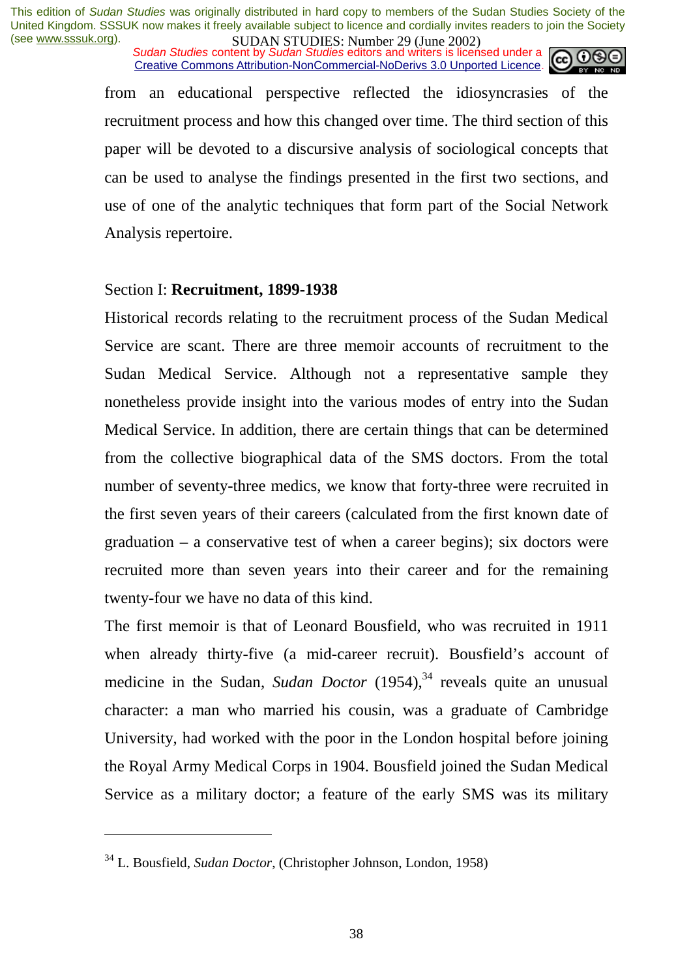*Sudan Studies content by Sudan Studies editors and writers is licensed under a* Creative Commons Attribution-NonCommercial-NoDerivs 3.0 Unported Licence.



from an educational perspective reflected the idiosyncrasies of the recruitment process and how this changed over time. The third section of this paper will be devoted to a discursive analysis of sociological concepts that can be used to analyse the findings presented in the first two sections, and use of one of the analytic techniques that form part of the Social Network Analysis repertoire.

#### Section I: **Recruitment, 1899-1938**

Historical records relating to the recruitment process of the Sudan Medical Service are scant. There are three memoir accounts of recruitment to the Sudan Medical Service. Although not a representative sample they nonetheless provide insight into the various modes of entry into the Sudan Medical Service. In addition, there are certain things that can be determined from the collective biographical data of the SMS doctors. From the total number of seventy-three medics, we know that forty-three were recruited in the first seven years of their careers (calculated from the first known date of graduation – a conservative test of when a career begins); six doctors were recruited more than seven years into their career and for the remaining twenty-four we have no data of this kind.

The first memoir is that of Leonard Bousfield, who was recruited in 1911 when already thirty-five (a mid-career recruit). Bousfield's account of medicine in the Sudan, *Sudan Doctor* (1954),<sup>34</sup> reveals quite an unusual character: a man who married his cousin, was a graduate of Cambridge University, had worked with the poor in the London hospital before joining the Royal Army Medical Corps in 1904. Bousfield joined the Sudan Medical Service as a military doctor; a feature of the early SMS was its military

<sup>34</sup> L. Bousfield, *Sudan Doctor*, (Christopher Johnson, London, 1958)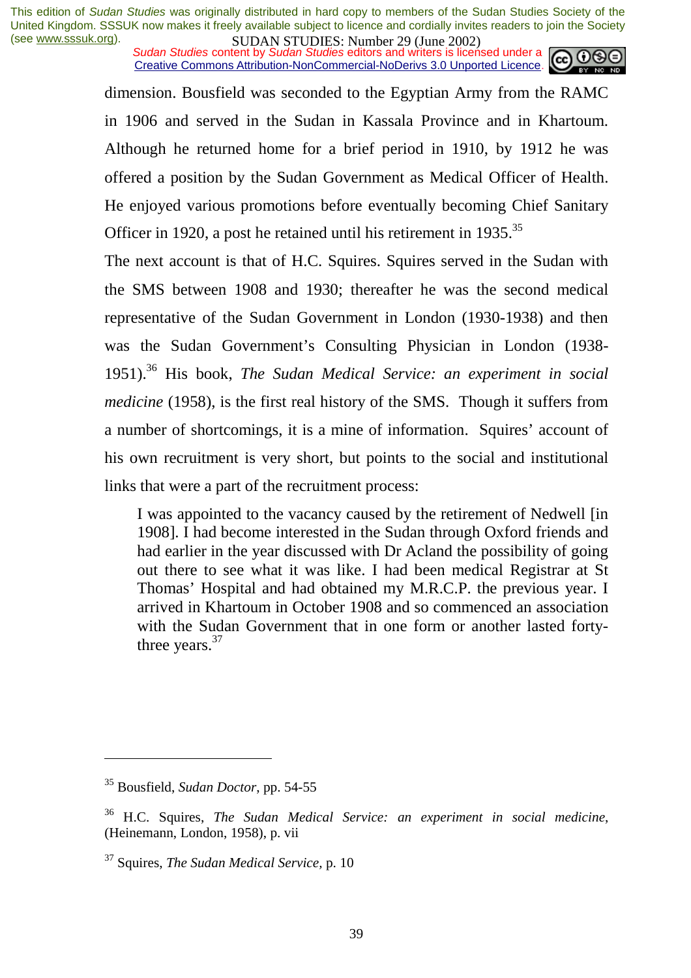*Sudan Studies content by Sudan Studies editors and writers is licensed under a* Creative Commons Attribution-NonCommercial-NoDerivs 3.0 Unported Licence.



dimension. Bousfield was seconded to the Egyptian Army from the RAMC in 1906 and served in the Sudan in Kassala Province and in Khartoum. Although he returned home for a brief period in 1910, by 1912 he was offered a position by the Sudan Government as Medical Officer of Health. He enjoyed various promotions before eventually becoming Chief Sanitary Officer in 1920, a post he retained until his retirement in 1935.<sup>35</sup>

The next account is that of H.C. Squires. Squires served in the Sudan with the SMS between 1908 and 1930; thereafter he was the second medical representative of the Sudan Government in London (1930-1938) and then was the Sudan Government's Consulting Physician in London (1938- 1951).36 His book, *The Sudan Medical Service: an experiment in social medicine* (1958), is the first real history of the SMS. Though it suffers from a number of shortcomings, it is a mine of information. Squires' account of his own recruitment is very short, but points to the social and institutional links that were a part of the recruitment process:

I was appointed to the vacancy caused by the retirement of Nedwell [in 1908]. I had become interested in the Sudan through Oxford friends and had earlier in the year discussed with Dr Acland the possibility of going out there to see what it was like. I had been medical Registrar at St Thomas' Hospital and had obtained my M.R.C.P. the previous year. I arrived in Khartoum in October 1908 and so commenced an association with the Sudan Government that in one form or another lasted fortythree years.<sup>37</sup>

<sup>35</sup> Bousfield, *Sudan Doctor*, pp. 54-55

<sup>36</sup> H.C. Squires, *The Sudan Medical Service: an experiment in social medicine*, (Heinemann, London, 1958), p. vii

<sup>37</sup> Squires, *The Sudan Medical Service,* p. 10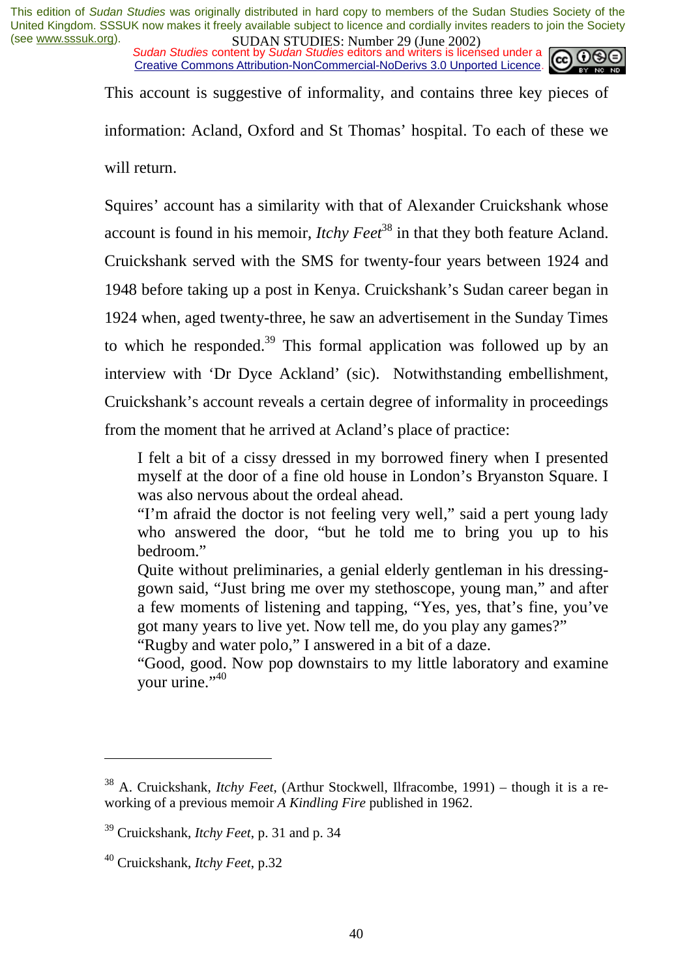*Sudan Studies content by Sudan Studies editors and writers is licensed under a* Creative Commons Attribution-NonCommercial-NoDerivs 3.0 Unported Licence.



This account is suggestive of informality, and contains three key pieces of information: Acland, Oxford and St Thomas' hospital. To each of these we will return.

Squires' account has a similarity with that of Alexander Cruickshank whose account is found in his memoir, *Itchy Feet*<sup>38</sup> in that they both feature Acland. Cruickshank served with the SMS for twenty-four years between 1924 and 1948 before taking up a post in Kenya. Cruickshank's Sudan career began in 1924 when, aged twenty-three, he saw an advertisement in the Sunday Times to which he responded.<sup>39</sup> This formal application was followed up by an interview with 'Dr Dyce Ackland' (sic). Notwithstanding embellishment, Cruickshank's account reveals a certain degree of informality in proceedings from the moment that he arrived at Acland's place of practice:

I felt a bit of a cissy dressed in my borrowed finery when I presented myself at the door of a fine old house in London's Bryanston Square. I was also nervous about the ordeal ahead.

"I'm afraid the doctor is not feeling very well," said a pert young lady who answered the door, "but he told me to bring you up to his bedroom."

Quite without preliminaries, a genial elderly gentleman in his dressinggown said, "Just bring me over my stethoscope, young man," and after a few moments of listening and tapping, "Yes, yes, that's fine, you've got many years to live yet. Now tell me, do you play any games?"

"Rugby and water polo," I answered in a bit of a daze.

"Good, good. Now pop downstairs to my little laboratory and examine vour urine." $40$ 

<sup>38</sup> A. Cruickshank, *Itchy Feet*, (Arthur Stockwell, Ilfracombe, 1991) – though it is a reworking of a previous memoir *A Kindling Fire* published in 1962.

<sup>39</sup> Cruickshank, *Itchy Feet*, p. 31 and p. 34

<sup>40</sup> Cruickshank, *Itchy Feet*, p.32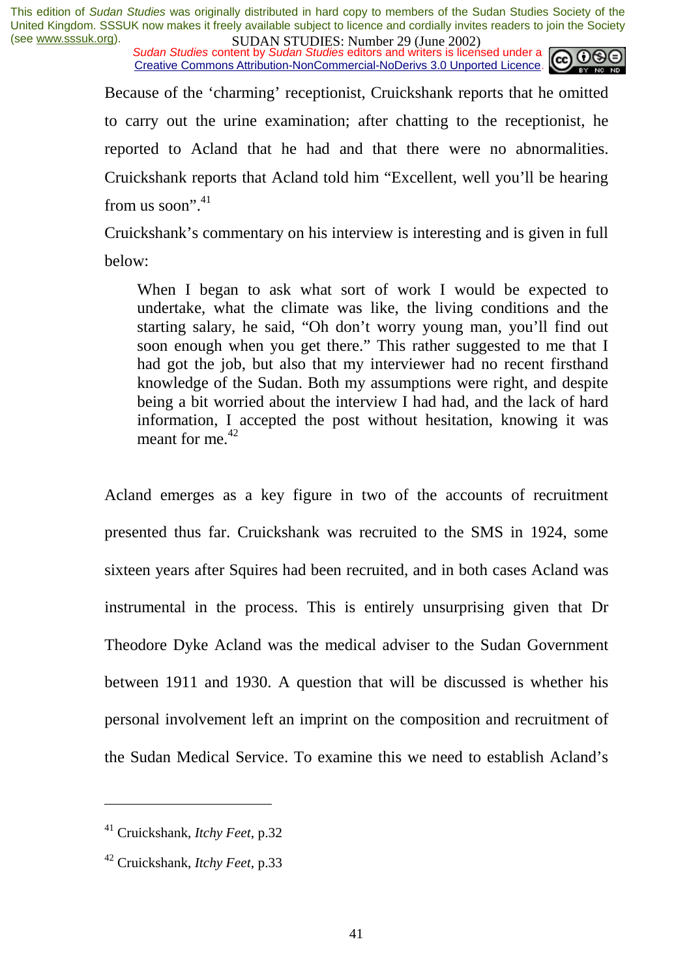*Sudan Studies content by Sudan Studies editors and writers is licensed under a* Creative Commons Attribution-NonCommercial-NoDerivs 3.0 Unported Licence.



Because of the 'charming' receptionist, Cruickshank reports that he omitted to carry out the urine examination; after chatting to the receptionist, he reported to Acland that he had and that there were no abnormalities. Cruickshank reports that Acland told him "Excellent, well you'll be hearing from us soon". $41$ 

Cruickshank's commentary on his interview is interesting and is given in full below:

When I began to ask what sort of work I would be expected to undertake, what the climate was like, the living conditions and the starting salary, he said, "Oh don't worry young man, you'll find out soon enough when you get there." This rather suggested to me that I had got the job, but also that my interviewer had no recent firsthand knowledge of the Sudan. Both my assumptions were right, and despite being a bit worried about the interview I had had, and the lack of hard information, I accepted the post without hesitation, knowing it was meant for me. $^{42}$ 

Acland emerges as a key figure in two of the accounts of recruitment presented thus far. Cruickshank was recruited to the SMS in 1924, some sixteen years after Squires had been recruited, and in both cases Acland was instrumental in the process. This is entirely unsurprising given that Dr Theodore Dyke Acland was the medical adviser to the Sudan Government between 1911 and 1930. A question that will be discussed is whether his personal involvement left an imprint on the composition and recruitment of the Sudan Medical Service. To examine this we need to establish Acland's

<sup>41</sup> Cruickshank, *Itchy Feet*, p.32

<sup>42</sup> Cruickshank, *Itchy Feet*, p.33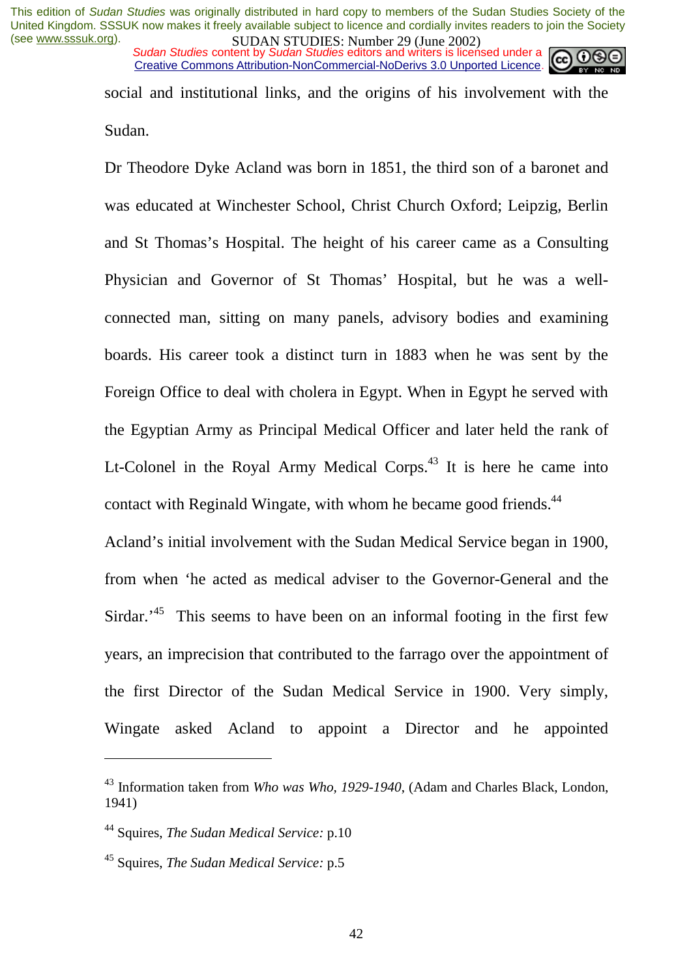*Sudan Studies content by Sudan Studies editors and writers is licensed under a* Creative Commons Attribution-NonCommercial-NoDerivs 3.0 Unported Licence.



social and institutional links, and the origins of his involvement with the Sudan.

Dr Theodore Dyke Acland was born in 1851, the third son of a baronet and was educated at Winchester School, Christ Church Oxford; Leipzig, Berlin and St Thomas's Hospital. The height of his career came as a Consulting Physician and Governor of St Thomas' Hospital, but he was a wellconnected man, sitting on many panels, advisory bodies and examining boards. His career took a distinct turn in 1883 when he was sent by the Foreign Office to deal with cholera in Egypt. When in Egypt he served with the Egyptian Army as Principal Medical Officer and later held the rank of Lt-Colonel in the Royal Army Medical Corps.<sup>43</sup> It is here he came into contact with Reginald Wingate, with whom he became good friends.<sup>44</sup>

Acland's initial involvement with the Sudan Medical Service began in 1900, from when 'he acted as medical adviser to the Governor-General and the Sirdar.<sup> $45$ </sup> This seems to have been on an informal footing in the first few years, an imprecision that contributed to the farrago over the appointment of the first Director of the Sudan Medical Service in 1900. Very simply, Wingate asked Acland to appoint a Director and he appointed

<sup>43</sup> Information taken from *Who was Who, 1929-1940*, (Adam and Charles Black, London, 1941)

<sup>44</sup> Squires, *The Sudan Medical Service:* p.10

<sup>45</sup> Squires, *The Sudan Medical Service:* p.5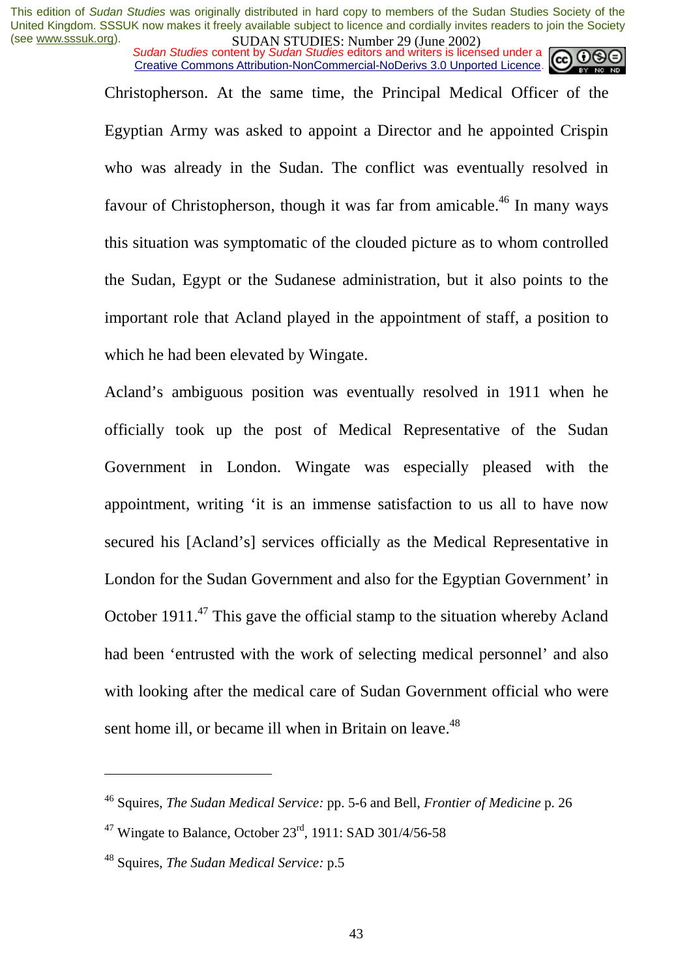*Sudan Studies content by Sudan Studies editors and writers is licensed under a* Creative Commons Attribution-NonCommercial-NoDerivs 3.0 Unported Licence.

> Christopherson. At the same time, the Principal Medical Officer of the Egyptian Army was asked to appoint a Director and he appointed Crispin who was already in the Sudan. The conflict was eventually resolved in favour of Christopherson, though it was far from amicable.<sup>46</sup> In many ways this situation was symptomatic of the clouded picture as to whom controlled the Sudan, Egypt or the Sudanese administration, but it also points to the important role that Acland played in the appointment of staff, a position to which he had been elevated by Wingate.

> Acland's ambiguous position was eventually resolved in 1911 when he officially took up the post of Medical Representative of the Sudan Government in London. Wingate was especially pleased with the appointment, writing 'it is an immense satisfaction to us all to have now secured his [Acland's] services officially as the Medical Representative in London for the Sudan Government and also for the Egyptian Government' in October 1911.<sup>47</sup> This gave the official stamp to the situation whereby Acland had been 'entrusted with the work of selecting medical personnel' and also with looking after the medical care of Sudan Government official who were sent home ill, or became ill when in Britain on leave.<sup>48</sup>

<sup>46</sup> Squires, *The Sudan Medical Service:* pp. 5-6 and Bell, *Frontier of Medicine* p. 26

<sup>&</sup>lt;sup>47</sup> Wingate to Balance, October  $23^{\text{rd}}$ , 1911: SAD 301/4/56-58

<sup>48</sup> Squires, *The Sudan Medical Service:* p.5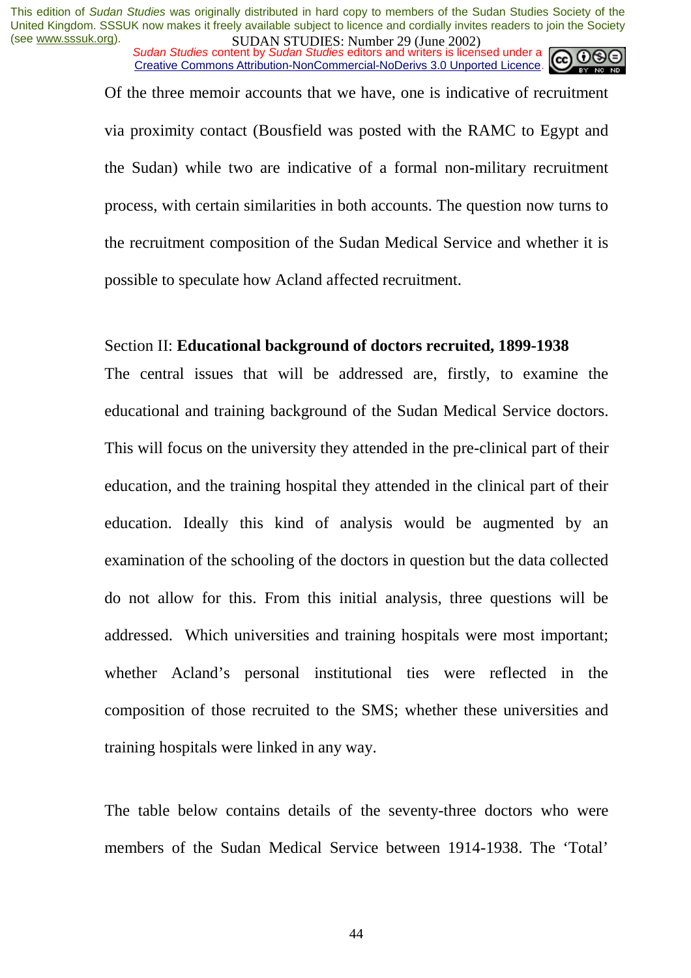*Sudan Studies content by Sudan Studies editors and writers is licensed under a* Creative Commons Attribution-NonCommercial-NoDerivs 3.0 Unported Licence.

Of the three memoir accounts that we have, one is indicative of recruitment via proximity contact (Bousfield was posted with the RAMC to Egypt and the Sudan) while two are indicative of a formal non-military recruitment process, with certain similarities in both accounts. The question now turns to the recruitment composition of the Sudan Medical Service and whether it is possible to speculate how Acland affected recruitment.

#### Section II: **Educational background of doctors recruited, 1899-1938**

The central issues that will be addressed are, firstly, to examine the educational and training background of the Sudan Medical Service doctors. This will focus on the university they attended in the pre-clinical part of their education, and the training hospital they attended in the clinical part of their education. Ideally this kind of analysis would be augmented by an examination of the schooling of the doctors in question but the data collected do not allow for this. From this initial analysis, three questions will be addressed. Which universities and training hospitals were most important; whether Acland's personal institutional ties were reflected in the composition of those recruited to the SMS; whether these universities and training hospitals were linked in any way.

The table below contains details of the seventy-three doctors who were members of the Sudan Medical Service between 1914-1938. The 'Total'

44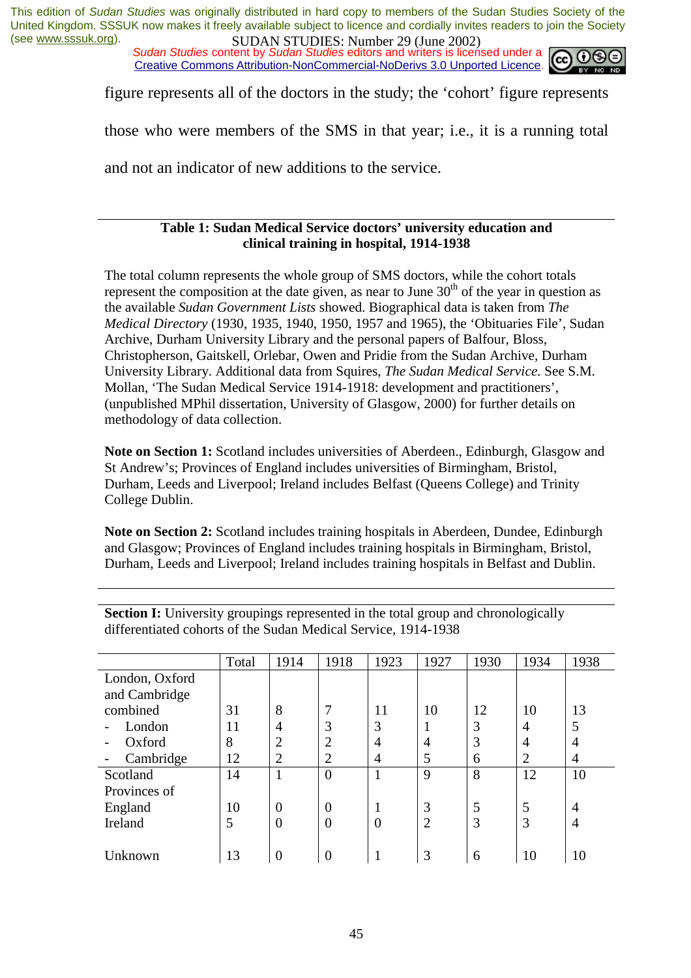*Sudan Studies content by Sudan Studies editors and writers is licensed under a* Creative Commons Attribution-NonCommercial-NoDerivs 3.0 Unported Licence.



figure represents all of the doctors in the study; the 'cohort' figure represents

those who were members of the SMS in that year; i.e., it is a running total

and not an indicator of new additions to the service.

#### **Table 1: Sudan Medical Service doctors' university education and clinical training in hospital, 1914-1938**

The total column represents the whole group of SMS doctors, while the cohort totals represent the composition at the date given, as near to June  $30<sup>th</sup>$  of the year in question as the available *Sudan Government Lists* showed. Biographical data is taken from *The Medical Directory* (1930, 1935, 1940, 1950, 1957 and 1965), the 'Obituaries File', Sudan Archive, Durham University Library and the personal papers of Balfour, Bloss, Christopherson, Gaitskell, Orlebar, Owen and Pridie from the Sudan Archive, Durham University Library. Additional data from Squires, *The Sudan Medical Service.* See S.M. Mollan, 'The Sudan Medical Service 1914-1918: development and practitioners', (unpublished MPhil dissertation, University of Glasgow, 2000) for further details on methodology of data collection.

**Note on Section 1:** Scotland includes universities of Aberdeen., Edinburgh, Glasgow and St Andrew's; Provinces of England includes universities of Birmingham, Bristol, Durham, Leeds and Liverpool; Ireland includes Belfast (Queens College) and Trinity College Dublin.

**Note on Section 2:** Scotland includes training hospitals in Aberdeen, Dundee, Edinburgh and Glasgow; Provinces of England includes training hospitals in Birmingham, Bristol, Durham, Leeds and Liverpool; Ireland includes training hospitals in Belfast and Dublin.

|                | Total | 1914           | 1918           | 1923           | 1927           | 1930 | 1934           | 1938 |
|----------------|-------|----------------|----------------|----------------|----------------|------|----------------|------|
| London, Oxford |       |                |                |                |                |      |                |      |
| and Cambridge  |       |                |                |                |                |      |                |      |
| combined       | 31    | 8              |                | 11             | 10             | 12   | 10             | 13   |
| London         | 11    | $\overline{4}$ | 3              | 3              |                | 3    | $\overline{4}$ |      |
| Oxford         | 8     | $\overline{2}$ | $\overline{2}$ | 4              | 4              | 3    | $\overline{4}$ | 4    |
| Cambridge      | 12    | $\overline{2}$ | $\overline{2}$ | $\overline{4}$ | 5              | 6    | $\overline{2}$ | 4    |
| Scotland       | 14    |                | $\overline{0}$ | 1              | 9              | 8    | 12             | 10   |
| Provinces of   |       |                |                |                |                |      |                |      |
| England        | 10    | $\overline{0}$ | $\overline{0}$ | T              | 3              | 5    | 5              | 4    |
| Ireland        | 5     | $\overline{0}$ | $\overline{0}$ | $\overline{0}$ | $\overline{2}$ | 3    | 3              | 4    |
|                |       |                |                |                |                |      |                |      |
| Unknown        | 13    | 0              |                |                | 3              | 6    | 10             | 10   |

**Section I:** University groupings represented in the total group and chronologically differentiated cohorts of the Sudan Medical Service, 1914-1938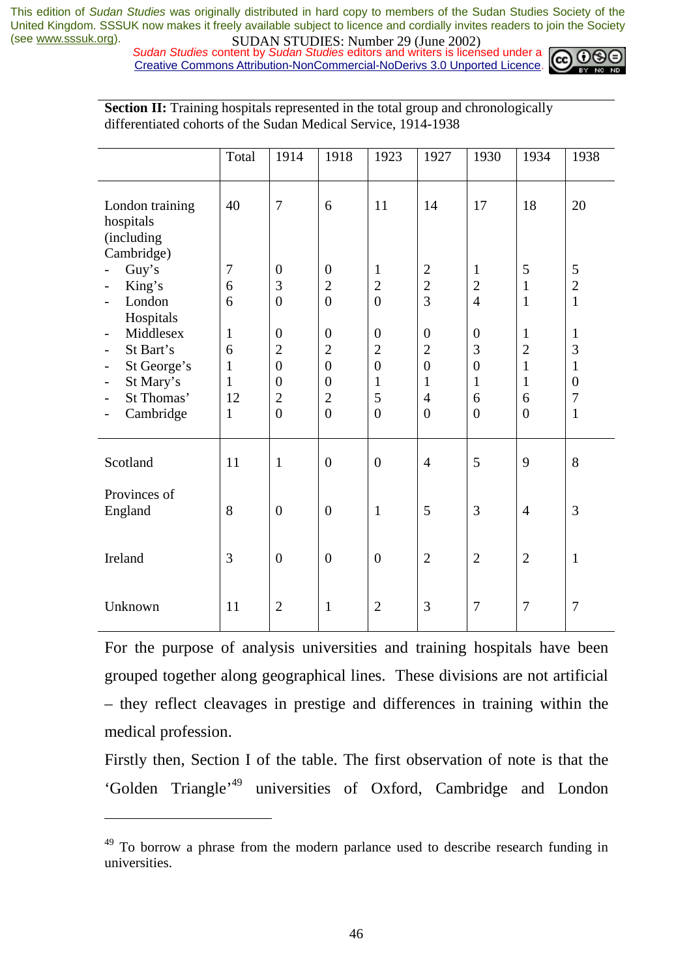*Sudan Studies content by Sudan Studies editors and writers is licensed under a* Creative Commons Attribution-NonCommercial-NoDerivs 3.0 Unported Licence.



|                                                                                                                                                                                                                    | Total                                                                   | 1914                                                                                                       | 1918                                                                                                       | 1923                                                                                        | 1927                                                                                                   | 1930                                                                           | 1934                                                                       | 1938                                                                          |
|--------------------------------------------------------------------------------------------------------------------------------------------------------------------------------------------------------------------|-------------------------------------------------------------------------|------------------------------------------------------------------------------------------------------------|------------------------------------------------------------------------------------------------------------|---------------------------------------------------------------------------------------------|--------------------------------------------------------------------------------------------------------|--------------------------------------------------------------------------------|----------------------------------------------------------------------------|-------------------------------------------------------------------------------|
| London training<br>hospitals<br>(including<br>Cambridge)                                                                                                                                                           | 40                                                                      | $\overline{7}$                                                                                             | 6                                                                                                          | 11                                                                                          | 14                                                                                                     | 17                                                                             | 18                                                                         | 20                                                                            |
| Guy's<br>King's<br>$\qquad \qquad \blacksquare$<br>London<br>Hospitals                                                                                                                                             | 7<br>6<br>6                                                             | $\overline{0}$<br>3<br>$\overline{0}$                                                                      | $\overline{0}$<br>$\overline{2}$<br>$\overline{0}$                                                         | $\mathbf{1}$<br>$\overline{2}$<br>$\overline{0}$                                            | $\overline{2}$<br>$\overline{2}$<br>$\overline{3}$                                                     | $\mathbf{1}$<br>$\overline{2}$<br>$\overline{4}$                               | 5<br>$\mathbf{1}$<br>$\mathbf{1}$                                          | 5<br>$\overline{2}$<br>$\mathbf{1}$                                           |
| Middlesex<br>$\overline{\phantom{a}}$<br>St Bart's<br>$\qquad \qquad -$<br>St George's<br>$\overline{\phantom{a}}$<br>St Mary's<br>$\overline{\phantom{a}}$<br>St Thomas'<br>Cambridge<br>$\overline{\phantom{a}}$ | $\mathbf{1}$<br>6<br>$\mathbf{1}$<br>$\mathbf{1}$<br>12<br>$\mathbf{1}$ | $\boldsymbol{0}$<br>$\overline{2}$<br>$\overline{0}$<br>$\overline{0}$<br>$\overline{2}$<br>$\overline{0}$ | $\boldsymbol{0}$<br>$\overline{2}$<br>$\overline{0}$<br>$\overline{0}$<br>$\overline{2}$<br>$\overline{0}$ | $\boldsymbol{0}$<br>$\overline{2}$<br>$\overline{0}$<br>$\mathbf{1}$<br>5<br>$\overline{0}$ | $\overline{0}$<br>$\overline{2}$<br>$\overline{0}$<br>$\mathbf{1}$<br>$\overline{4}$<br>$\overline{0}$ | $\overline{0}$<br>3<br>$\boldsymbol{0}$<br>$\mathbf{1}$<br>6<br>$\overline{0}$ | $\mathbf{1}$<br>$\overline{2}$<br>$\mathbf{1}$<br>1<br>6<br>$\overline{0}$ | $\mathbf{1}$<br>3<br>$\mathbf{1}$<br>$\overline{0}$<br>$\tau$<br>$\mathbf{1}$ |
| Scotland                                                                                                                                                                                                           | 11                                                                      | $\mathbf{1}$                                                                                               | $\overline{0}$                                                                                             | $\boldsymbol{0}$                                                                            | $\overline{4}$                                                                                         | 5                                                                              | 9                                                                          | 8                                                                             |
| Provinces of<br>England                                                                                                                                                                                            | 8                                                                       | $\overline{0}$                                                                                             | $\overline{0}$                                                                                             | $\mathbf{1}$                                                                                | 5                                                                                                      | 3                                                                              | $\overline{4}$                                                             | 3                                                                             |
| Ireland                                                                                                                                                                                                            | 3                                                                       | $\overline{0}$                                                                                             | $\overline{0}$                                                                                             | $\overline{0}$                                                                              | $\overline{2}$                                                                                         | $\overline{2}$                                                                 | $\overline{2}$                                                             | $\mathbf{1}$                                                                  |
| Unknown                                                                                                                                                                                                            | 11                                                                      | $\overline{2}$                                                                                             | 1                                                                                                          | $\overline{2}$                                                                              | 3                                                                                                      | $\overline{7}$                                                                 | $\overline{7}$                                                             | $\tau$                                                                        |

**Section II:** Training hospitals represented in the total group and chronologically differentiated cohorts of the Sudan Medical Service, 1914-1938

For the purpose of analysis universities and training hospitals have been grouped together along geographical lines. These divisions are not artificial – they reflect cleavages in prestige and differences in training within the medical profession.

Firstly then, Section I of the table. The first observation of note is that the 'Golden Triangle'49 universities of Oxford, Cambridge and London

 To borrow a phrase from the modern parlance used to describe research funding in universities.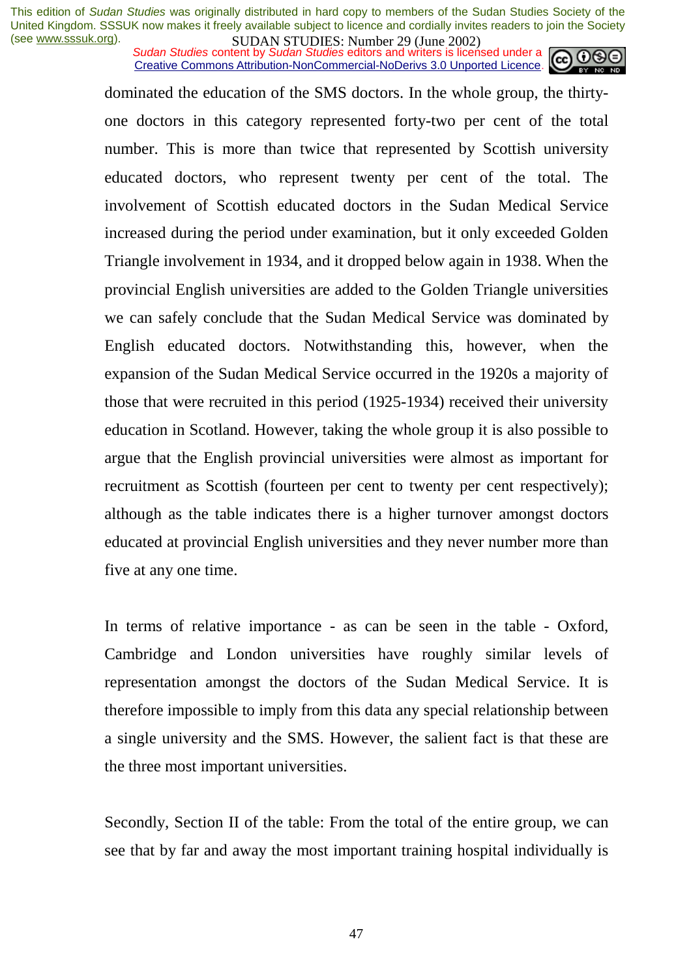*Sudan Studies content by Sudan Studies editors and writers is licensed under a* Creative Commons Attribution-NonCommercial-NoDerivs 3.0 Unported Licence.



dominated the education of the SMS doctors. In the whole group, the thirtyone doctors in this category represented forty-two per cent of the total number. This is more than twice that represented by Scottish university educated doctors, who represent twenty per cent of the total. The involvement of Scottish educated doctors in the Sudan Medical Service increased during the period under examination, but it only exceeded Golden Triangle involvement in 1934, and it dropped below again in 1938. When the provincial English universities are added to the Golden Triangle universities we can safely conclude that the Sudan Medical Service was dominated by English educated doctors. Notwithstanding this, however, when the expansion of the Sudan Medical Service occurred in the 1920s a majority of those that were recruited in this period (1925-1934) received their university education in Scotland. However, taking the whole group it is also possible to argue that the English provincial universities were almost as important for recruitment as Scottish (fourteen per cent to twenty per cent respectively); although as the table indicates there is a higher turnover amongst doctors educated at provincial English universities and they never number more than five at any one time.

In terms of relative importance - as can be seen in the table - Oxford, Cambridge and London universities have roughly similar levels of representation amongst the doctors of the Sudan Medical Service. It is therefore impossible to imply from this data any special relationship between a single university and the SMS. However, the salient fact is that these are the three most important universities.

Secondly, Section II of the table: From the total of the entire group, we can see that by far and away the most important training hospital individually is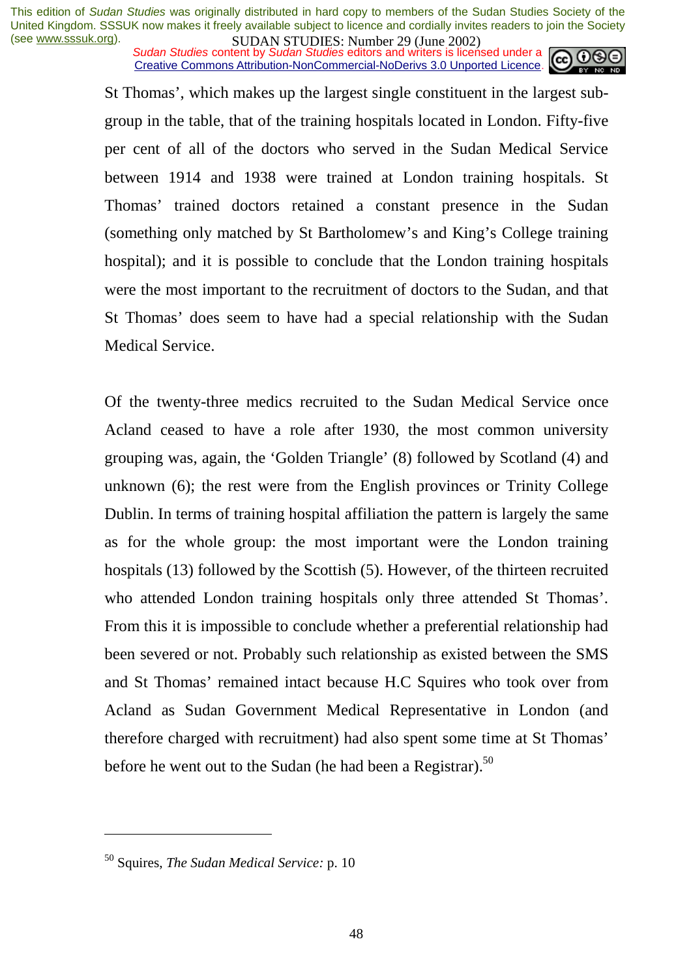*Sudan Studies content by Sudan Studies editors and writers is licensed under a* Creative Commons Attribution-NonCommercial-NoDerivs 3.0 Unported Licence.



St Thomas', which makes up the largest single constituent in the largest subgroup in the table, that of the training hospitals located in London. Fifty-five per cent of all of the doctors who served in the Sudan Medical Service between 1914 and 1938 were trained at London training hospitals. St Thomas' trained doctors retained a constant presence in the Sudan (something only matched by St Bartholomew's and King's College training hospital); and it is possible to conclude that the London training hospitals were the most important to the recruitment of doctors to the Sudan, and that St Thomas' does seem to have had a special relationship with the Sudan Medical Service.

Of the twenty-three medics recruited to the Sudan Medical Service once Acland ceased to have a role after 1930, the most common university grouping was, again, the 'Golden Triangle' (8) followed by Scotland (4) and unknown (6); the rest were from the English provinces or Trinity College Dublin. In terms of training hospital affiliation the pattern is largely the same as for the whole group: the most important were the London training hospitals (13) followed by the Scottish (5). However, of the thirteen recruited who attended London training hospitals only three attended St Thomas'. From this it is impossible to conclude whether a preferential relationship had been severed or not. Probably such relationship as existed between the SMS and St Thomas' remained intact because H.C Squires who took over from Acland as Sudan Government Medical Representative in London (and therefore charged with recruitment) had also spent some time at St Thomas' before he went out to the Sudan (he had been a Registrar).<sup>50</sup>

<sup>50</sup> Squires, *The Sudan Medical Service:* p. 10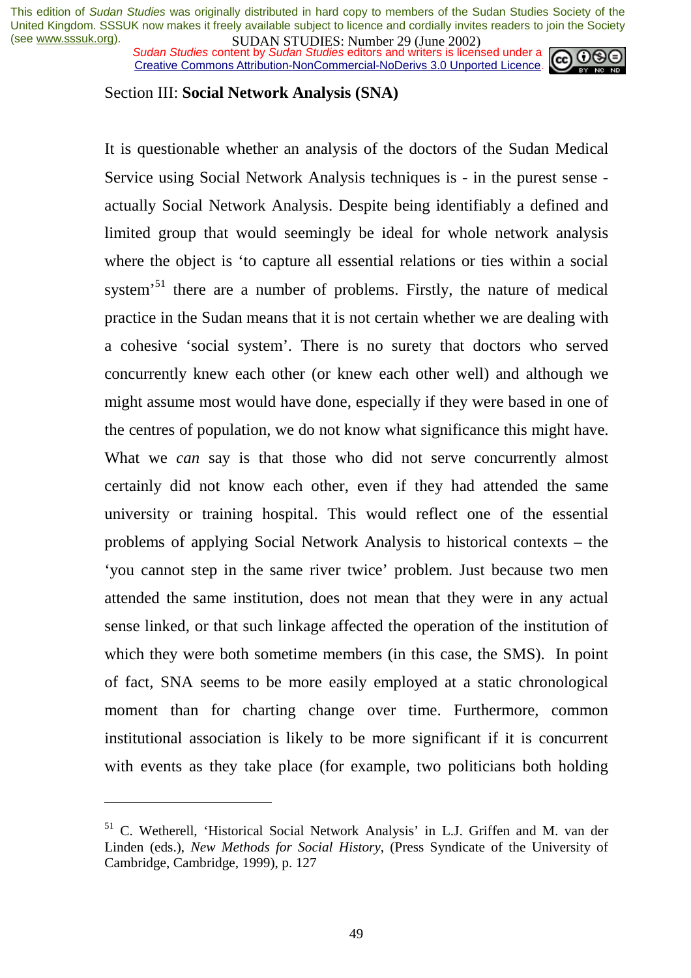*Sudan Studies content by Sudan Studies editors and writers is licensed under a* Creative Commons Attribution-NonCommercial-NoDerivs 3.0 Unported Licence.



#### Section III: **Social Network Analysis (SNA)**

It is questionable whether an analysis of the doctors of the Sudan Medical Service using Social Network Analysis techniques is - in the purest sense actually Social Network Analysis. Despite being identifiably a defined and limited group that would seemingly be ideal for whole network analysis where the object is 'to capture all essential relations or ties within a social system<sup>51</sup> there are a number of problems. Firstly, the nature of medical practice in the Sudan means that it is not certain whether we are dealing with a cohesive 'social system'. There is no surety that doctors who served concurrently knew each other (or knew each other well) and although we might assume most would have done, especially if they were based in one of the centres of population, we do not know what significance this might have. What we *can* say is that those who did not serve concurrently almost certainly did not know each other, even if they had attended the same university or training hospital. This would reflect one of the essential problems of applying Social Network Analysis to historical contexts – the 'you cannot step in the same river twice' problem. Just because two men attended the same institution, does not mean that they were in any actual sense linked, or that such linkage affected the operation of the institution of which they were both sometime members (in this case, the SMS). In point of fact, SNA seems to be more easily employed at a static chronological moment than for charting change over time. Furthermore, common institutional association is likely to be more significant if it is concurrent with events as they take place (for example, two politicians both holding

<sup>51</sup> C. Wetherell, 'Historical Social Network Analysis' in L.J. Griffen and M. van der Linden (eds.), *New Methods for Social History*, (Press Syndicate of the University of Cambridge, Cambridge, 1999), p. 127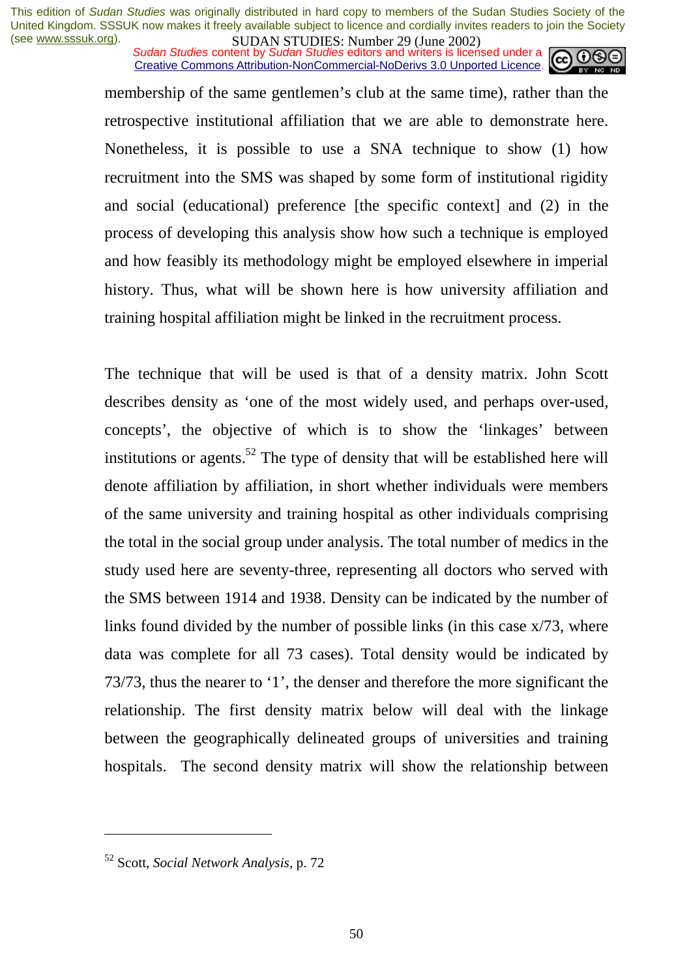*Sudan Studies content by Sudan Studies editors and writers is licensed under a* Creative Commons Attribution-NonCommercial-NoDerivs 3.0 Unported Licence.



membership of the same gentlemen's club at the same time), rather than the retrospective institutional affiliation that we are able to demonstrate here. Nonetheless, it is possible to use a SNA technique to show (1) how recruitment into the SMS was shaped by some form of institutional rigidity and social (educational) preference [the specific context] and (2) in the process of developing this analysis show how such a technique is employed and how feasibly its methodology might be employed elsewhere in imperial history. Thus, what will be shown here is how university affiliation and training hospital affiliation might be linked in the recruitment process.

The technique that will be used is that of a density matrix. John Scott describes density as 'one of the most widely used, and perhaps over-used, concepts', the objective of which is to show the 'linkages' between institutions or agents.<sup>52</sup> The type of density that will be established here will denote affiliation by affiliation, in short whether individuals were members of the same university and training hospital as other individuals comprising the total in the social group under analysis. The total number of medics in the study used here are seventy-three, representing all doctors who served with the SMS between 1914 and 1938. Density can be indicated by the number of links found divided by the number of possible links (in this case x/73, where data was complete for all 73 cases). Total density would be indicated by 73/73, thus the nearer to '1', the denser and therefore the more significant the relationship. The first density matrix below will deal with the linkage between the geographically delineated groups of universities and training hospitals. The second density matrix will show the relationship between

<sup>52</sup> Scott, *Social Network Analysis,* p. 72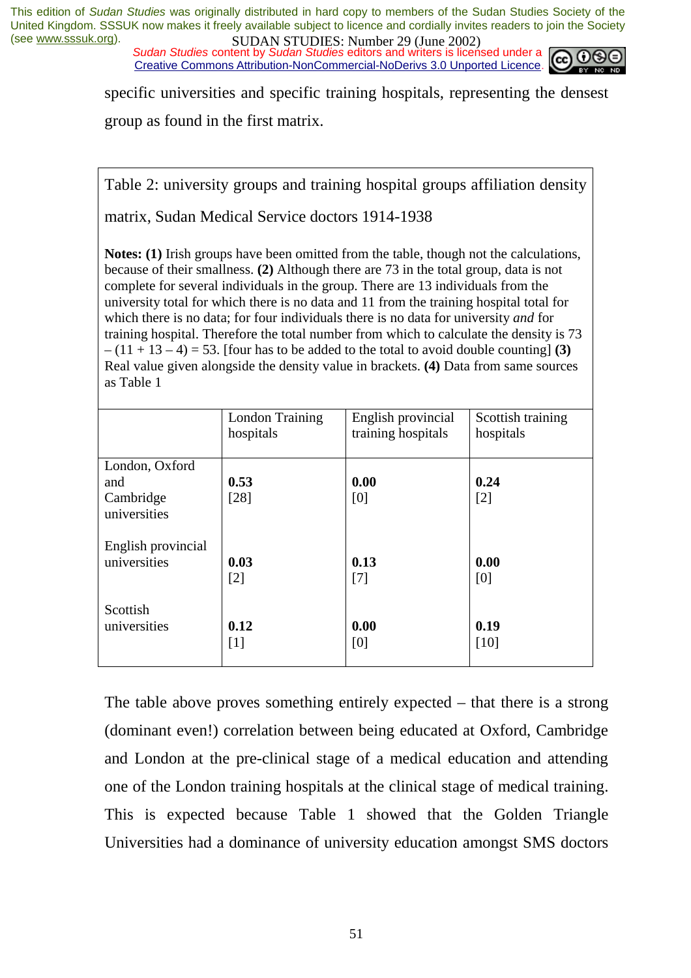*Sudan Studies content by Sudan Studies editors and writers is licensed under a* Creative Commons Attribution-NonCommercial-NoDerivs 3.0 Unported Licence.



specific universities and specific training hospitals, representing the densest group as found in the first matrix.

Table 2: university groups and training hospital groups affiliation density

matrix, Sudan Medical Service doctors 1914-1938

**Notes: (1)** Irish groups have been omitted from the table, though not the calculations, because of their smallness. **(2)** Although there are 73 in the total group, data is not complete for several individuals in the group. There are 13 individuals from the university total for which there is no data and 11 from the training hospital total for which there is no data; for four individuals there is no data for university *and* for training hospital. Therefore the total number from which to calculate the density is 73  $-(11 + 13 - 4) = 53$ . [four has to be added to the total to avoid double counting] **(3)** Real value given alongside the density value in brackets. **(4)** Data from same sources as Table 1

|                                                    | London Training | English provincial | Scottish training |
|----------------------------------------------------|-----------------|--------------------|-------------------|
|                                                    | hospitals       | training hospitals | hospitals         |
| London, Oxford<br>and<br>Cambridge<br>universities | 0.53<br>[28]    | 0.00<br>[0]        | 0.24<br>[2]       |
| English provincial                                 | 0.03            | 0.13               | 0.00              |
| universities                                       | [2]             | $[7]$              | [0]               |
| Scottish                                           | 0.12            | 0.00               | 0.19              |
| universities                                       | $[1]$           | [0]                | [10]              |

The table above proves something entirely expected – that there is a strong (dominant even!) correlation between being educated at Oxford, Cambridge and London at the pre-clinical stage of a medical education and attending one of the London training hospitals at the clinical stage of medical training. This is expected because Table 1 showed that the Golden Triangle Universities had a dominance of university education amongst SMS doctors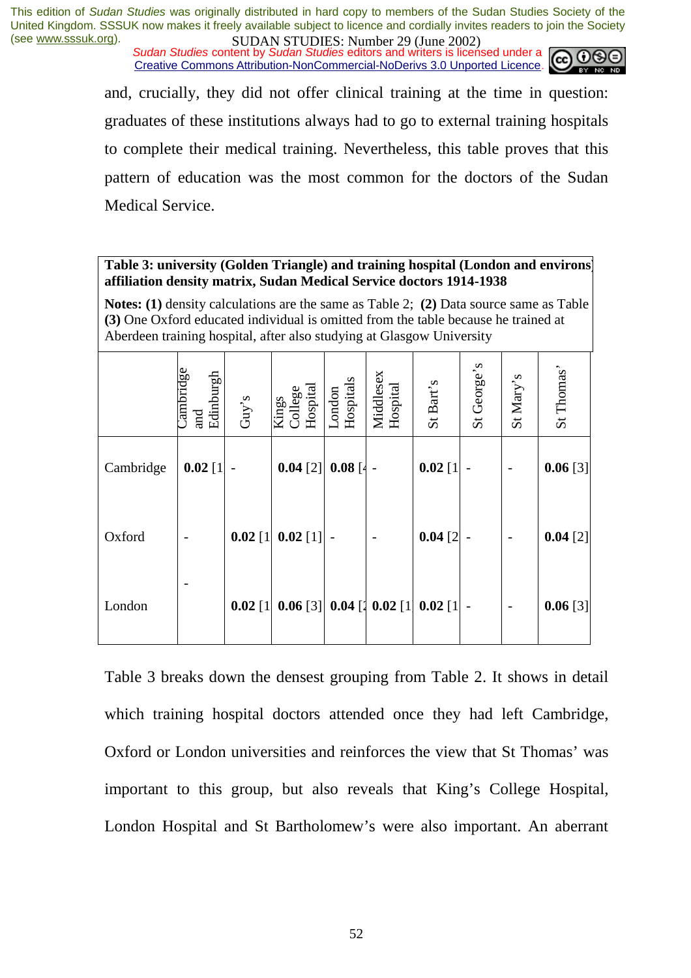*Sudan Studies content by Sudan Studies editors and writers is licensed under a* Creative Commons Attribution-NonCommercial-NoDerivs 3.0 Unported Licence.



and, crucially, they did not offer clinical training at the time in question: graduates of these institutions always had to go to external training hospitals to complete their medical training. Nevertheless, this table proves that this pattern of education was the most common for the doctors of the Sudan Medical Service.

#### **Table 3: university (Golden Triangle) and training hospital (London and environs) affiliation density matrix, Sudan Medical Service doctors 1914-1938**

**Notes: (1)** density calculations are the same as Table 2; **(2)** Data source same as Table **(3)** One Oxford educated individual is omitted from the table because he trained at Aberdeen training hospital, after also studying at Glasgow University

|           | $\Box$ ambridge<br>Edinburgh<br>and | $\mathrm{Guy}'s$ | Kings<br>College<br>Hospital               | London<br>Hospitals | Middlesex<br>Hospital | St Bart's    | St George's | St Mary's | St Thomas' |
|-----------|-------------------------------------|------------------|--------------------------------------------|---------------------|-----------------------|--------------|-------------|-----------|------------|
| Cambridge | $0.02$ [1]                          | $\overline{a}$   | 0.04 [2]                                   | $0.08$ [4 -         |                       | $0.02$ [1    |             |           | 0.06[3]    |
| Oxford    |                                     |                  | $0.02$ [1] $0.02$ [1] -                    |                     |                       | $0.04$ [2]   |             |           | $0.04$ [2] |
| London    |                                     |                  | $0.02$ [1] $0.06$ [3] $0.04$ [1 $0.02$ [1] |                     |                       | $0.02$ [1] - |             |           | 0.06 [3]   |

Table 3 breaks down the densest grouping from Table 2. It shows in detail which training hospital doctors attended once they had left Cambridge, Oxford or London universities and reinforces the view that St Thomas' was important to this group, but also reveals that King's College Hospital, London Hospital and St Bartholomew's were also important. An aberrant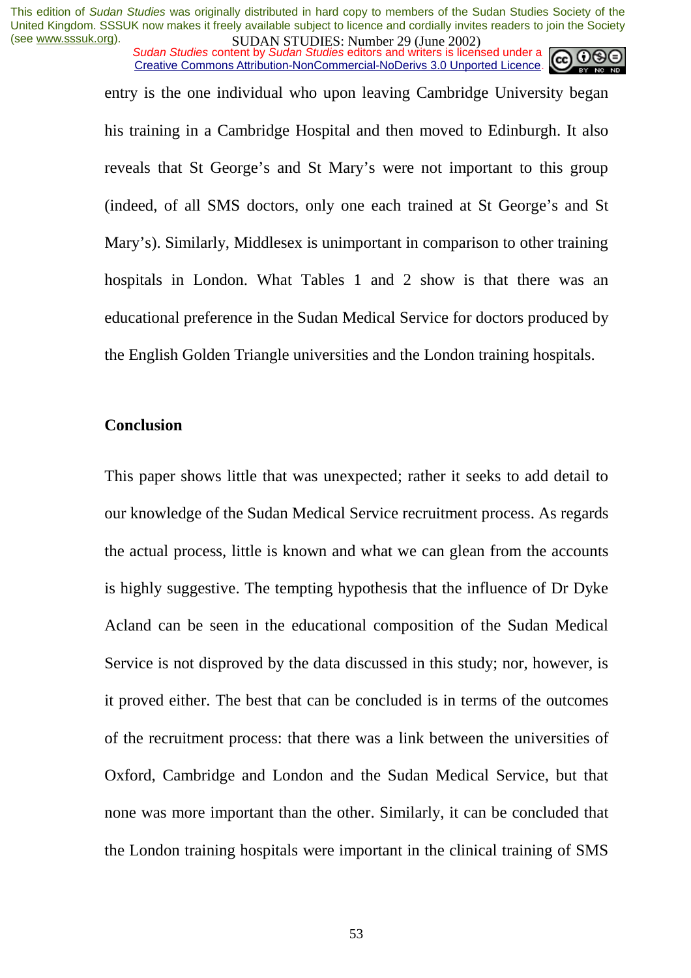*Sudan Studies content by Sudan Studies editors and writers is licensed under a* Creative Commons Attribution-NonCommercial-NoDerivs 3.0 Unported Licence.

entry is the one individual who upon leaving Cambridge University began his training in a Cambridge Hospital and then moved to Edinburgh. It also reveals that St George's and St Mary's were not important to this group (indeed, of all SMS doctors, only one each trained at St George's and St Mary's). Similarly, Middlesex is unimportant in comparison to other training hospitals in London. What Tables 1 and 2 show is that there was an educational preference in the Sudan Medical Service for doctors produced by the English Golden Triangle universities and the London training hospitals.

#### **Conclusion**

This paper shows little that was unexpected; rather it seeks to add detail to our knowledge of the Sudan Medical Service recruitment process. As regards the actual process, little is known and what we can glean from the accounts is highly suggestive. The tempting hypothesis that the influence of Dr Dyke Acland can be seen in the educational composition of the Sudan Medical Service is not disproved by the data discussed in this study; nor, however, is it proved either. The best that can be concluded is in terms of the outcomes of the recruitment process: that there was a link between the universities of Oxford, Cambridge and London and the Sudan Medical Service, but that none was more important than the other. Similarly, it can be concluded that the London training hospitals were important in the clinical training of SMS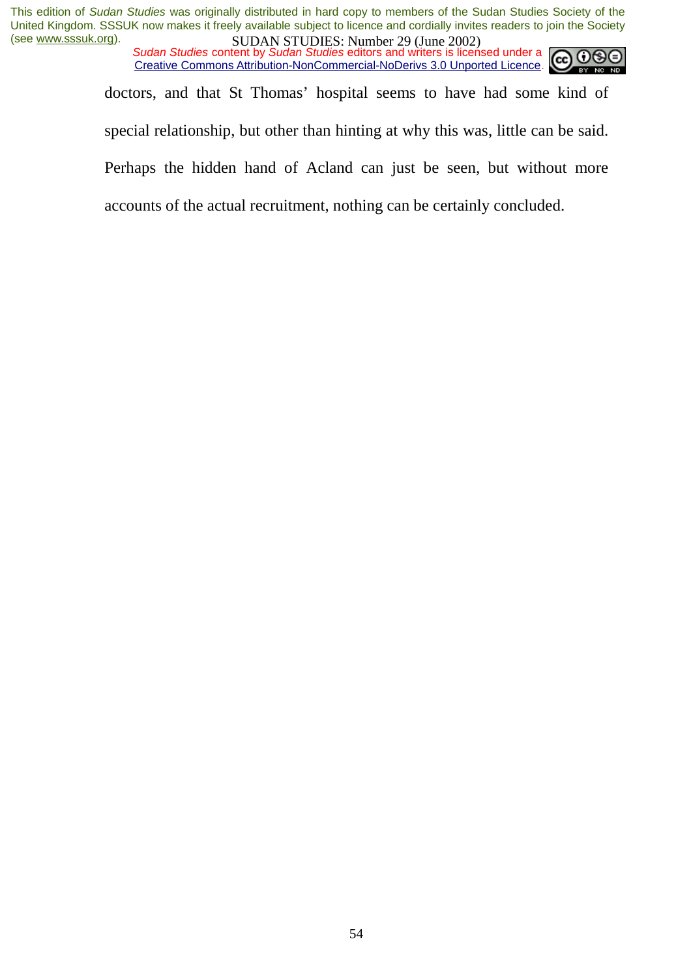*Sudan Studies content by Sudan Studies editors and writers is licensed under a* Creative Commons Attribution-NonCommercial-NoDerivs 3.0 Unported Licence.



doctors, and that St Thomas' hospital seems to have had some kind of special relationship, but other than hinting at why this was, little can be said. Perhaps the hidden hand of Acland can just be seen, but without more accounts of the actual recruitment, nothing can be certainly concluded.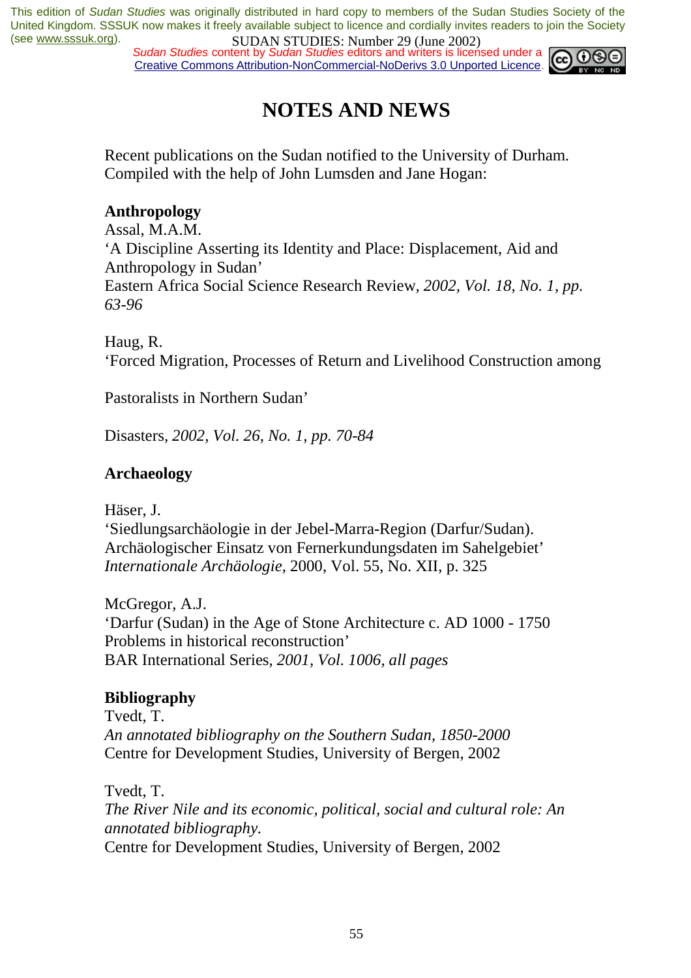*Sudan Studies content by Sudan Studies editors and writers is licensed under a* Creative Commons Attribution-NonCommercial-NoDerivs 3.0 Unported Licence.



## **NOTES AND NEWS**

Recent publications on the Sudan notified to the University of Durham. Compiled with the help of John Lumsden and Jane Hogan:

#### **Anthropology**

Assal, M.A.M. 'A Discipline Asserting its Identity and Place: Displacement, Aid and Anthropology in Sudan' Eastern Africa Social Science Research Review*, 2002, Vol. 18, No. 1, pp. 63-96* 

Haug, R. 'Forced Migration, Processes of Return and Livelihood Construction among

Pastoralists in Northern Sudan'

Disasters, *2002, Vol. 26, No. 1, pp. 70-84* 

#### **Archaeology**

Häser, J.

'Siedlungsarchäologie in der Jebel-Marra-Region (Darfur/Sudan). Archäologischer Einsatz von Fernerkundungsdaten im Sahelgebiet' *Internationale Archäologie,* 2000, Vol. 55, No. XII, p. 325

McGregor, A.J. 'Darfur (Sudan) in the Age of Stone Architecture c. AD 1000 - 1750 Problems in historical reconstruction' BAR International Series*, 2001, Vol. 1006, all pages* 

### **Bibliography**

Tvedt, T. *An annotated bibliography on the Southern Sudan, 1850-2000*  Centre for Development Studies, University of Bergen, 2002

Tvedt, T. *The River Nile and its economic, political, social and cultural role: An annotated bibliography.*  Centre for Development Studies, University of Bergen, 2002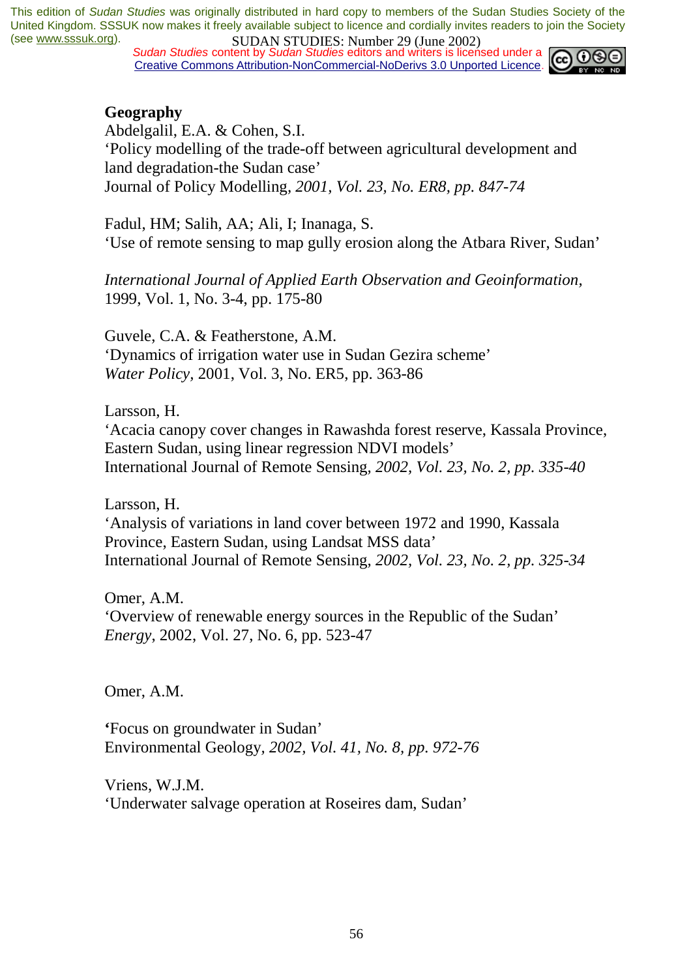*Sudan Studies content by Sudan Studies editors and writers is licensed under a* Creative Commons Attribution-NonCommercial-NoDerivs 3.0 Unported Licence.



#### **Geography**

Abdelgalil, E.A. & Cohen, S.I. 'Policy modelling of the trade-off between agricultural development and land degradation-the Sudan case' Journal of Policy Modelling*, 2001, Vol. 23, No. ER8, pp. 847-74* 

Fadul, HM; Salih, AA; Ali, I; Inanaga, S. 'Use of remote sensing to map gully erosion along the Atbara River, Sudan'

*International Journal of Applied Earth Observation and Geoinformation,*  1999, Vol. 1, No. 3-4, pp. 175-80

Guvele, C.A. & Featherstone, A.M. 'Dynamics of irrigation water use in Sudan Gezira scheme' *Water Policy,* 2001, Vol. 3, No. ER5, pp. 363-86

Larsson, H.

'Acacia canopy cover changes in Rawashda forest reserve, Kassala Province, Eastern Sudan, using linear regression NDVI models' International Journal of Remote Sensing*, 2002, Vol. 23, No. 2, pp. 335-40* 

Larsson, H.

'Analysis of variations in land cover between 1972 and 1990, Kassala Province, Eastern Sudan, using Landsat MSS data' International Journal of Remote Sensing*, 2002, Vol. 23, No. 2, pp. 325-34* 

Omer, A.M. 'Overview of renewable energy sources in the Republic of the Sudan' *Energy*, 2002, Vol. 27, No. 6, pp. 523-47

Omer, A.M.

**'**Focus on groundwater in Sudan' Environmental Geology*, 2002, Vol. 41, No. 8, pp. 972-76*

Vriens, W.J.M. 'Underwater salvage operation at Roseires dam, Sudan'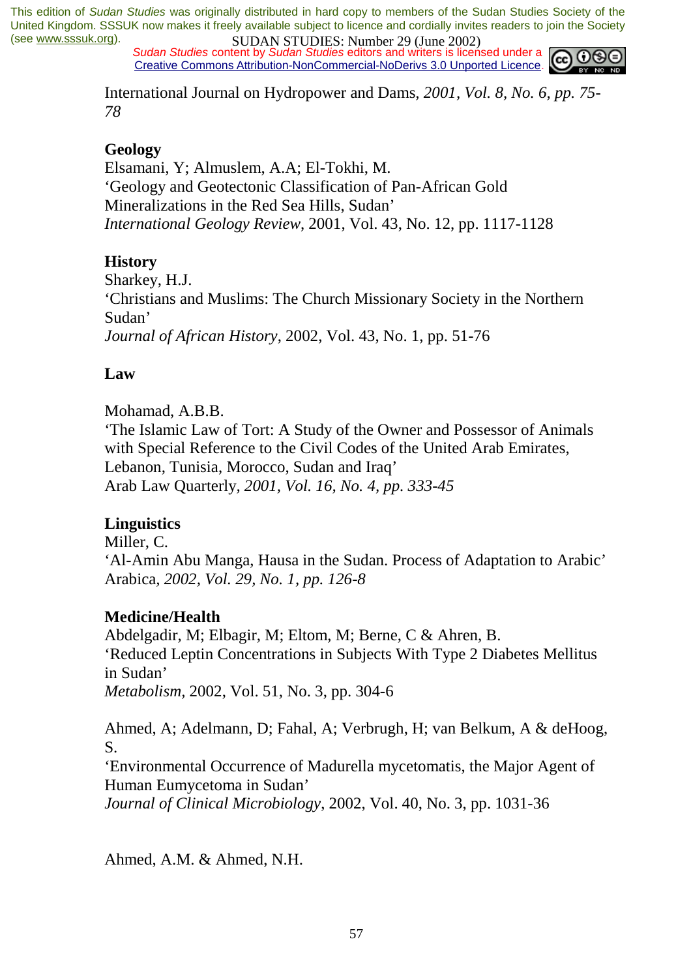*Sudan Studies content by Sudan Studies editors and writers is licensed under a* Creative Commons Attribution-NonCommercial-NoDerivs 3.0 Unported Licence.



International Journal on Hydropower and Dams*, 2001, Vol. 8, No. 6, pp. 75- 78* 

#### **Geology**

Elsamani, Y; Almuslem, A.A; El-Tokhi, M. 'Geology and Geotectonic Classification of Pan-African Gold Mineralizations in the Red Sea Hills, Sudan' *International Geology Review*, 2001, Vol. 43, No. 12, pp. 1117-1128

#### **History**

Sharkey, H.J. 'Christians and Muslims: The Church Missionary Society in the Northern Sudan' *Journal of African History*, 2002, Vol. 43, No. 1, pp. 51-76

#### **Law**

Mohamad, A.B.B.

'The Islamic Law of Tort: A Study of the Owner and Possessor of Animals with Special Reference to the Civil Codes of the United Arab Emirates, Lebanon, Tunisia, Morocco, Sudan and Iraq' Arab Law Quarterly*, 2001, Vol. 16, No. 4, pp. 333-45* 

#### **Linguistics**

Miller, C. 'Al-Amin Abu Manga, Hausa in the Sudan. Process of Adaptation to Arabic' Arabica*, 2002, Vol. 29, No. 1, pp. 126-8* 

#### **Medicine/Health**

Abdelgadir, M; Elbagir, M; Eltom, M; Berne, C & Ahren, B. 'Reduced Leptin Concentrations in Subjects With Type 2 Diabetes Mellitus in Sudan' *Metabolism,* 2002, Vol. 51, No. 3, pp. 304-6

Ahmed, A; Adelmann, D; Fahal, A; Verbrugh, H; van Belkum, A & deHoog, S.

'Environmental Occurrence of Madurella mycetomatis, the Major Agent of Human Eumycetoma in Sudan'

*Journal of Clinical Microbiology*, 2002, Vol. 40, No. 3, pp. 1031-36

Ahmed, A.M. & Ahmed, N.H.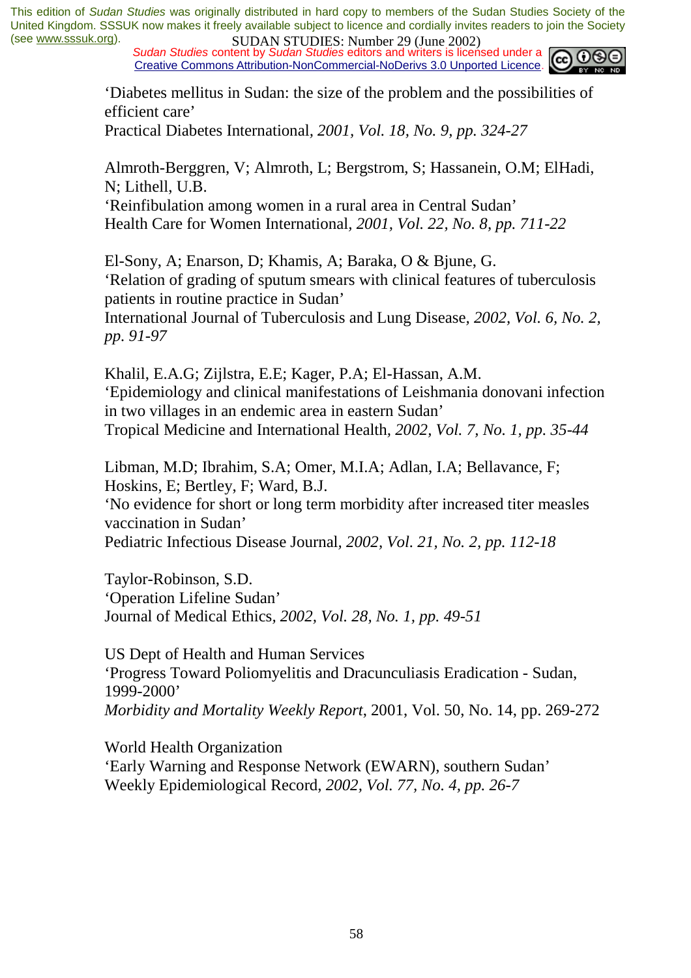*Sudan Studies content by Sudan Studies editors and writers is licensed under a* Creative Commons Attribution-NonCommercial-NoDerivs 3.0 Unported Licence.



'Diabetes mellitus in Sudan: the size of the problem and the possibilities of efficient care'

Practical Diabetes International*, 2001, Vol. 18, No. 9, pp. 324-27* 

Almroth-Berggren, V; Almroth, L; Bergstrom, S; Hassanein, O.M; ElHadi, N; Lithell, U.B.

'Reinfibulation among women in a rural area in Central Sudan' Health Care for Women International*, 2001, Vol. 22, No. 8, pp. 711-22*

El-Sony, A; Enarson, D; Khamis, A; Baraka, O & Bjune, G. 'Relation of grading of sputum smears with clinical features of tuberculosis patients in routine practice in Sudan'

International Journal of Tuberculosis and Lung Disease*, 2002, Vol. 6, No. 2, pp. 91-97* 

Khalil, E.A.G; Zijlstra, E.E; Kager, P.A; El-Hassan, A.M. 'Epidemiology and clinical manifestations of Leishmania donovani infection in two villages in an endemic area in eastern Sudan' Tropical Medicine and International Health*, 2002, Vol. 7, No. 1, pp. 35-44* 

Libman, M.D; Ibrahim, S.A; Omer, M.I.A; Adlan, I.A; Bellavance, F; Hoskins, E; Bertley, F; Ward, B.J.

'No evidence for short or long term morbidity after increased titer measles vaccination in Sudan'

Pediatric Infectious Disease Journal*, 2002, Vol. 21, No. 2, pp. 112-18* 

Taylor-Robinson, S.D. 'Operation Lifeline Sudan' Journal of Medical Ethics*, 2002, Vol. 28, No. 1, pp. 49-51* 

US Dept of Health and Human Services 'Progress Toward Poliomyelitis and Dracunculiasis Eradication - Sudan, 1999-2000' *Morbidity and Mortality Weekly Report*, 2001, Vol. 50, No. 14, pp. 269-272

World Health Organization 'Early Warning and Response Network (EWARN), southern Sudan' Weekly Epidemiological Record, *2002, Vol. 77, No. 4, pp. 26-7*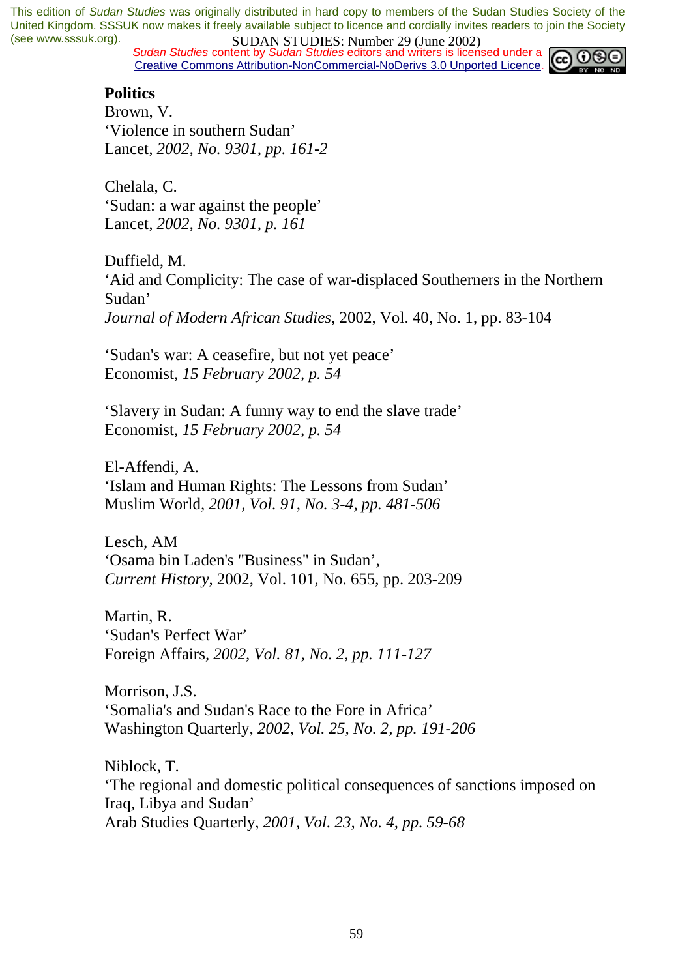**SUDAN STUDIES.** Number 27 (June 2002)<br>Sudan Studies content by Sudan Studies editors and writers is licensed under a Creative Commons Attribution-NonCommercial-NoDerivs 3.0 Unported Licence.



#### **Politics**

Brown, V. 'Violence in southern Sudan' Lancet*, 2002, No. 9301, pp. 161-2* 

Chelala, C. 'Sudan: a war against the people' Lancet*, 2002, No. 9301, p. 161* 

Duffield, M. 'Aid and Complicity: The case of war-displaced Southerners in the Northern Sudan' *Journal of Modern African Studies*, 2002, Vol. 40, No. 1, pp. 83-104

'Sudan's war: A ceasefire, but not yet peace' Economist*, 15 February 2002, p. 54* 

'Slavery in Sudan: A funny way to end the slave trade' Economist*, 15 February 2002, p. 54* 

El-Affendi, A. 'Islam and Human Rights: The Lessons from Sudan' Muslim World*, 2001, Vol. 91, No. 3-4, pp. 481-506* 

Lesch, AM 'Osama bin Laden's "Business" in Sudan', *Current History*, 2002, Vol. 101, No. 655, pp. 203-209

Martin, R. 'Sudan's Perfect War' Foreign Affairs*, 2002, Vol. 81, No. 2, pp. 111-127* 

Morrison, J.S. 'Somalia's and Sudan's Race to the Fore in Africa' Washington Quarterly*, 2002, Vol. 25, No. 2, pp. 191-206* 

Niblock, T. 'The regional and domestic political consequences of sanctions imposed on Iraq, Libya and Sudan' Arab Studies Quarterly*, 2001, Vol. 23, No. 4, pp. 59-68*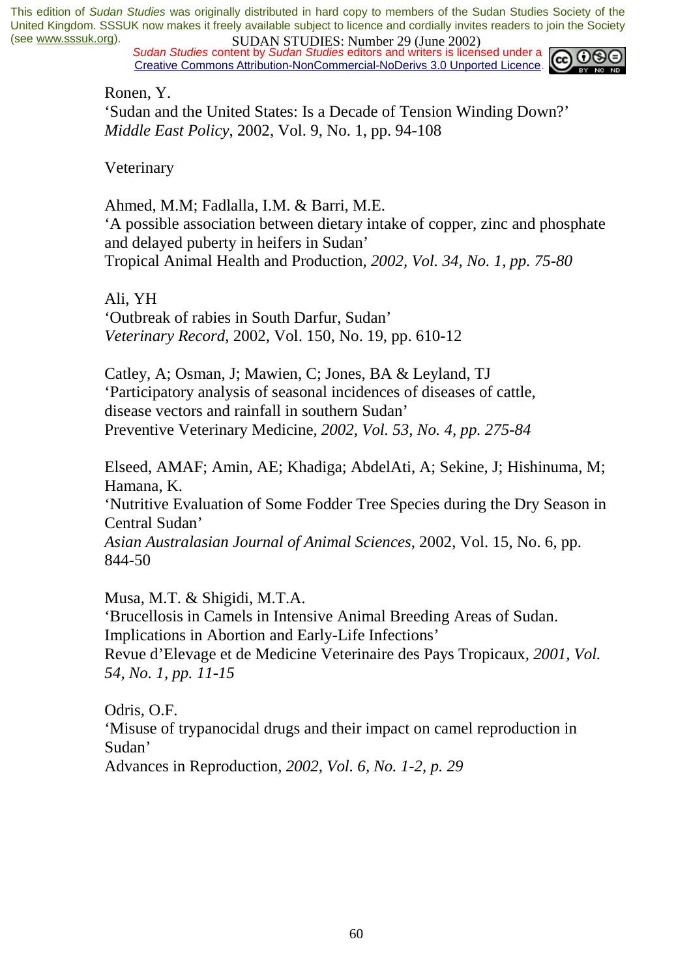*Sudan Studies content by Sudan Studies editors and writers is licensed under a* Creative Commons Attribution-NonCommercial-NoDerivs 3.0 Unported Licence.



Ronen, Y.

'Sudan and the United States: Is a Decade of Tension Winding Down?' *Middle East Policy*, 2002, Vol. 9, No. 1, pp. 94-108

Veterinary

Ahmed, M.M; Fadlalla, I.M. & Barri, M.E. 'A possible association between dietary intake of copper, zinc and phosphate and delayed puberty in heifers in Sudan' Tropical Animal Health and Production*, 2002, Vol. 34, No. 1, pp. 75-80* 

Ali, YH

'Outbreak of rabies in South Darfur, Sudan' *Veterinary Record*, 2002, Vol. 150, No. 19, pp. 610-12

Catley, A; Osman, J; Mawien, C; Jones, BA & Leyland, TJ 'Participatory analysis of seasonal incidences of diseases of cattle, disease vectors and rainfall in southern Sudan' Preventive Veterinary Medicine*, 2002, Vol. 53, No. 4, pp. 275-84* 

Elseed, AMAF; Amin, AE; Khadiga; AbdelAti, A; Sekine, J; Hishinuma, M; Hamana, K. 'Nutritive Evaluation of Some Fodder Tree Species during the Dry Season in Central Sudan' *Asian Australasian Journal of Animal Sciences*, 2002, Vol. 15, No. 6, pp. 844-50

Musa, M.T. & Shigidi, M.T.A. 'Brucellosis in Camels in Intensive Animal Breeding Areas of Sudan. Implications in Abortion and Early-Life Infections' Revue d'Elevage et de Medicine Veterinaire des Pays Tropicaux*, 2001, Vol. 54, No. 1, pp. 11-15* 

Odris, O.F. 'Misuse of trypanocidal drugs and their impact on camel reproduction in Sudan'

Advances in Reproduction*, 2002, Vol. 6, No. 1-2, p. 29*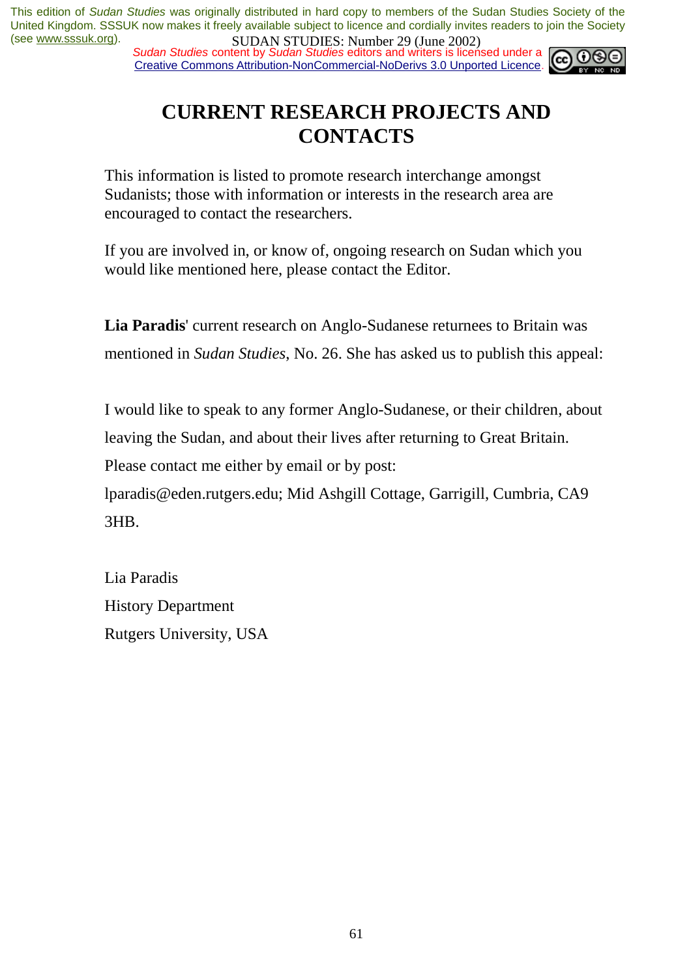*Sudan Studies content by Sudan Studies editors and writers is licensed under a* Creative Commons Attribution-NonCommercial-NoDerivs 3.0 Unported Licence.



## **CURRENT RESEARCH PROJECTS AND CONTACTS**

This information is listed to promote research interchange amongst Sudanists; those with information or interests in the research area are encouraged to contact the researchers.

If you are involved in, or know of, ongoing research on Sudan which you would like mentioned here, please contact the Editor.

**Lia Paradis**' current research on Anglo-Sudanese returnees to Britain was mentioned in *Sudan Studies*, No. 26. She has asked us to publish this appeal:

I would like to speak to any former Anglo-Sudanese, or their children, about leaving the Sudan, and about their lives after returning to Great Britain.

Please contact me either by email or by post:

lparadis@eden.rutgers.edu; Mid Ashgill Cottage, Garrigill, Cumbria, CA9 3HB.

Lia Paradis History Department Rutgers University, USA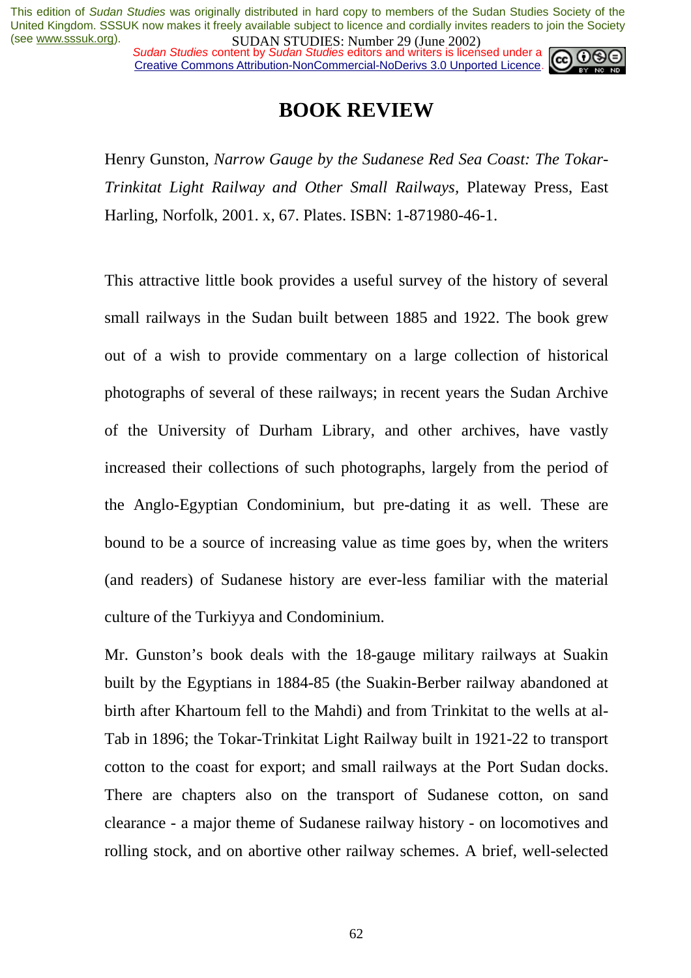*Sudan Studies content by Sudan Studies editors and writers is licensed under a* Creative Commons Attribution-NonCommercial-NoDerivs 3.0 Unported Licence.



## **BOOK REVIEW**

Henry Gunston, *Narrow Gauge by the Sudanese Red Sea Coast: The Tokar-Trinkitat Light Railway and Other Small Railways,* Plateway Press, East Harling, Norfolk, 2001. x, 67. Plates. ISBN: 1-871980-46-1.

This attractive little book provides a useful survey of the history of several small railways in the Sudan built between 1885 and 1922. The book grew out of a wish to provide commentary on a large collection of historical photographs of several of these railways; in recent years the Sudan Archive of the University of Durham Library, and other archives, have vastly increased their collections of such photographs, largely from the period of the Anglo-Egyptian Condominium, but pre-dating it as well. These are bound to be a source of increasing value as time goes by, when the writers (and readers) of Sudanese history are ever-less familiar with the material culture of the Turkiyya and Condominium.

Mr. Gunston's book deals with the 18-gauge military railways at Suakin built by the Egyptians in 1884-85 (the Suakin-Berber railway abandoned at birth after Khartoum fell to the Mahdi) and from Trinkitat to the wells at al-Tab in 1896; the Tokar-Trinkitat Light Railway built in 1921-22 to transport cotton to the coast for export; and small railways at the Port Sudan docks. There are chapters also on the transport of Sudanese cotton, on sand clearance - a major theme of Sudanese railway history - on locomotives and rolling stock, and on abortive other railway schemes. A brief, well-selected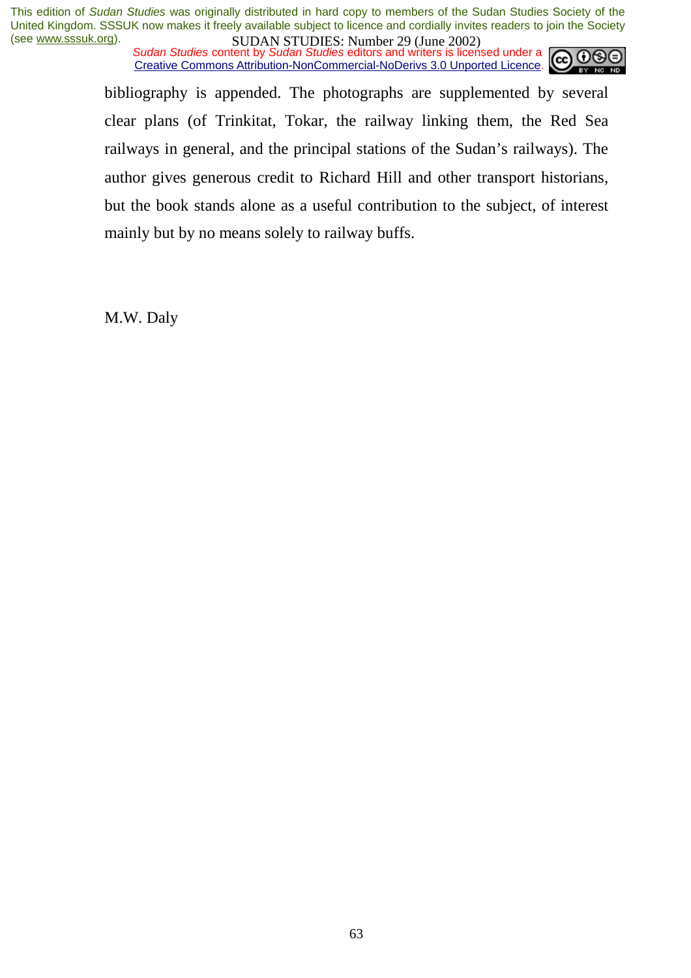*Sudan Studies content by Sudan Studies editors and writers is licensed under a* Creative Commons Attribution-NonCommercial-NoDerivs 3.0 Unported Licence.



bibliography is appended. The photographs are supplemented by several clear plans (of Trinkitat, Tokar, the railway linking them, the Red Sea railways in general, and the principal stations of the Sudan's railways). The author gives generous credit to Richard Hill and other transport historians, but the book stands alone as a useful contribution to the subject, of interest mainly but by no means solely to railway buffs.

M.W. Daly